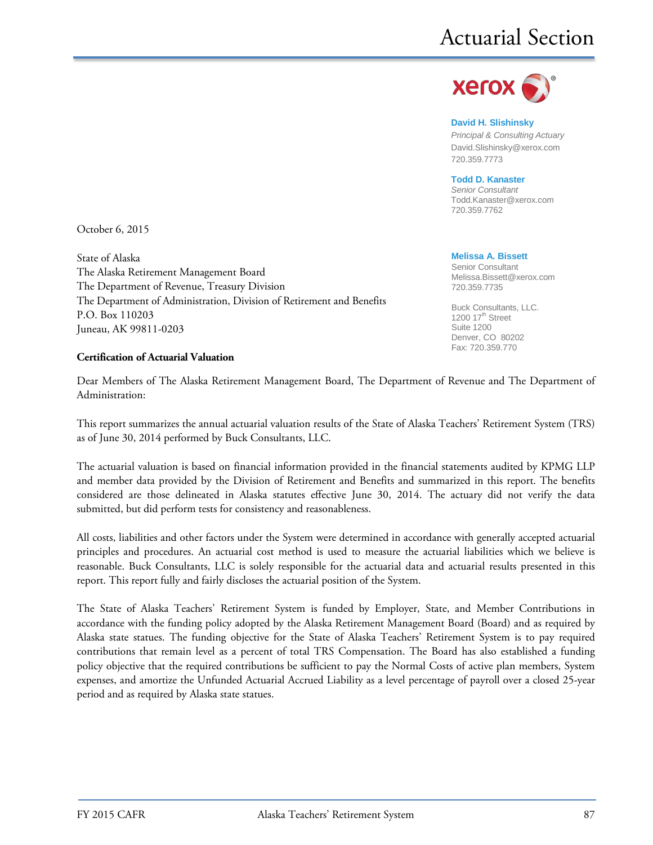

**David H. Slishinsky**

*Principal & Consulting Actuary* [David.Slishinsky@xerox.com](mailto:David.Slishinsky@xerox.com) 720.359.7773

**Todd D. Kanaster**

*Senior Consultant* [Todd.Kanaster@xerox.com](mailto:Todd.Kanaster@xerox.com) 720.359.7762

**Melissa A. Bissett** Senior Consultant Melissa.Bissett@xerox.com 720.359.7735

Buck Consultants, LLC. 1200  $17<sup>th</sup>$  Street Suite 1200 Denver, CO 80202 Fax: 720.359.770

October 6, 2015

State of Alaska The Alaska Retirement Management Board The Department of Revenue, Treasury Division The Department of Administration, Division of Retirement and Benefits P.O. Box 110203 Juneau, AK 99811-0203

#### **Certification of Actuarial Valuation**

Dear Members of The Alaska Retirement Management Board, The Department of Revenue and The Department of Administration:

This report summarizes the annual actuarial valuation results of the State of Alaska Teachers' Retirement System (TRS) as of June 30, 2014 performed by Buck Consultants, LLC.

The actuarial valuation is based on financial information provided in the financial statements audited by KPMG LLP and member data provided by the Division of Retirement and Benefits and summarized in this report. The benefits considered are those delineated in Alaska statutes effective June 30, 2014. The actuary did not verify the data submitted, but did perform tests for consistency and reasonableness.

All costs, liabilities and other factors under the System were determined in accordance with generally accepted actuarial principles and procedures. An actuarial cost method is used to measure the actuarial liabilities which we believe is reasonable. Buck Consultants, LLC is solely responsible for the actuarial data and actuarial results presented in this report. This report fully and fairly discloses the actuarial position of the System.

The State of Alaska Teachers' Retirement System is funded by Employer, State, and Member Contributions in accordance with the funding policy adopted by the Alaska Retirement Management Board (Board) and as required by Alaska state statues. The funding objective for the State of Alaska Teachers' Retirement System is to pay required contributions that remain level as a percent of total TRS Compensation. The Board has also established a funding policy objective that the required contributions be sufficient to pay the Normal Costs of active plan members, System expenses, and amortize the Unfunded Actuarial Accrued Liability as a level percentage of payroll over a closed 25-year period and as required by Alaska state statues.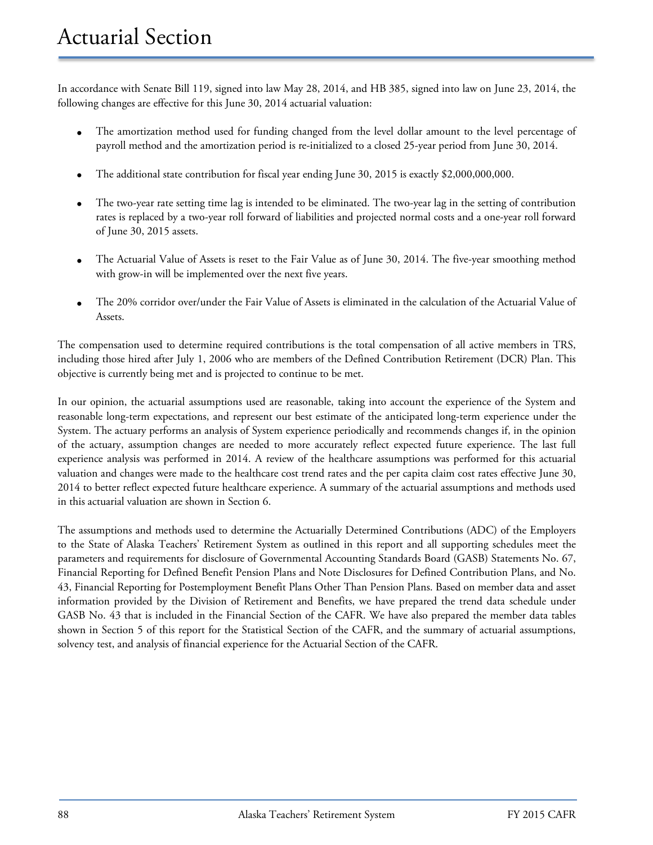In accordance with Senate Bill 119, signed into law May 28, 2014, and HB 385, signed into law on June 23, 2014, the following changes are effective for this June 30, 2014 actuarial valuation:

- The amortization method used for funding changed from the level dollar amount to the level percentage of payroll method and the amortization period is re-initialized to a closed 25-year period from June 30, 2014.
- The additional state contribution for fiscal year ending June 30, 2015 is exactly \$2,000,000,000.
- The two-year rate setting time lag is intended to be eliminated. The two-year lag in the setting of contribution rates is replaced by a two-year roll forward of liabilities and projected normal costs and a one-year roll forward of June 30, 2015 assets.
- The Actuarial Value of Assets is reset to the Fair Value as of June 30, 2014. The five-year smoothing method with grow-in will be implemented over the next five years.
- The 20% corridor over/under the Fair Value of Assets is eliminated in the calculation of the Actuarial Value of Assets.

The compensation used to determine required contributions is the total compensation of all active members in TRS, including those hired after July 1, 2006 who are members of the Defined Contribution Retirement (DCR) Plan. This objective is currently being met and is projected to continue to be met.

In our opinion, the actuarial assumptions used are reasonable, taking into account the experience of the System and reasonable long-term expectations, and represent our best estimate of the anticipated long-term experience under the System. The actuary performs an analysis of System experience periodically and recommends changes if, in the opinion of the actuary, assumption changes are needed to more accurately reflect expected future experience. The last full experience analysis was performed in 2014. A review of the healthcare assumptions was performed for this actuarial valuation and changes were made to the healthcare cost trend rates and the per capita claim cost rates effective June 30, 2014 to better reflect expected future healthcare experience. A summary of the actuarial assumptions and methods used in this actuarial valuation are shown in Section 6.

The assumptions and methods used to determine the Actuarially Determined Contributions (ADC) of the Employers to the State of Alaska Teachers' Retirement System as outlined in this report and all supporting schedules meet the parameters and requirements for disclosure of Governmental Accounting Standards Board (GASB) Statements No. 67, Financial Reporting for Defined Benefit Pension Plans and Note Disclosures for Defined Contribution Plans, and No. 43, Financial Reporting for Postemployment Benefit Plans Other Than Pension Plans. Based on member data and asset information provided by the Division of Retirement and Benefits, we have prepared the trend data schedule under GASB No. 43 that is included in the Financial Section of the CAFR. We have also prepared the member data tables shown in Section 5 of this report for the Statistical Section of the CAFR, and the summary of actuarial assumptions, solvency test, and analysis of financial experience for the Actuarial Section of the CAFR.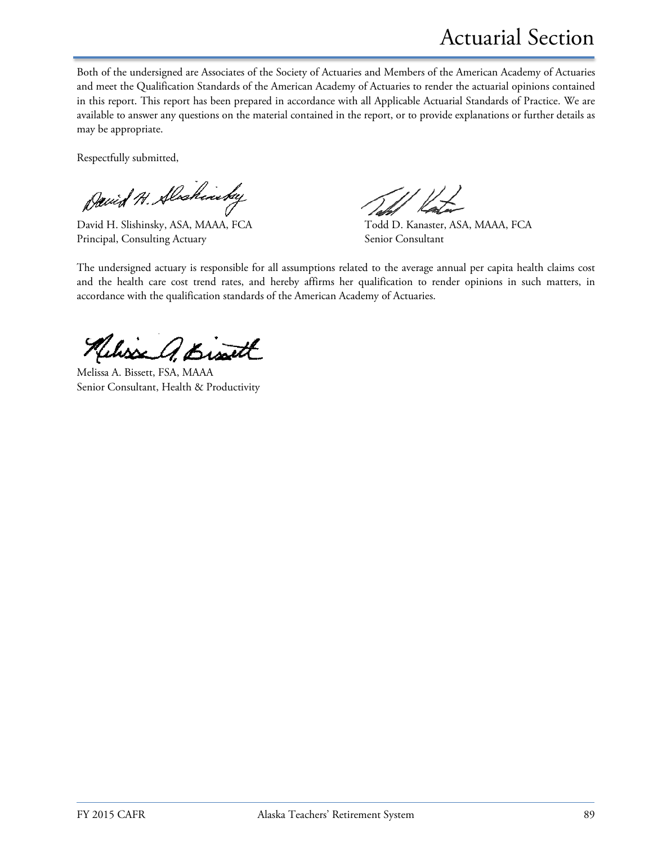Both of the undersigned are Associates of the Society of Actuaries and Members of the American Academy of Actuaries and meet the Qualification Standards of the American Academy of Actuaries to render the actuarial opinions contained in this report. This report has been prepared in accordance with all Applicable Actuarial Standards of Practice. We are available to answer any questions on the material contained in the report, or to provide explanations or further details as may be appropriate.

Respectfully submitted,

David H. Alscheristey

David H. Slishinsky, ASA, MAAA, FCA Todd D. Kanaster, ASA, MAAA, FCA Principal, Consulting Actuary Senior Consultant

The undersigned actuary is responsible for all assumptions related to the average annual per capita health claims cost and the health care cost trend rates, and hereby affirms her qualification to render opinions in such matters, in accordance with the qualification standards of the American Academy of Actuaries.

Kelisse A. Bisatt

Melissa A. Bissett, FSA, MAAA Senior Consultant, Health & Productivity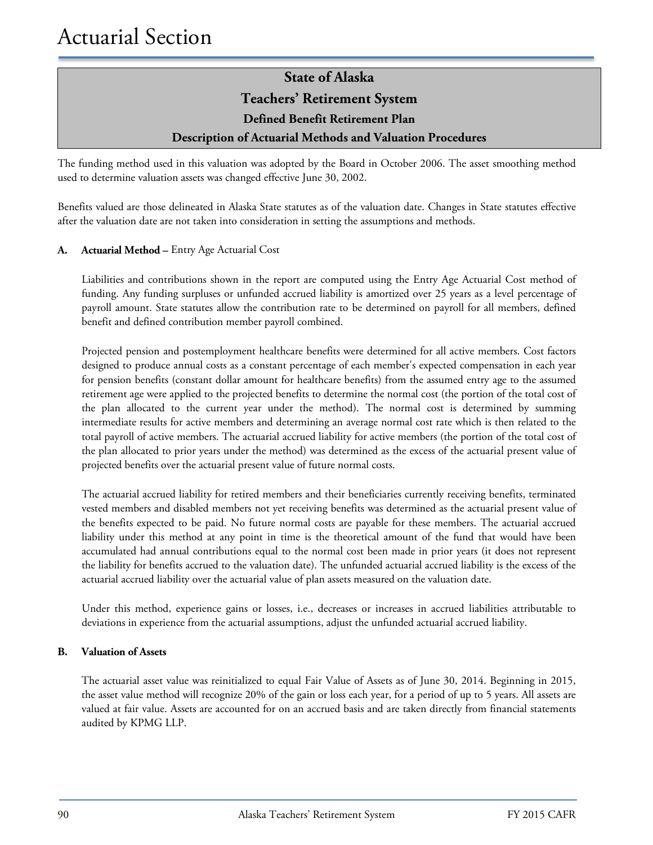### **Teachers' Retirement System**

**Defined Benefit Retirement Plan**

### **Description of Actuarial Methods and Valuation Procedures**

The funding method used in this valuation was adopted by the Board in October 2006. The asset smoothing method used to determine valuation assets was changed effective June 30, 2002.

Benefits valued are those delineated in Alaska State statutes as of the valuation date. Changes in State statutes effective after the valuation date are not taken into consideration in setting the assumptions and methods.

### **A. Actuarial Method –** Entry Age Actuarial Cost

Liabilities and contributions shown in the report are computed using the Entry Age Actuarial Cost method of funding. Any funding surpluses or unfunded accrued liability is amortized over 25 years as a level percentage of payroll amount. State statutes allow the contribution rate to be determined on payroll for all members, defined benefit and defined contribution member payroll combined.

Projected pension and postemployment healthcare benefits were determined for all active members. Cost factors designed to produce annual costs as a constant percentage of each member's expected compensation in each year for pension benefits (constant dollar amount for healthcare benefits) from the assumed entry age to the assumed retirement age were applied to the projected benefits to determine the normal cost (the portion of the total cost of the plan allocated to the current year under the method). The normal cost is determined by summing intermediate results for active members and determining an average normal cost rate which is then related to the total payroll of active members. The actuarial accrued liability for active members (the portion of the total cost of the plan allocated to prior years under the method) was determined as the excess of the actuarial present value of projected benefits over the actuarial present value of future normal costs.

The actuarial accrued liability for retired members and their beneficiaries currently receiving benefits, terminated vested members and disabled members not yet receiving benefits was determined as the actuarial present value of the benefits expected to be paid. No future normal costs are payable for these members. The actuarial accrued liability under this method at any point in time is the theoretical amount of the fund that would have been accumulated had annual contributions equal to the normal cost been made in prior years (it does not represent the liability for benefits accrued to the valuation date). The unfunded actuarial accrued liability is the excess of the actuarial accrued liability over the actuarial value of plan assets measured on the valuation date.

Under this method, experience gains or losses, i.e., decreases or increases in accrued liabilities attributable to deviations in experience from the actuarial assumptions, adjust the unfunded actuarial accrued liability.

#### **B. Valuation of Assets**

The actuarial asset value was reinitialized to equal Fair Value of Assets as of June 30, 2014. Beginning in 2015, the asset value method will recognize 20% of the gain or loss each year, for a period of up to 5 years. All assets are valued at fair value. Assets are accounted for on an accrued basis and are taken directly from financial statements audited by KPMG LLP.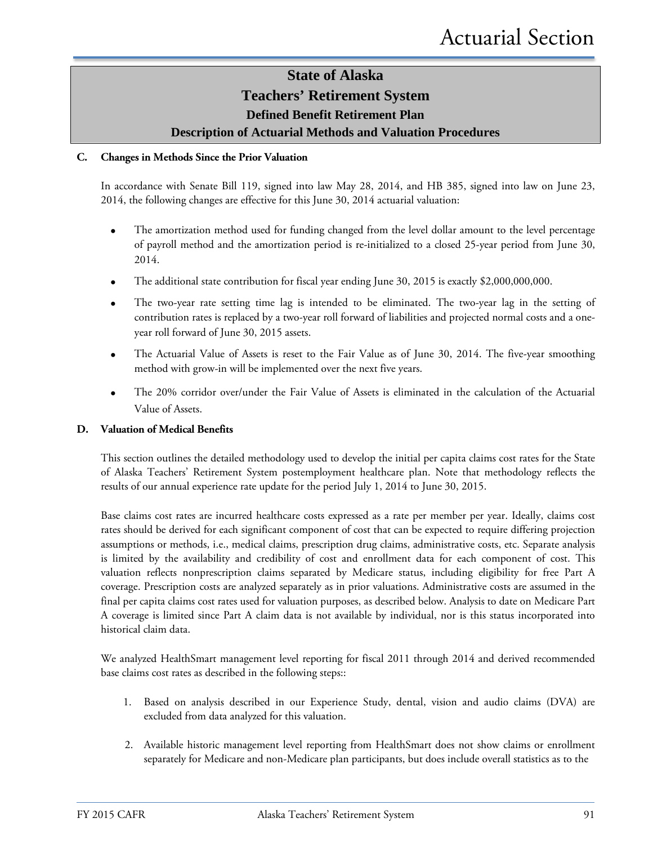### **State of Alaska Teachers' Retirement System Defined Benefit Retirement Plan**

**Description of Actuarial Methods and Valuation Procedures**

#### **C. Changes in Methods Since the Prior Valuation**

In accordance with Senate Bill 119, signed into law May 28, 2014, and HB 385, signed into law on June 23, 2014, the following changes are effective for this June 30, 2014 actuarial valuation:

- The amortization method used for funding changed from the level dollar amount to the level percentage of payroll method and the amortization period is re-initialized to a closed 25-year period from June 30, 2014.
- The additional state contribution for fiscal year ending June 30, 2015 is exactly \$2,000,000,000.
- The two-year rate setting time lag is intended to be eliminated. The two-year lag in the setting of contribution rates is replaced by a two-year roll forward of liabilities and projected normal costs and a oneyear roll forward of June 30, 2015 assets.
- The Actuarial Value of Assets is reset to the Fair Value as of June 30, 2014. The five-year smoothing method with grow-in will be implemented over the next five years.
- The 20% corridor over/under the Fair Value of Assets is eliminated in the calculation of the Actuarial Value of Assets.

#### **D. Valuation of Medical Benefits**

This section outlines the detailed methodology used to develop the initial per capita claims cost rates for the State of Alaska Teachers' Retirement System postemployment healthcare plan. Note that methodology reflects the results of our annual experience rate update for the period July 1, 2014 to June 30, 2015.

Base claims cost rates are incurred healthcare costs expressed as a rate per member per year. Ideally, claims cost rates should be derived for each significant component of cost that can be expected to require differing projection assumptions or methods, i.e., medical claims, prescription drug claims, administrative costs, etc. Separate analysis is limited by the availability and credibility of cost and enrollment data for each component of cost. This valuation reflects nonprescription claims separated by Medicare status, including eligibility for free Part A coverage. Prescription costs are analyzed separately as in prior valuations. Administrative costs are assumed in the final per capita claims cost rates used for valuation purposes, as described below. Analysis to date on Medicare Part A coverage is limited since Part A claim data is not available by individual, nor is this status incorporated into historical claim data.

We analyzed HealthSmart management level reporting for fiscal 2011 through 2014 and derived recommended base claims cost rates as described in the following steps::

- 1. Based on analysis described in our Experience Study, dental, vision and audio claims (DVA) are excluded from data analyzed for this valuation.
- 2. Available historic management level reporting from HealthSmart does not show claims or enrollment separately for Medicare and non-Medicare plan participants, but does include overall statistics as to the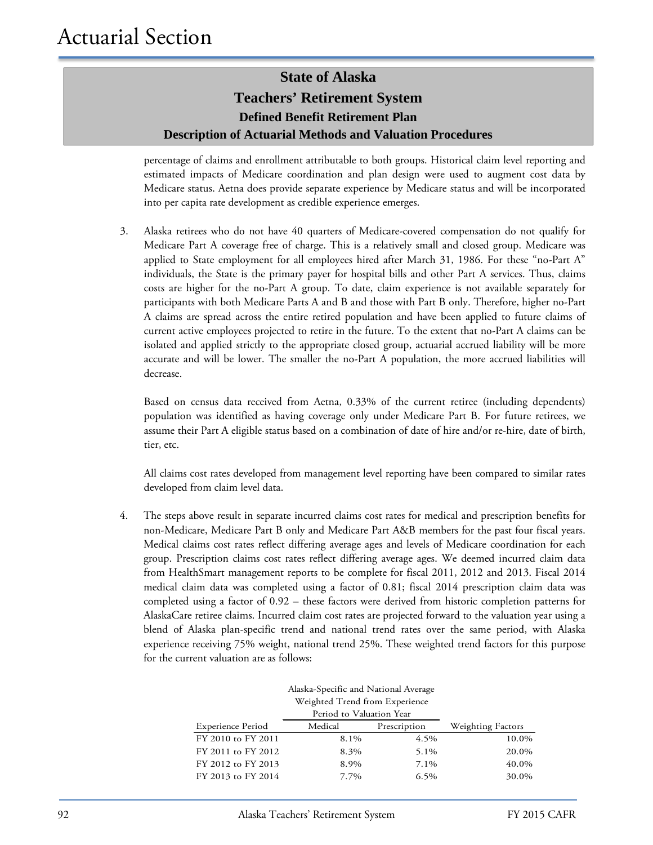### **State of Alaska Teachers' Retirement System Defined Benefit Retirement Plan Description of Actuarial Methods and Valuation Procedures**

percentage of claims and enrollment attributable to both groups. Historical claim level reporting and estimated impacts of Medicare coordination and plan design were used to augment cost data by Medicare status. Aetna does provide separate experience by Medicare status and will be incorporated into per capita rate development as credible experience emerges.

3. Alaska retirees who do not have 40 quarters of Medicare-covered compensation do not qualify for Medicare Part A coverage free of charge. This is a relatively small and closed group. Medicare was applied to State employment for all employees hired after March 31, 1986. For these "no-Part A" individuals, the State is the primary payer for hospital bills and other Part A services. Thus, claims costs are higher for the no-Part A group. To date, claim experience is not available separately for participants with both Medicare Parts A and B and those with Part B only. Therefore, higher no-Part A claims are spread across the entire retired population and have been applied to future claims of current active employees projected to retire in the future. To the extent that no-Part A claims can be isolated and applied strictly to the appropriate closed group, actuarial accrued liability will be more accurate and will be lower. The smaller the no-Part A population, the more accrued liabilities will decrease.

Based on census data received from Aetna, 0.33% of the current retiree (including dependents) population was identified as having coverage only under Medicare Part B. For future retirees, we assume their Part A eligible status based on a combination of date of hire and/or re-hire, date of birth, tier, etc.

All claims cost rates developed from management level reporting have been compared to similar rates developed from claim level data.

4. The steps above result in separate incurred claims cost rates for medical and prescription benefits for non-Medicare, Medicare Part B only and Medicare Part A&B members for the past four fiscal years. Medical claims cost rates reflect differing average ages and levels of Medicare coordination for each group. Prescription claims cost rates reflect differing average ages. We deemed incurred claim data from HealthSmart management reports to be complete for fiscal 2011, 2012 and 2013. Fiscal 2014 medical claim data was completed using a factor of 0.81; fiscal 2014 prescription claim data was completed using a factor of 0.92 – these factors were derived from historic completion patterns for AlaskaCare retiree claims. Incurred claim cost rates are projected forward to the valuation year using a blend of Alaska plan-specific trend and national trend rates over the same period, with Alaska experience receiving 75% weight, national trend 25%. These weighted trend factors for this purpose for the current valuation are as follows:

| Alaska-Specific and National Average |                                |              |                   |  |  |
|--------------------------------------|--------------------------------|--------------|-------------------|--|--|
|                                      | Weighted Trend from Experience |              |                   |  |  |
|                                      | Period to Valuation Year       |              |                   |  |  |
| <b>Experience Period</b>             | Medical                        | Prescription | Weighting Factors |  |  |
| FY 2010 to FY 2011                   | 8.1%                           | 4.5%         | 10.0%             |  |  |
| FY 2011 to FY 2012                   | 8.3%                           | 5.1%         | 20.0%             |  |  |
| FY 2012 to FY 2013                   | 8.9%                           | 7.1%         | 40.0%             |  |  |
| FY 2013 to FY 2014                   | 7.7%                           | 6.5%         | 30.0%             |  |  |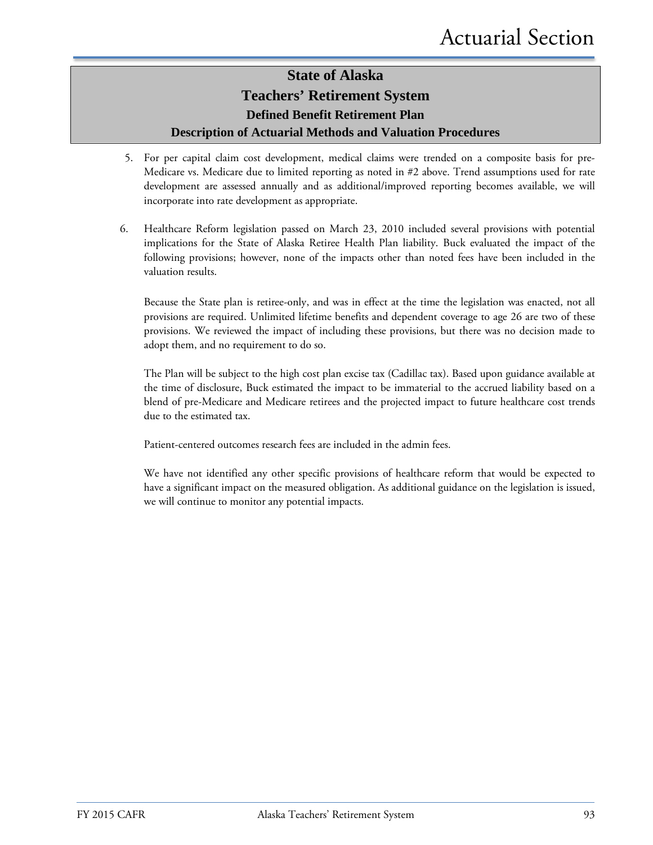### **State of Alaska Teachers' Retirement System Defined Benefit Retirement Plan Description of Actuarial Methods and Valuation Procedures**

- 5. For per capital claim cost development, medical claims were trended on a composite basis for pre-Medicare vs. Medicare due to limited reporting as noted in #2 above. Trend assumptions used for rate development are assessed annually and as additional/improved reporting becomes available, we will incorporate into rate development as appropriate.
- 6. Healthcare Reform legislation passed on March 23, 2010 included several provisions with potential implications for the State of Alaska Retiree Health Plan liability. Buck evaluated the impact of the following provisions; however, none of the impacts other than noted fees have been included in the valuation results.

Because the State plan is retiree-only, and was in effect at the time the legislation was enacted, not all provisions are required. Unlimited lifetime benefits and dependent coverage to age 26 are two of these provisions. We reviewed the impact of including these provisions, but there was no decision made to adopt them, and no requirement to do so.

The Plan will be subject to the high cost plan excise tax (Cadillac tax). Based upon guidance available at the time of disclosure, Buck estimated the impact to be immaterial to the accrued liability based on a blend of pre-Medicare and Medicare retirees and the projected impact to future healthcare cost trends due to the estimated tax.

Patient-centered outcomes research fees are included in the admin fees.

We have not identified any other specific provisions of healthcare reform that would be expected to have a significant impact on the measured obligation. As additional guidance on the legislation is issued, we will continue to monitor any potential impacts.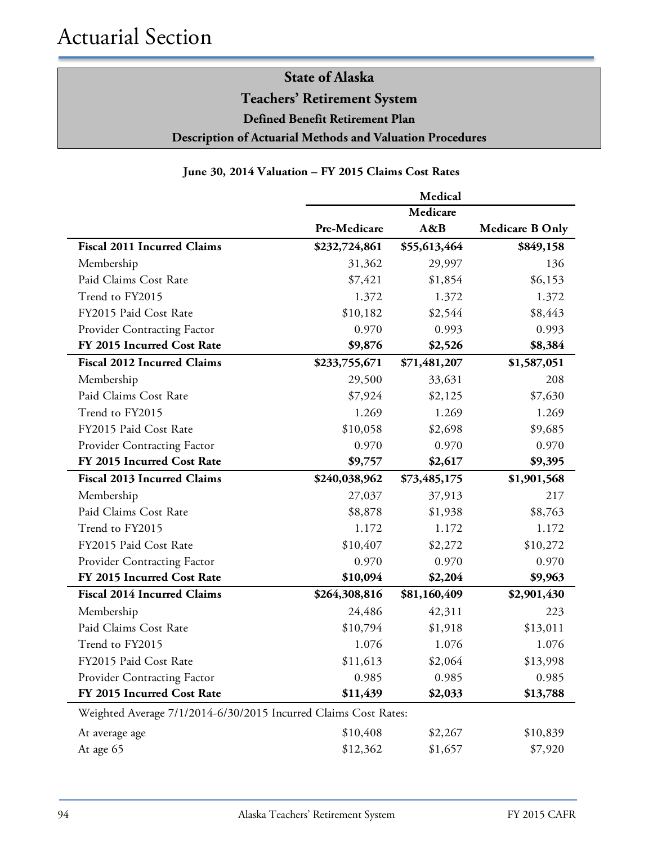**Teachers' Retirement System**

**Defined Benefit Retirement Plan**

**Description of Actuarial Methods and Valuation Procedures**

### **June 30, 2014 Valuation – FY 2015 Claims Cost Rates**

|                                                                 |               | Medical      |                        |
|-----------------------------------------------------------------|---------------|--------------|------------------------|
|                                                                 |               | Medicare     |                        |
|                                                                 | Pre-Medicare  | A&B          | <b>Medicare B Only</b> |
| <b>Fiscal 2011 Incurred Claims</b>                              | \$232,724,861 | \$55,613,464 | \$849,158              |
| Membership                                                      | 31,362        | 29,997       | 136                    |
| Paid Claims Cost Rate                                           | \$7,421       | \$1,854      | \$6,153                |
| Trend to FY2015                                                 | 1.372         | 1.372        | 1.372                  |
| FY2015 Paid Cost Rate                                           | \$10,182      | \$2,544      | \$8,443                |
| Provider Contracting Factor                                     | 0.970         | 0.993        | 0.993                  |
| FY 2015 Incurred Cost Rate                                      | \$9,876       | \$2,526      | \$8,384                |
| <b>Fiscal 2012 Incurred Claims</b>                              | \$233,755,671 | \$71,481,207 | \$1,587,051            |
| Membership                                                      | 29,500        | 33,631       | 208                    |
| Paid Claims Cost Rate                                           | \$7,924       | \$2,125      | \$7,630                |
| Trend to FY2015                                                 | 1.269         | 1.269        | 1.269                  |
| FY2015 Paid Cost Rate                                           | \$10,058      | \$2,698      | \$9,685                |
| Provider Contracting Factor                                     | 0.970         | 0.970        | 0.970                  |
| FY 2015 Incurred Cost Rate                                      | \$9,757       | \$2,617      | \$9,395                |
| <b>Fiscal 2013 Incurred Claims</b>                              | \$240,038,962 | \$73,485,175 | \$1,901,568            |
| Membership                                                      | 27,037        | 37,913       | 217                    |
| Paid Claims Cost Rate                                           | \$8,878       | \$1,938      | \$8,763                |
| Trend to FY2015                                                 | 1.172         | 1.172        | 1.172                  |
| FY2015 Paid Cost Rate                                           | \$10,407      | \$2,272      | \$10,272               |
| Provider Contracting Factor                                     | 0.970         | 0.970        | 0.970                  |
| FY 2015 Incurred Cost Rate                                      | \$10,094      | \$2,204      | \$9,963                |
| <b>Fiscal 2014 Incurred Claims</b>                              | \$264,308,816 | \$81,160,409 | \$2,901,430            |
| Membership                                                      | 24,486        | 42,311       | 223                    |
| Paid Claims Cost Rate                                           | \$10,794      | \$1,918      | \$13,011               |
| Trend to FY2015                                                 | 1.076         | 1.076        | 1.076                  |
| FY2015 Paid Cost Rate                                           | \$11,613      | \$2,064      | \$13,998               |
| Provider Contracting Factor                                     | 0.985         | 0.985        | 0.985                  |
| FY 2015 Incurred Cost Rate                                      | \$11,439      | \$2,033      | \$13,788               |
| Weighted Average 7/1/2014-6/30/2015 Incurred Claims Cost Rates: |               |              |                        |
| At average age                                                  | \$10,408      | \$2,267      | \$10,839               |
| At age 65                                                       | \$12,362      | \$1,657      | \$7,920                |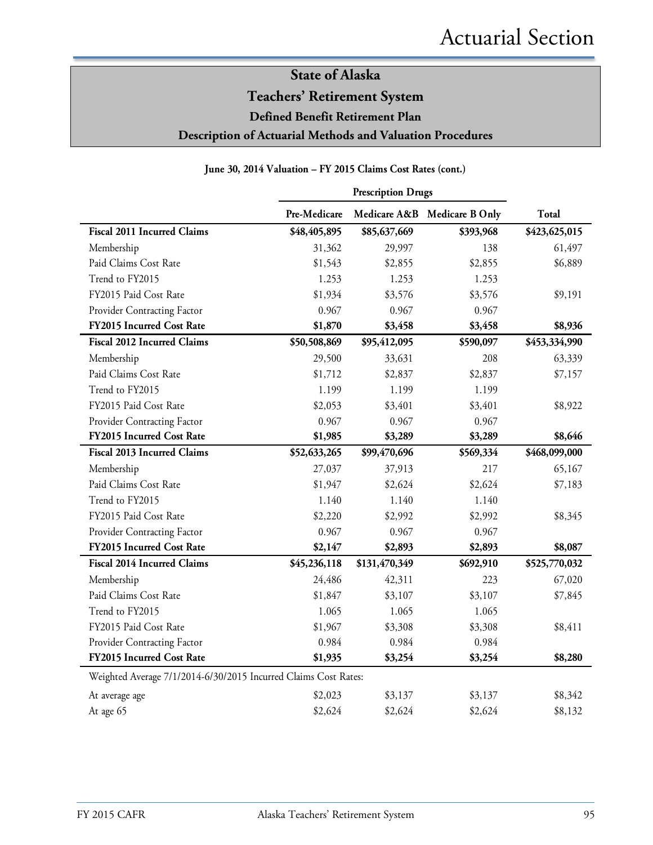**Teachers' Retirement System**

**Defined Benefit Retirement Plan**

**Description of Actuarial Methods and Valuation Procedures**

#### **June 30, 2014 Valuation – FY 2015 Claims Cost Rates (cont.)**

|                                                                 | <b>Prescription Drugs</b> |               |                              |               |
|-----------------------------------------------------------------|---------------------------|---------------|------------------------------|---------------|
|                                                                 | Pre-Medicare              |               | Medicare A&B Medicare B Only | Total         |
| Fiscal 2011 Incurred Claims                                     | \$48,405,895              | \$85,637,669  | \$393,968                    | \$423,625,015 |
| Membership                                                      | 31,362                    | 29,997        | 138                          | 61,497        |
| Paid Claims Cost Rate                                           | \$1,543                   | \$2,855       | \$2,855                      | \$6,889       |
| Trend to FY2015                                                 | 1.253                     | 1.253         | 1.253                        |               |
| FY2015 Paid Cost Rate                                           | \$1,934                   | \$3,576       | \$3,576                      | \$9,191       |
| Provider Contracting Factor                                     | 0.967                     | 0.967         | 0.967                        |               |
| FY2015 Incurred Cost Rate                                       | \$1,870                   | \$3,458       | \$3,458                      | \$8,936       |
| <b>Fiscal 2012 Incurred Claims</b>                              | \$50,508,869              | \$95,412,095  | \$590,097                    | \$453,334,990 |
| Membership                                                      | 29,500                    | 33,631        | 208                          | 63,339        |
| Paid Claims Cost Rate                                           | \$1,712                   | \$2,837       | \$2,837                      | \$7,157       |
| Trend to FY2015                                                 | 1.199                     | 1.199         | 1.199                        |               |
| FY2015 Paid Cost Rate                                           | \$2,053                   | \$3,401       | \$3,401                      | \$8,922       |
| Provider Contracting Factor                                     | 0.967                     | 0.967         | 0.967                        |               |
| FY2015 Incurred Cost Rate                                       | \$1,985                   | \$3,289       | \$3,289                      | \$8,646       |
| <b>Fiscal 2013 Incurred Claims</b>                              | \$52,633,265              | \$99,470,696  | \$569,334                    | \$468,099,000 |
| Membership                                                      | 27,037                    | 37,913        | 217                          | 65,167        |
| Paid Claims Cost Rate                                           | \$1,947                   | \$2,624       | \$2,624                      | \$7,183       |
| Trend to FY2015                                                 | 1.140                     | 1.140         | 1.140                        |               |
| FY2015 Paid Cost Rate                                           | \$2,220                   | \$2,992       | \$2,992                      | \$8,345       |
| Provider Contracting Factor                                     | 0.967                     | 0.967         | 0.967                        |               |
| FY2015 Incurred Cost Rate                                       | \$2,147                   | \$2,893       | \$2,893                      | \$8,087       |
| <b>Fiscal 2014 Incurred Claims</b>                              | \$45,236,118              | \$131,470,349 | \$692,910                    | \$525,770,032 |
| Membership                                                      | 24,486                    | 42,311        | 223                          | 67,020        |
| Paid Claims Cost Rate                                           | \$1,847                   | \$3,107       | \$3,107                      | \$7,845       |
| Trend to FY2015                                                 | 1.065                     | 1.065         | 1.065                        |               |
| FY2015 Paid Cost Rate                                           | \$1,967                   | \$3,308       | \$3,308                      | \$8,411       |
| Provider Contracting Factor                                     | 0.984                     | 0.984         | 0.984                        |               |
| FY2015 Incurred Cost Rate                                       | \$1,935                   | \$3,254       | \$3,254                      | \$8,280       |
| Weighted Average 7/1/2014-6/30/2015 Incurred Claims Cost Rates: |                           |               |                              |               |
| At average age                                                  | \$2,023                   | \$3,137       | \$3,137                      | \$8,342       |
| At age 65                                                       | \$2,624                   | \$2,624       | \$2,624                      | \$8,132       |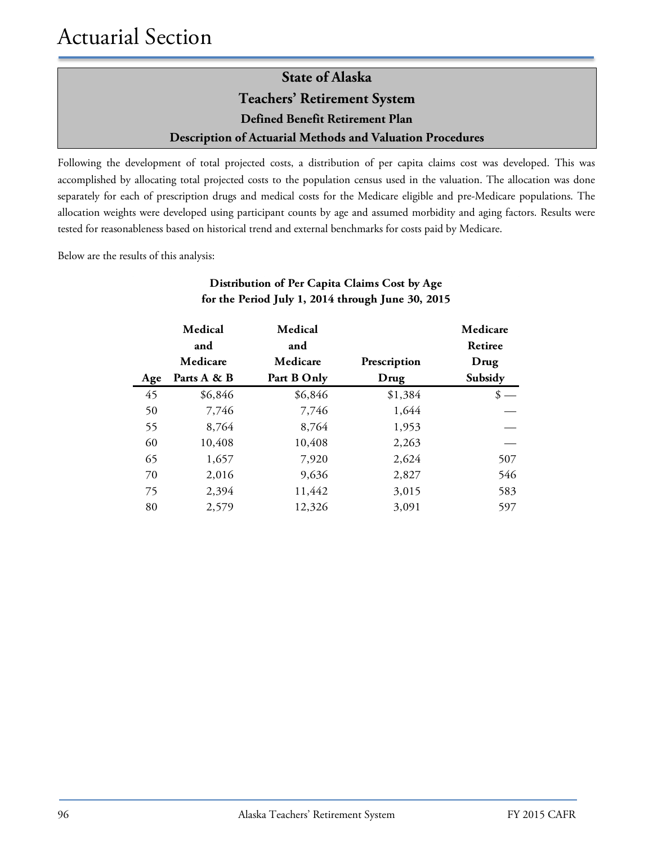### **State of Alaska Teachers' Retirement System Defined Benefit Retirement Plan Description of Actuarial Methods and Valuation Procedures**

Following the development of total projected costs, a distribution of per capita claims cost was developed. This was accomplished by allocating total projected costs to the population census used in the valuation. The allocation was done separately for each of prescription drugs and medical costs for the Medicare eligible and pre-Medicare populations. The allocation weights were developed using participant counts by age and assumed morbidity and aging factors. Results were tested for reasonableness based on historical trend and external benchmarks for costs paid by Medicare.

Below are the results of this analysis:

|     | Medical     | Medical     |              | Medicare |
|-----|-------------|-------------|--------------|----------|
|     | and         | and         |              | Retiree  |
|     | Medicare    | Medicare    | Prescription | Drug     |
| Age | Parts A & B | Part B Only | Drug         | Subsidy  |
| 45  | \$6,846     | \$6,846     | \$1,384      | \$       |
| 50  | 7,746       | 7,746       | 1,644        |          |
| 55  | 8,764       | 8,764       | 1,953        |          |
| 60  | 10,408      | 10,408      | 2,263        |          |
| 65  | 1,657       | 7,920       | 2,624        | 507      |
| 70  | 2,016       | 9,636       | 2,827        | 546      |
| 75  | 2,394       | 11,442      | 3,015        | 583      |
| 80  | 2,579       | 12,326      | 3,091        | 597      |

### **Distribution of Per Capita Claims Cost by Age for the Period July 1, 2014 through June 30, 2015**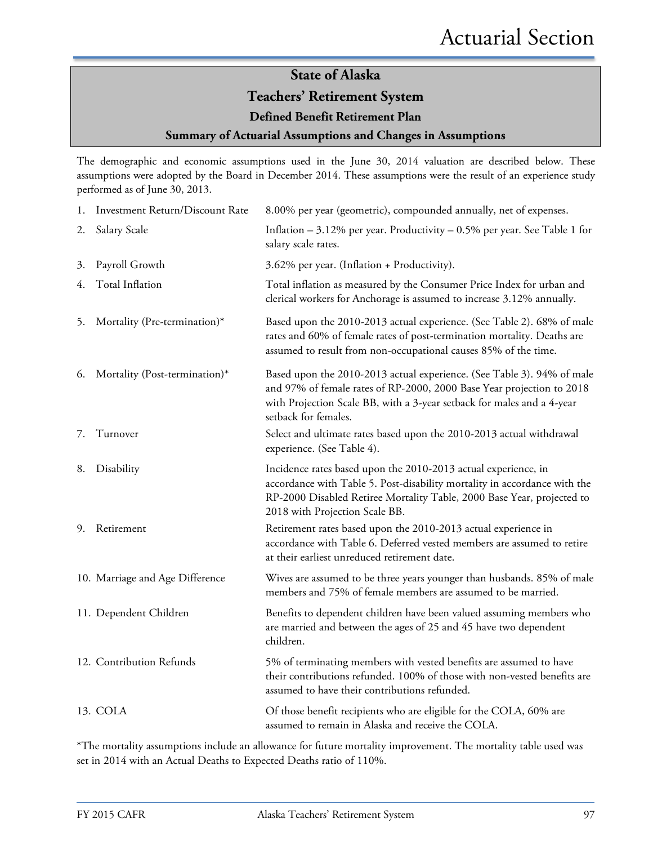### **Teachers' Retirement System**

### **Defined Benefit Retirement Plan**

### **Summary of Actuarial Assumptions and Changes in Assumptions**

The demographic and economic assumptions used in the June 30, 2014 valuation are described below. These assumptions were adopted by the Board in December 2014. These assumptions were the result of an experience study performed as of June 30, 2013.

|    | 1. Investment Return/Discount Rate | 8.00% per year (geometric), compounded annually, net of expenses.                                                                                                                                                                                       |
|----|------------------------------------|---------------------------------------------------------------------------------------------------------------------------------------------------------------------------------------------------------------------------------------------------------|
| 2. | Salary Scale                       | Inflation $-3.12\%$ per year. Productivity $-0.5\%$ per year. See Table 1 for<br>salary scale rates.                                                                                                                                                    |
| 3. | Payroll Growth                     | 3.62% per year. (Inflation + Productivity).                                                                                                                                                                                                             |
| 4. | Total Inflation                    | Total inflation as measured by the Consumer Price Index for urban and<br>clerical workers for Anchorage is assumed to increase 3.12% annually.                                                                                                          |
| 5. | Mortality (Pre-termination)*       | Based upon the 2010-2013 actual experience. (See Table 2). 68% of male<br>rates and 60% of female rates of post-termination mortality. Deaths are<br>assumed to result from non-occupational causes 85% of the time.                                    |
| 6. | Mortality (Post-termination)*      | Based upon the 2010-2013 actual experience. (See Table 3). 94% of male<br>and 97% of female rates of RP-2000, 2000 Base Year projection to 2018<br>with Projection Scale BB, with a 3-year setback for males and a 4-year<br>setback for females.       |
| 7. | Turnover                           | Select and ultimate rates based upon the 2010-2013 actual withdrawal<br>experience. (See Table 4).                                                                                                                                                      |
| 8. | Disability                         | Incidence rates based upon the 2010-2013 actual experience, in<br>accordance with Table 5. Post-disability mortality in accordance with the<br>RP-2000 Disabled Retiree Mortality Table, 2000 Base Year, projected to<br>2018 with Projection Scale BB. |
| 9. | Retirement                         | Retirement rates based upon the 2010-2013 actual experience in<br>accordance with Table 6. Deferred vested members are assumed to retire<br>at their earliest unreduced retirement date.                                                                |
|    | 10. Marriage and Age Difference    | Wives are assumed to be three years younger than husbands. 85% of male<br>members and 75% of female members are assumed to be married.                                                                                                                  |
|    | 11. Dependent Children             | Benefits to dependent children have been valued assuming members who<br>are married and between the ages of 25 and 45 have two dependent<br>children.                                                                                                   |
|    | 12. Contribution Refunds           | 5% of terminating members with vested benefits are assumed to have<br>their contributions refunded. 100% of those with non-vested benefits are<br>assumed to have their contributions refunded.                                                         |
|    | 13. COLA                           | Of those benefit recipients who are eligible for the COLA, 60% are<br>assumed to remain in Alaska and receive the COLA.                                                                                                                                 |

\*The mortality assumptions include an allowance for future mortality improvement. The mortality table used was set in 2014 with an Actual Deaths to Expected Deaths ratio of 110%.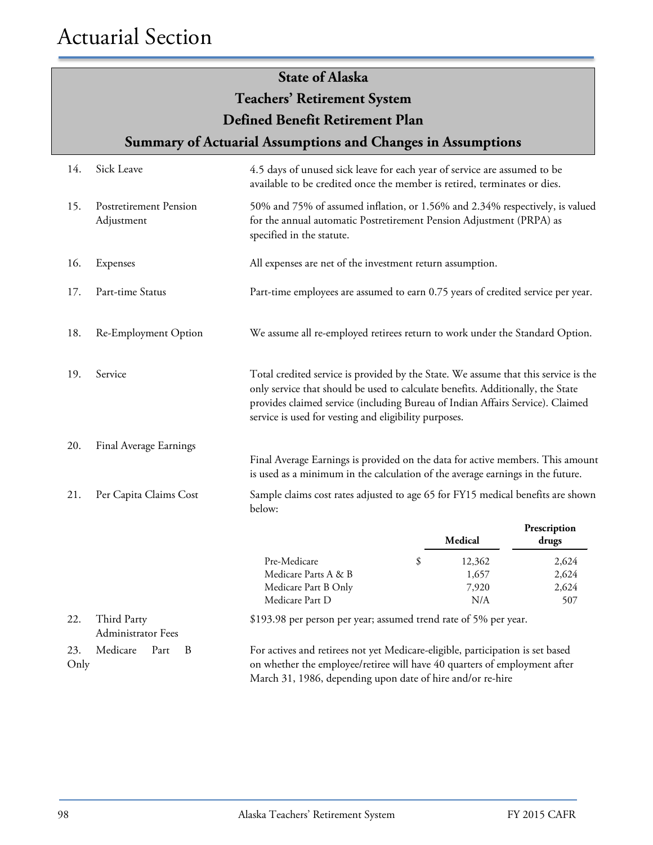|                                                                                                                                                                                                                                                                                                                                     | <b>State of Alaska</b>                      |                                                                                                                                                                                                                           |    |                                 |                                |
|-------------------------------------------------------------------------------------------------------------------------------------------------------------------------------------------------------------------------------------------------------------------------------------------------------------------------------------|---------------------------------------------|---------------------------------------------------------------------------------------------------------------------------------------------------------------------------------------------------------------------------|----|---------------------------------|--------------------------------|
|                                                                                                                                                                                                                                                                                                                                     |                                             | <b>Teachers' Retirement System</b>                                                                                                                                                                                        |    |                                 |                                |
|                                                                                                                                                                                                                                                                                                                                     |                                             | Defined Benefit Retirement Plan                                                                                                                                                                                           |    |                                 |                                |
|                                                                                                                                                                                                                                                                                                                                     |                                             | <b>Summary of Actuarial Assumptions and Changes in Assumptions</b>                                                                                                                                                        |    |                                 |                                |
| 14.                                                                                                                                                                                                                                                                                                                                 | Sick Leave                                  | 4.5 days of unused sick leave for each year of service are assumed to be<br>available to be credited once the member is retired, terminates or dies.                                                                      |    |                                 |                                |
| 15.                                                                                                                                                                                                                                                                                                                                 | <b>Postretirement Pension</b><br>Adjustment | 50% and 75% of assumed inflation, or 1.56% and 2.34% respectively, is valued<br>for the annual automatic Postretirement Pension Adjustment (PRPA) as<br>specified in the statute.                                         |    |                                 |                                |
| 16.                                                                                                                                                                                                                                                                                                                                 | Expenses                                    | All expenses are net of the investment return assumption.                                                                                                                                                                 |    |                                 |                                |
| 17.                                                                                                                                                                                                                                                                                                                                 | Part-time Status                            | Part-time employees are assumed to earn 0.75 years of credited service per year.                                                                                                                                          |    |                                 |                                |
| 18.                                                                                                                                                                                                                                                                                                                                 | Re-Employment Option                        | We assume all re-employed retirees return to work under the Standard Option.                                                                                                                                              |    |                                 |                                |
| Total credited service is provided by the State. We assume that this service is the<br>Service<br>19.<br>only service that should be used to calculate benefits. Additionally, the State<br>provides claimed service (including Bureau of Indian Affairs Service). Claimed<br>service is used for vesting and eligibility purposes. |                                             |                                                                                                                                                                                                                           |    |                                 |                                |
| 20.                                                                                                                                                                                                                                                                                                                                 | Final Average Earnings                      |                                                                                                                                                                                                                           |    |                                 |                                |
|                                                                                                                                                                                                                                                                                                                                     |                                             | Final Average Earnings is provided on the data for active members. This amount<br>is used as a minimum in the calculation of the average earnings in the future.                                                          |    |                                 |                                |
| 21.                                                                                                                                                                                                                                                                                                                                 | Per Capita Claims Cost                      | Sample claims cost rates adjusted to age 65 for FY15 medical benefits are shown<br>below:                                                                                                                                 |    |                                 |                                |
|                                                                                                                                                                                                                                                                                                                                     |                                             |                                                                                                                                                                                                                           |    | Medical                         | Prescription<br>drugs          |
|                                                                                                                                                                                                                                                                                                                                     |                                             | Pre-Medicare<br>Medicare Parts A & B<br>Medicare Part B Only<br>Medicare Part D                                                                                                                                           | \$ | 12,362<br>1,657<br>7,920<br>N/A | 2,624<br>2,624<br>2,624<br>507 |
| 22.                                                                                                                                                                                                                                                                                                                                 | Third Party<br>Administrator Fees           | \$193.98 per person per year; assumed trend rate of 5% per year.                                                                                                                                                          |    |                                 |                                |
| 23.<br>Only                                                                                                                                                                                                                                                                                                                         | Medicare<br>Part<br>B                       | For actives and retirees not yet Medicare-eligible, participation is set based<br>on whether the employee/retiree will have 40 quarters of employment after<br>March 31, 1986, depending upon date of hire and/or re-hire |    |                                 |                                |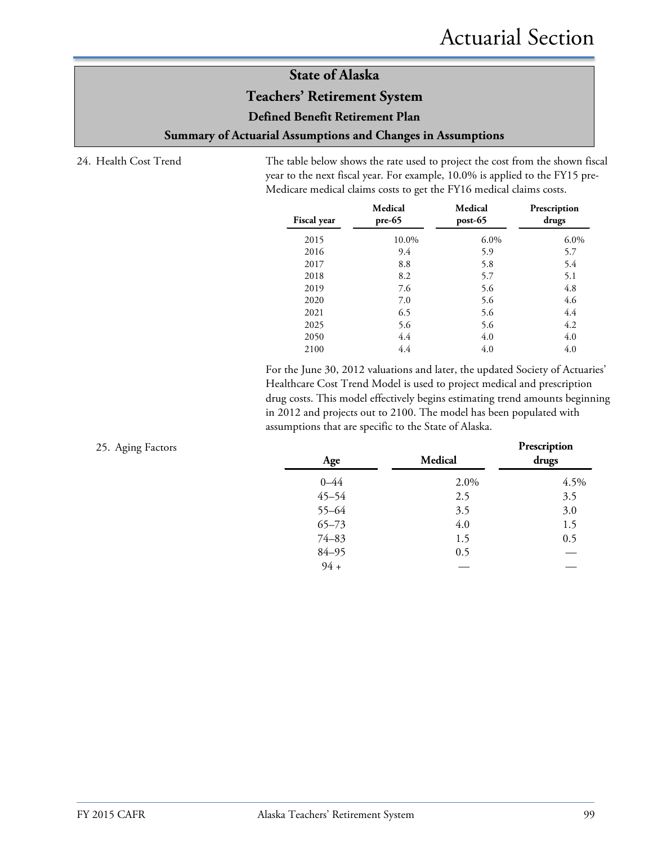### **Teachers' Retirement System**

**Defined Benefit Retirement Plan**

**Summary of Actuarial Assumptions and Changes in Assumptions**

24. Health Cost Trend The table below shows the rate used to project the cost from the shown fiscal year to the next fiscal year. For example, 10.0% is applied to the FY15 pre-Medicare medical claims costs to get the FY16 medical claims costs.

| <b>Fiscal year</b> | Medical<br>$pre-65$ | Medical<br>$post-65$ | Prescription<br>drugs |
|--------------------|---------------------|----------------------|-----------------------|
| 2015               | 10.0%               | $6.0\%$              | $6.0\%$               |
| 2016               | 9.4                 | 5.9                  | 5.7                   |
| 2017               | 8.8                 | 5.8                  | 5.4                   |
| 2018               | 8.2                 | 5.7                  | 5.1                   |
| 2019               | 7.6                 | 5.6                  | 4.8                   |
| 2020               | 7.0                 | 5.6                  | 4.6                   |
| 2021               | 6.5                 | 5.6                  | 4.4                   |
| 2025               | 5.6                 | 5.6                  | 4.2                   |
| 2050               | 4.4                 | 4.0                  | 4.0                   |
| 2100               | 4.4                 | 4.0                  | 4.0                   |

For the June 30, 2012 valuations and later, the updated Society of Actuaries' Healthcare Cost Trend Model is used to project medical and prescription drug costs. This model effectively begins estimating trend amounts beginning in 2012 and projects out to 2100. The model has been populated with assumptions that are specific to the State of Alaska.

| 25. Aging Factors | Age       | Medical | Prescription<br>drugs |
|-------------------|-----------|---------|-----------------------|
|                   | $0 - 44$  | 2.0%    | 4.5%                  |
|                   | $45 - 54$ | 2.5     | 3.5                   |
|                   | $55 - 64$ | 3.5     | 3.0                   |
|                   | $65 - 73$ | 4.0     | 1.5                   |
|                   | $74 - 83$ | 1.5     | 0.5                   |
|                   | $84 - 95$ | 0.5     |                       |
|                   | $94 +$    |         |                       |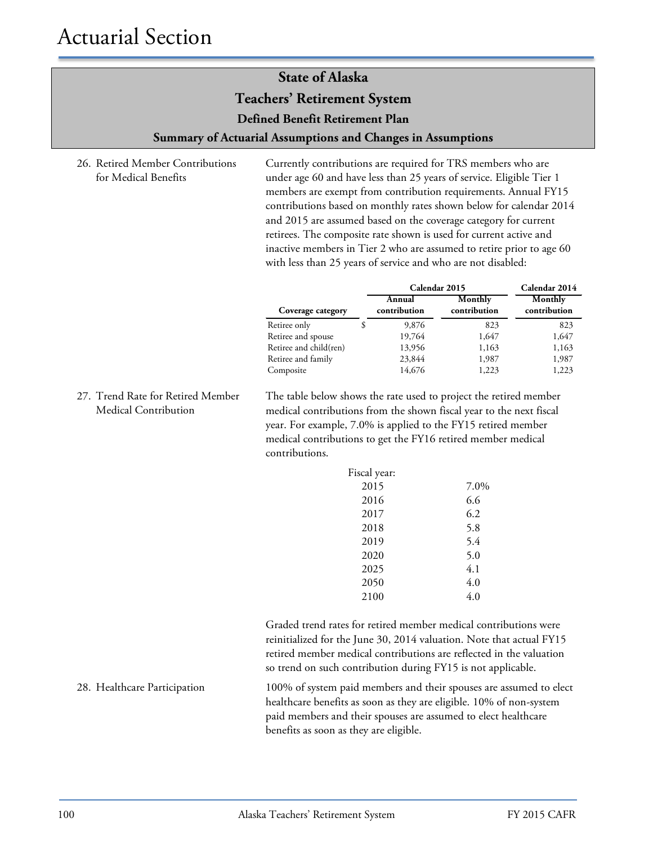**Teachers' Retirement System**

**Defined Benefit Retirement Plan**

#### **Summary of Actuarial Assumptions and Changes in Assumptions**

26. Retired Member Contributions for Medical Benefits

Currently contributions are required for TRS members who are under age 60 and have less than 25 years of service. Eligible Tier 1 members are exempt from contribution requirements. Annual FY15 contributions based on monthly rates shown below for calendar 2014 and 2015 are assumed based on the coverage category for current retirees. The composite rate shown is used for current active and inactive members in Tier 2 who are assumed to retire prior to age 60 with less than 25 years of service and who are not disabled:

|                        | Calendar 2015          | Calendar 2014           |                         |
|------------------------|------------------------|-------------------------|-------------------------|
| Coverage category      | Annual<br>contribution | Monthly<br>contribution | Monthly<br>contribution |
| Retiree only           | 9,876                  | 823                     | 823                     |
| Retiree and spouse     | 19,764                 | 1,647                   | 1,647                   |
| Retiree and child(ren) | 13,956                 | 1,163                   | 1,163                   |
| Retiree and family     | 23,844                 | 1,987                   | 1,987                   |
| Composite              | 14,676                 | 1,223                   | 1,223                   |

27. Trend Rate for Retired Member Medical Contribution

The table below shows the rate used to project the retired member medical contributions from the shown fiscal year to the next fiscal year. For example, 7.0% is applied to the FY15 retired member medical contributions to get the FY16 retired member medical contributions.

| Fiscal year: |      |
|--------------|------|
| 2015         | 7.0% |
| 2016         | 6.6  |
| 2017         | 6.2  |
| 2018         | 5.8  |
| 2019         | 5.4  |
| 2020         | 5.0  |
| 2025         | 4.1  |
| 2050         | 4.0  |
| 2100         | 4.0  |

Graded trend rates for retired member medical contributions were reinitialized for the June 30, 2014 valuation. Note that actual FY15 retired member medical contributions are reflected in the valuation so trend on such contribution during FY15 is not applicable.

28. Healthcare Participation 100% of system paid members and their spouses are assumed to elect healthcare benefits as soon as they are eligible. 10% of non-system paid members and their spouses are assumed to elect healthcare benefits as soon as they are eligible.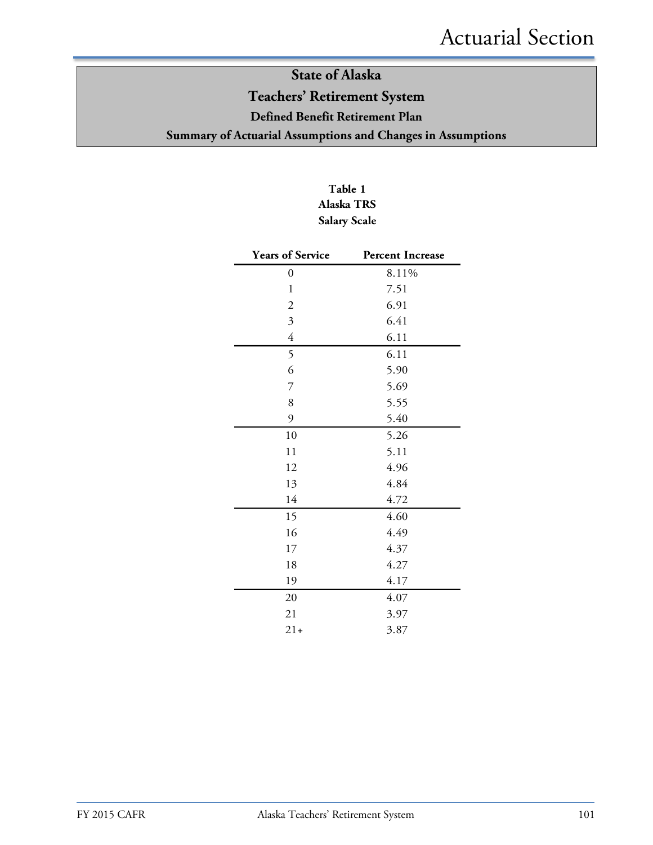### **State of Alaska Teachers' Retirement System Defined Benefit Retirement Plan Summary of Actuarial Assumptions and Changes in Assumptions**

### **Table 1 Alaska TRS Salary Scale**

| <b>Years of Service</b>   | <b>Percent Increase</b> |
|---------------------------|-------------------------|
| 0                         | 8.11%                   |
| 1                         | 7.51                    |
| $\overline{2}$            | 6.91                    |
| $\overline{\mathfrak{Z}}$ | 6.41                    |
| $\overline{4}$            | 6.11                    |
| 5                         | 6.11                    |
| 6                         | 5.90                    |
| 7                         | 5.69                    |
| 8                         | 5.55                    |
| 9                         | 5.40                    |
| 10                        | 5.26                    |
| 11                        | 5.11                    |
| 12                        | 4.96                    |
| 13                        | 4.84                    |
| 14                        | 4.72                    |
| 15                        | 4.60                    |
| 16                        | 4.49                    |
| 17                        | 4.37                    |
| 18                        | 4.27                    |
| 19                        | 4.17                    |
| 20                        | 4.07                    |
| 21                        | 3.97                    |
| $21+$                     | 3.87                    |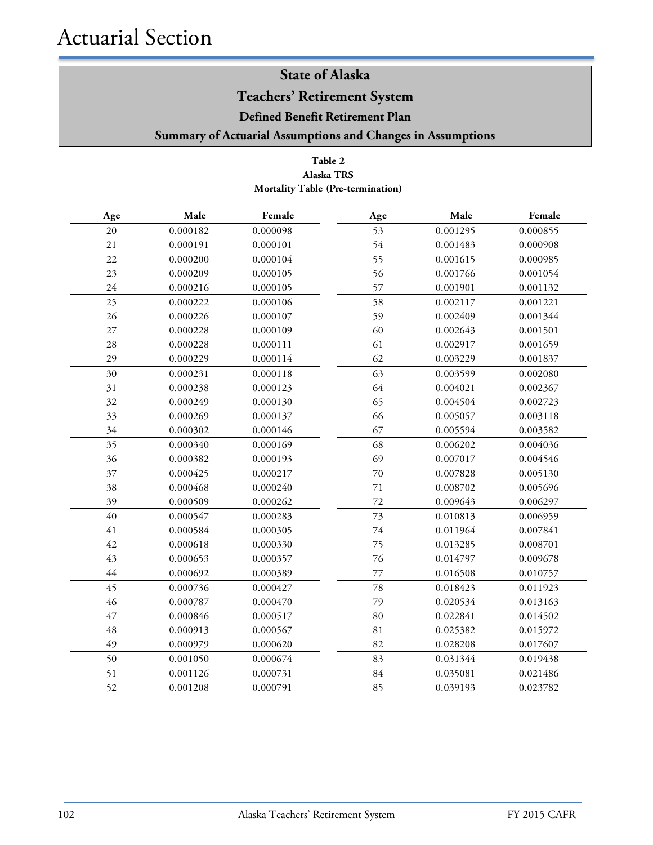**Teachers' Retirement System**

**Defined Benefit Retirement Plan**

**Summary of Actuarial Assumptions and Changes in Assumptions**

### **Table 2 Mortality Table (Pre-termination) Alaska TRS**

| Age    | Male     | Female   | Age    | Male     | Female   |
|--------|----------|----------|--------|----------|----------|
| 20     | 0.000182 | 0.000098 | 53     | 0.001295 | 0.000855 |
| 21     | 0.000191 | 0.000101 | 54     | 0.001483 | 0.000908 |
| 22     | 0.000200 | 0.000104 | 55     | 0.001615 | 0.000985 |
| 23     | 0.000209 | 0.000105 | 56     | 0.001766 | 0.001054 |
| 24     | 0.000216 | 0.000105 | 57     | 0.001901 | 0.001132 |
| 25     | 0.000222 | 0.000106 | 58     | 0.002117 | 0.001221 |
| 26     | 0.000226 | 0.000107 | 59     | 0.002409 | 0.001344 |
| $27\,$ | 0.000228 | 0.000109 | 60     | 0.002643 | 0.001501 |
| $28\,$ | 0.000228 | 0.000111 | 61     | 0.002917 | 0.001659 |
| 29     | 0.000229 | 0.000114 | 62     | 0.003229 | 0.001837 |
| 30     | 0.000231 | 0.000118 | 63     | 0.003599 | 0.002080 |
| 31     | 0.000238 | 0.000123 | 64     | 0.004021 | 0.002367 |
| 32     | 0.000249 | 0.000130 | 65     | 0.004504 | 0.002723 |
| 33     | 0.000269 | 0.000137 | 66     | 0.005057 | 0.003118 |
| 34     | 0.000302 | 0.000146 | 67     | 0.005594 | 0.003582 |
| 35     | 0.000340 | 0.000169 | 68     | 0.006202 | 0.004036 |
| 36     | 0.000382 | 0.000193 | 69     | 0.007017 | 0.004546 |
| 37     | 0.000425 | 0.000217 | 70     | 0.007828 | 0.005130 |
| 38     | 0.000468 | 0.000240 | 71     | 0.008702 | 0.005696 |
| 39     | 0.000509 | 0.000262 | 72     | 0.009643 | 0.006297 |
| 40     | 0.000547 | 0.000283 | 73     | 0.010813 | 0.006959 |
| $41\,$ | 0.000584 | 0.000305 | $74\,$ | 0.011964 | 0.007841 |
| 42     | 0.000618 | 0.000330 | 75     | 0.013285 | 0.008701 |
| 43     | 0.000653 | 0.000357 | 76     | 0.014797 | 0.009678 |
| 44     | 0.000692 | 0.000389 | 77     | 0.016508 | 0.010757 |
| 45     | 0.000736 | 0.000427 | 78     | 0.018423 | 0.011923 |
| 46     | 0.000787 | 0.000470 | 79     | 0.020534 | 0.013163 |
| 47     | 0.000846 | 0.000517 | 80     | 0.022841 | 0.014502 |
| 48     | 0.000913 | 0.000567 | 81     | 0.025382 | 0.015972 |
| 49     | 0.000979 | 0.000620 | 82     | 0.028208 | 0.017607 |
| 50     | 0.001050 | 0.000674 | 83     | 0.031344 | 0.019438 |
| 51     | 0.001126 | 0.000731 | 84     | 0.035081 | 0.021486 |
| 52     | 0.001208 | 0.000791 | 85     | 0.039193 | 0.023782 |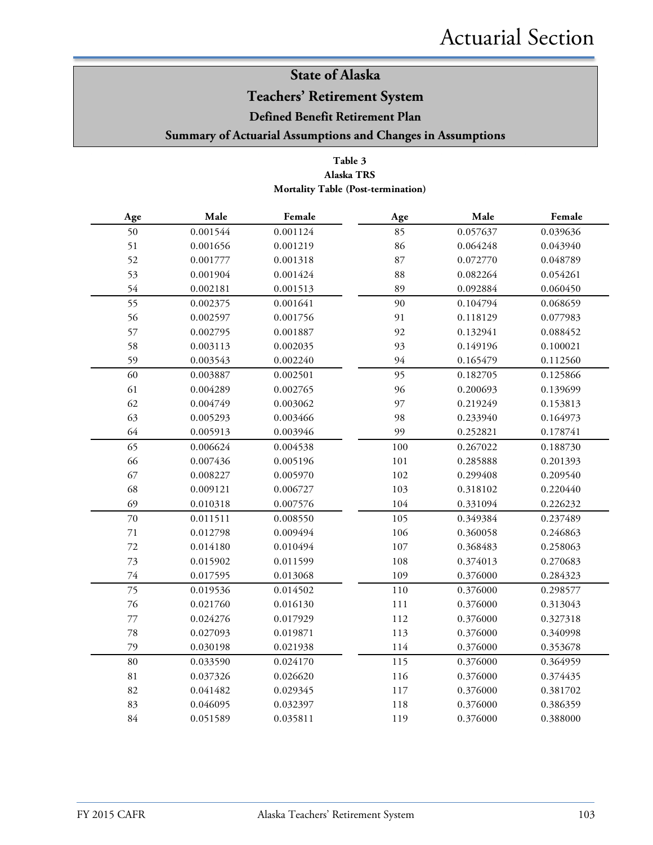### **Teachers' Retirement System**

**Defined Benefit Retirement Plan**

**Summary of Actuarial Assumptions and Changes in Assumptions**

### **Table 3 Alaska TRS Mortality Table (Post-termination)**

| Age         | Male     | Female   | Age | Male     | Female   |
|-------------|----------|----------|-----|----------|----------|
| 50          | 0.001544 | 0.001124 | 85  | 0.057637 | 0.039636 |
| 51          | 0.001656 | 0.001219 | 86  | 0.064248 | 0.043940 |
| 52          | 0.001777 | 0.001318 | 87  | 0.072770 | 0.048789 |
| 53          | 0.001904 | 0.001424 | 88  | 0.082264 | 0.054261 |
| 54          | 0.002181 | 0.001513 | 89  | 0.092884 | 0.060450 |
| 55          | 0.002375 | 0.001641 | 90  | 0.104794 | 0.068659 |
| 56          | 0.002597 | 0.001756 | 91  | 0.118129 | 0.077983 |
| 57          | 0.002795 | 0.001887 | 92  | 0.132941 | 0.088452 |
| 58          | 0.003113 | 0.002035 | 93  | 0.149196 | 0.100021 |
| 59          | 0.003543 | 0.002240 | 94  | 0.165479 | 0.112560 |
| 60          | 0.003887 | 0.002501 | 95  | 0.182705 | 0.125866 |
| 61          | 0.004289 | 0.002765 | 96  | 0.200693 | 0.139699 |
| 62          | 0.004749 | 0.003062 | 97  | 0.219249 | 0.153813 |
| 63          | 0.005293 | 0.003466 | 98  | 0.233940 | 0.164973 |
| 64          | 0.005913 | 0.003946 | 99  | 0.252821 | 0.178741 |
| 65          | 0.006624 | 0.004538 | 100 | 0.267022 | 0.188730 |
| 66          | 0.007436 | 0.005196 | 101 | 0.285888 | 0.201393 |
| 67          | 0.008227 | 0.005970 | 102 | 0.299408 | 0.209540 |
| 68          | 0.009121 | 0.006727 | 103 | 0.318102 | 0.220440 |
| 69          | 0.010318 | 0.007576 | 104 | 0.331094 | 0.226232 |
| 70          | 0.011511 | 0.008550 | 105 | 0.349384 | 0.237489 |
| $71\,$      | 0.012798 | 0.009494 | 106 | 0.360058 | 0.246863 |
| $72\,$      | 0.014180 | 0.010494 | 107 | 0.368483 | 0.258063 |
| 73          | 0.015902 | 0.011599 | 108 | 0.374013 | 0.270683 |
| $74\,$      | 0.017595 | 0.013068 | 109 | 0.376000 | 0.284323 |
| 75          | 0.019536 | 0.014502 | 110 | 0.376000 | 0.298577 |
| 76          | 0.021760 | 0.016130 | 111 | 0.376000 | 0.313043 |
| $77\,$      | 0.024276 | 0.017929 | 112 | 0.376000 | 0.327318 |
| 78          | 0.027093 | 0.019871 | 113 | 0.376000 | 0.340998 |
| 79          | 0.030198 | 0.021938 | 114 | 0.376000 | 0.353678 |
| $80\,$      | 0.033590 | 0.024170 | 115 | 0.376000 | 0.364959 |
| $8\sqrt{1}$ | 0.037326 | 0.026620 | 116 | 0.376000 | 0.374435 |
| 82          | 0.041482 | 0.029345 | 117 | 0.376000 | 0.381702 |
| 83          | 0.046095 | 0.032397 | 118 | 0.376000 | 0.386359 |
| $84\,$      | 0.051589 | 0.035811 | 119 | 0.376000 | 0.388000 |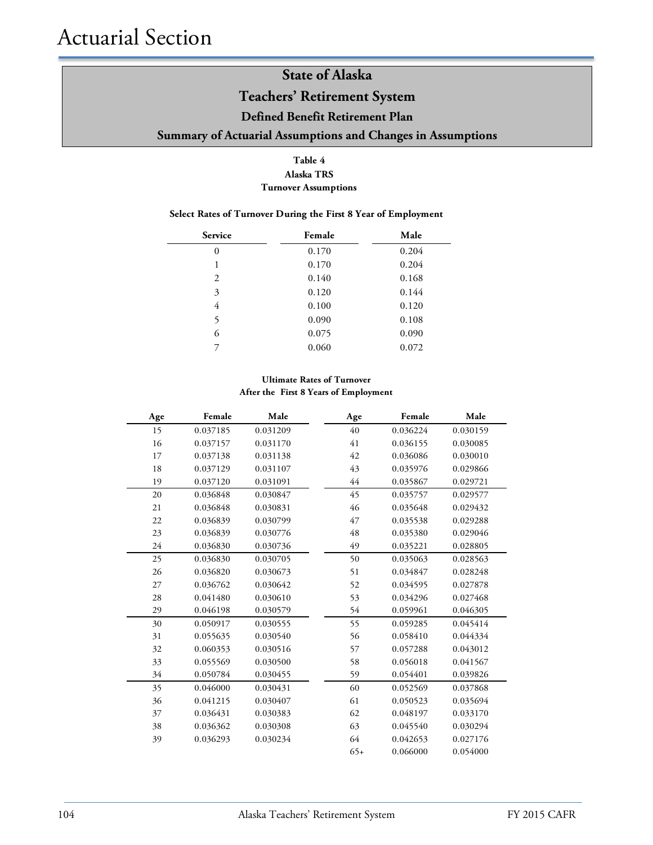### **Teachers' Retirement System**

### **Defined Benefit Retirement Plan**

### **Summary of Actuarial Assumptions and Changes in Assumptions**

#### **Table 4 Alaska TRS Turnover Assumptions**

#### **Select Rates of Turnover During the First 8 Year of Employment**

| Service        | Female | Male  |
|----------------|--------|-------|
| $\overline{0}$ | 0.170  | 0.204 |
| 1              | 0.170  | 0.204 |
| 2              | 0.140  | 0.168 |
| 3              | 0.120  | 0.144 |
| 4              | 0.100  | 0.120 |
| 5              | 0.090  | 0.108 |
| 6              | 0.075  | 0.090 |
| 7              | 0.060  | 0.072 |

#### **Ultimate Rates of Turnover After the First 8 Years of Employment**

| Age | Female   | Male     | Age   | Female   | Male     |
|-----|----------|----------|-------|----------|----------|
| 15  | 0.037185 | 0.031209 | 40    | 0.036224 | 0.030159 |
| 16  | 0.037157 | 0.031170 | 41    | 0.036155 | 0.030085 |
| 17  | 0.037138 | 0.031138 | 42    | 0.036086 | 0.030010 |
| 18  | 0.037129 | 0.031107 | 43    | 0.035976 | 0.029866 |
| 19  | 0.037120 | 0.031091 | 44    | 0.035867 | 0.029721 |
| 20  | 0.036848 | 0.030847 | 45    | 0.035757 | 0.029577 |
| 21  | 0.036848 | 0.030831 | 46    | 0.035648 | 0.029432 |
| 22  | 0.036839 | 0.030799 | 47    | 0.035538 | 0.029288 |
| 23  | 0.036839 | 0.030776 | 48    | 0.035380 | 0.029046 |
| 24  | 0.036830 | 0.030736 | 49    | 0.035221 | 0.028805 |
| 25  | 0.036830 | 0.030705 | 50    | 0.035063 | 0.028563 |
| 26  | 0.036820 | 0.030673 | 51    | 0.034847 | 0.028248 |
| 27  | 0.036762 | 0.030642 | 52    | 0.034595 | 0.027878 |
| 28  | 0.041480 | 0.030610 | 53    | 0.034296 | 0.027468 |
| 29  | 0.046198 | 0.030579 | 54    | 0.059961 | 0.046305 |
| 30  | 0.050917 | 0.030555 | 55    | 0.059285 | 0.045414 |
| 31  | 0.055635 | 0.030540 | 56    | 0.058410 | 0.044334 |
| 32  | 0.060353 | 0.030516 | 57    | 0.057288 | 0.043012 |
| 33  | 0.055569 | 0.030500 | 58    | 0.056018 | 0.041567 |
| 34  | 0.050784 | 0.030455 | 59    | 0.054401 | 0.039826 |
| 35  | 0.046000 | 0.030431 | 60    | 0.052569 | 0.037868 |
| 36  | 0.041215 | 0.030407 | 61    | 0.050523 | 0.035694 |
| 37  | 0.036431 | 0.030383 | 62    | 0.048197 | 0.033170 |
| 38  | 0.036362 | 0.030308 | 63    | 0.045540 | 0.030294 |
| 39  | 0.036293 | 0.030234 | 64    | 0.042653 | 0.027176 |
|     |          |          | $65+$ | 0.066000 | 0.054000 |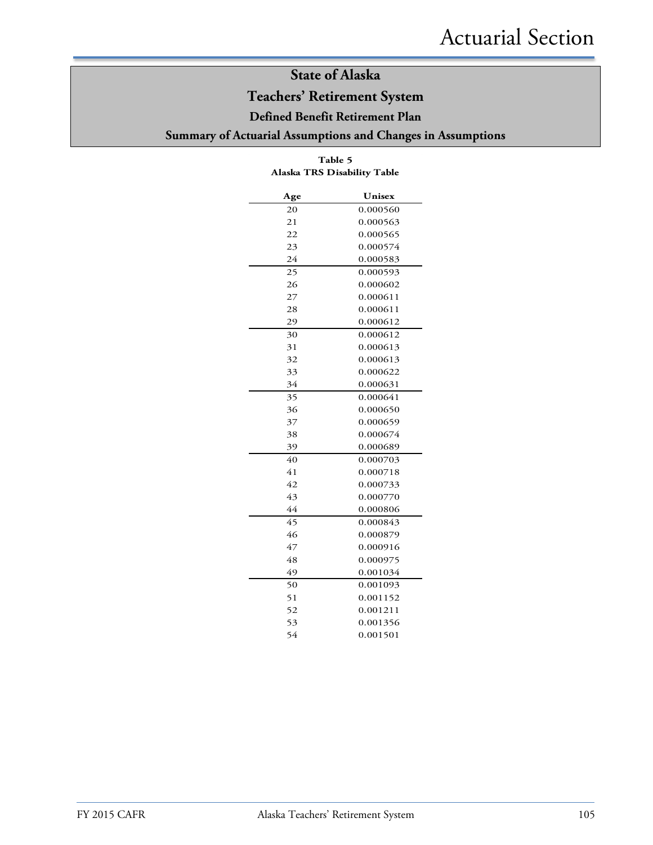### **Teachers' Retirement System**

### **Defined Benefit Retirement Plan**

### **Summary of Actuarial Assumptions and Changes in Assumptions**

| Age | Unisex   |
|-----|----------|
| 20  | 0.000560 |
| 21  | 0.000563 |
| 22  | 0.000565 |
| 23  | 0.000574 |
| 24  | 0.000583 |
| 25  | 0.000593 |
| 26  | 0.000602 |
| 27  | 0.000611 |
| 28  | 0.000611 |
| 29  | 0.000612 |
| 30  | 0.000612 |
| 31  | 0.000613 |
| 32  | 0.000613 |
| 33  | 0.000622 |
| 34  | 0.000631 |
| 35  | 0.000641 |
| 36  | 0.000650 |
| 37  | 0.000659 |
| 38  | 0.000674 |
| 39  | 0.000689 |
| 40  | 0.000703 |
| 41  | 0.000718 |
| 42  | 0.000733 |
| 43  | 0.000770 |
| 44  | 0.000806 |
| 45  | 0.000843 |
| 46  | 0.000879 |
| 47  | 0.000916 |
| 48  | 0.000975 |
| 49  | 0.001034 |
| 50  | 0.001093 |
| 51  | 0.001152 |
| 52  | 0.001211 |
| 53  | 0.001356 |
| 54  | 0.001501 |

#### **Table 5 Alaska TRS Disability Table**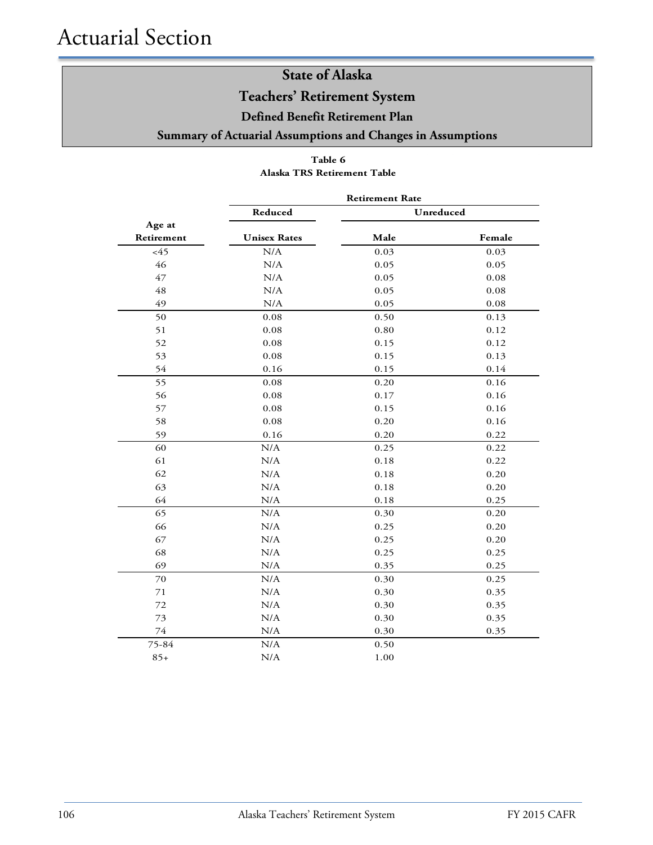### **Teachers' Retirement System**

**Defined Benefit Retirement Plan**

### **Summary of Actuarial Assumptions and Changes in Assumptions**

### **Table 6 Alaska TRS Retirement Table**

|            | <b>Retirement Rate</b> |      |           |  |  |
|------------|------------------------|------|-----------|--|--|
|            | Reduced                |      | Unreduced |  |  |
| Age at     |                        |      |           |  |  |
| Retirement | <b>Unisex Rates</b>    | Male | Female    |  |  |
| <45        | N/A                    | 0.03 | 0.03      |  |  |
| 46         | $\rm N/A$              | 0.05 | 0.05      |  |  |
| 47         | N/A                    | 0.05 | 0.08      |  |  |
| 48         | N/A                    | 0.05 | 0.08      |  |  |
| 49         | N/A                    | 0.05 | 0.08      |  |  |
| 50         | 0.08                   | 0.50 | 0.13      |  |  |
| 51         | 0.08                   | 0.80 | 0.12      |  |  |
| 52         | 0.08                   | 0.15 | 0.12      |  |  |
| 53         | 0.08                   | 0.15 | 0.13      |  |  |
| 54         | 0.16                   | 0.15 | 0.14      |  |  |
| 55         | 0.08                   | 0.20 | 0.16      |  |  |
| 56         | 0.08                   | 0.17 | 0.16      |  |  |
| 57         | 0.08                   | 0.15 | 0.16      |  |  |
| 58         | 0.08                   | 0.20 | 0.16      |  |  |
| 59         | 0.16                   | 0.20 | 0.22      |  |  |
| 60         | N/A                    | 0.25 | 0.22      |  |  |
| 61         | $\rm N/A$              | 0.18 | 0.22      |  |  |
| 62         | N/A                    | 0.18 | 0.20      |  |  |
| 63         | N/A                    | 0.18 | 0.20      |  |  |
| 64         | N/A                    | 0.18 | 0.25      |  |  |
| 65         | N/A                    | 0.30 | 0.20      |  |  |
| 66         | N/A                    | 0.25 | 0.20      |  |  |
| 67         | N/A                    | 0.25 | 0.20      |  |  |
| 68         | N/A                    | 0.25 | 0.25      |  |  |
| 69         | N/A                    | 0.35 | 0.25      |  |  |
| 70         | N/A                    | 0.30 | 0.25      |  |  |
| 71         | N/A                    | 0.30 | 0.35      |  |  |
| 72         | N/A                    | 0.30 | 0.35      |  |  |
| 73         | $\rm N/A$              | 0.30 | 0.35      |  |  |
| 74         | $\rm N/A$              | 0.30 | 0.35      |  |  |
| 75-84      | N/A                    | 0.50 |           |  |  |
| $85+$      | N/A                    | 1.00 |           |  |  |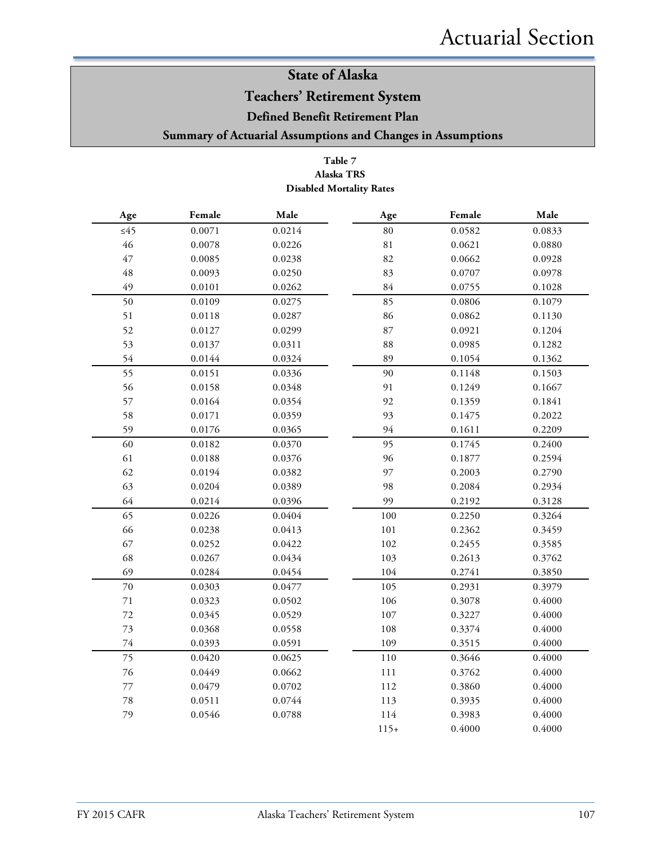### **Teachers' Retirement System**

**Defined Benefit Retirement Plan**

**Summary of Actuarial Assumptions and Changes in Assumptions**

#### **Table 7 Alaska TRS Disabled Mortality Rates**

| Age         | Female | Male   | Age         | Female | Male   |
|-------------|--------|--------|-------------|--------|--------|
| $\leq 45$   | 0.0071 | 0.0214 | $80\,$      | 0.0582 | 0.0833 |
| $46\,$      | 0.0078 | 0.0226 | $8\sqrt{1}$ | 0.0621 | 0.0880 |
| 47          | 0.0085 | 0.0238 | 82          | 0.0662 | 0.0928 |
| $\sqrt{48}$ | 0.0093 | 0.0250 | 83          | 0.0707 | 0.0978 |
| 49          | 0.0101 | 0.0262 | 84          | 0.0755 | 0.1028 |
| 50          | 0.0109 | 0.0275 | 85          | 0.0806 | 0.1079 |
| 51          | 0.0118 | 0.0287 | 86          | 0.0862 | 0.1130 |
| 52          | 0.0127 | 0.0299 | 87          | 0.0921 | 0.1204 |
| 53          | 0.0137 | 0.0311 | 88          | 0.0985 | 0.1282 |
| 54          | 0.0144 | 0.0324 | 89          | 0.1054 | 0.1362 |
| 55          | 0.0151 | 0.0336 | 90          | 0.1148 | 0.1503 |
| 56          | 0.0158 | 0.0348 | 91          | 0.1249 | 0.1667 |
| 57          | 0.0164 | 0.0354 | 92          | 0.1359 | 0.1841 |
| 58          | 0.0171 | 0.0359 | 93          | 0.1475 | 0.2022 |
| 59          | 0.0176 | 0.0365 | 94          | 0.1611 | 0.2209 |
| 60          | 0.0182 | 0.0370 | 95          | 0.1745 | 0.2400 |
| 61          | 0.0188 | 0.0376 | 96          | 0.1877 | 0.2594 |
| 62          | 0.0194 | 0.0382 | 97          | 0.2003 | 0.2790 |
| 63          | 0.0204 | 0.0389 | 98          | 0.2084 | 0.2934 |
| 64          | 0.0214 | 0.0396 | 99          | 0.2192 | 0.3128 |
| 65          | 0.0226 | 0.0404 | 100         | 0.2250 | 0.3264 |
| 66          | 0.0238 | 0.0413 | 101         | 0.2362 | 0.3459 |
| 67          | 0.0252 | 0.0422 | 102         | 0.2455 | 0.3585 |
| 68          | 0.0267 | 0.0434 | 103         | 0.2613 | 0.3762 |
| 69          | 0.0284 | 0.0454 | 104         | 0.2741 | 0.3850 |
| $70\,$      | 0.0303 | 0.0477 | 105         | 0.2931 | 0.3979 |
| $71\,$      | 0.0323 | 0.0502 | 106         | 0.3078 | 0.4000 |
| $72\,$      | 0.0345 | 0.0529 | 107         | 0.3227 | 0.4000 |
| $73\,$      | 0.0368 | 0.0558 | 108         | 0.3374 | 0.4000 |
| $74\,$      | 0.0393 | 0.0591 | 109         | 0.3515 | 0.4000 |
| 75          | 0.0420 | 0.0625 | 110         | 0.3646 | 0.4000 |
| $76\,$      | 0.0449 | 0.0662 | 111         | 0.3762 | 0.4000 |
| $77\,$      | 0.0479 | 0.0702 | 112         | 0.3860 | 0.4000 |
| $78\,$      | 0.0511 | 0.0744 | 113         | 0.3935 | 0.4000 |
| 79          | 0.0546 | 0.0788 | 114         | 0.3983 | 0.4000 |
|             |        |        | $115+$      | 0.4000 | 0.4000 |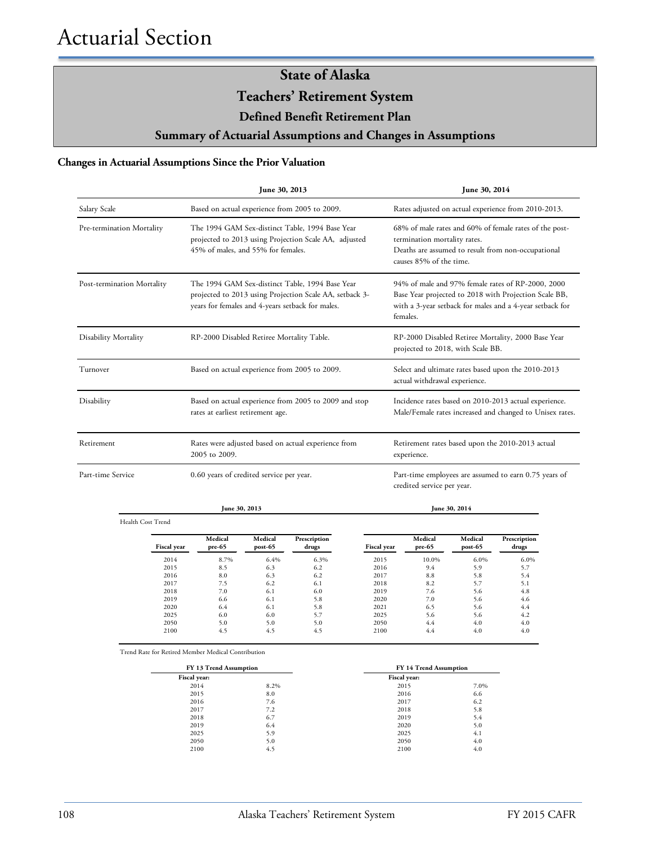**Teachers' Retirement System**

**Defined Benefit Retirement Plan**

**Summary of Actuarial Assumptions and Changes in Assumptions**

#### **Changes in Actuarial Assumptions Since the Prior Valuation**

|                            | June 30, 2013                                                                                                                                                  | June 30, 2014                                                                                                                                                                      |
|----------------------------|----------------------------------------------------------------------------------------------------------------------------------------------------------------|------------------------------------------------------------------------------------------------------------------------------------------------------------------------------------|
| Salary Scale               | Based on actual experience from 2005 to 2009.                                                                                                                  | Rates adjusted on actual experience from 2010-2013.                                                                                                                                |
| Pre-termination Mortality  | The 1994 GAM Sex-distinct Table, 1994 Base Year<br>projected to 2013 using Projection Scale AA, adjusted<br>45% of males, and 55% for females.                 | 68% of male rates and 60% of female rates of the post-<br>termination mortality rates.<br>Deaths are assumed to result from non-occupational<br>causes 85% of the time.            |
| Post-termination Mortality | The 1994 GAM Sex-distinct Table, 1994 Base Year<br>projected to 2013 using Projection Scale AA, setback 3-<br>years for females and 4-years setback for males. | 94% of male and 97% female rates of RP-2000, 2000<br>Base Year projected to 2018 with Projection Scale BB,<br>with a 3-year setback for males and a 4-year setback for<br>females. |
| Disability Mortality       | RP-2000 Disabled Retiree Mortality Table.                                                                                                                      | RP-2000 Disabled Retiree Mortality, 2000 Base Year<br>projected to 2018, with Scale BB.                                                                                            |
| Turnover                   | Based on actual experience from 2005 to 2009.                                                                                                                  | Select and ultimate rates based upon the 2010-2013<br>actual withdrawal experience.                                                                                                |
| Disability                 | Based on actual experience from 2005 to 2009 and stop<br>rates at earliest retirement age.                                                                     | Incidence rates based on 2010-2013 actual experience.<br>Male/Female rates increased and changed to Unisex rates.                                                                  |
| Retirement                 | Rates were adjusted based on actual experience from<br>2005 to 2009.                                                                                           | Retirement rates based upon the 2010-2013 actual<br>experience.                                                                                                                    |
| Part-time Service          | 0.60 years of credited service per year.                                                                                                                       | Part-time employees are assumed to earn 0.75 years of<br>credited service per year.                                                                                                |

Health Cost Trend

 $\overline{\phantom{a}}$ 

**June 30, 2013 June 30, 2014**

| <b>Fiscal year</b> | Medical<br>pre-65 | Medical<br>post-65 | Prescription<br>drugs | <b>Fiscal</b> year | Medical<br>pre-65 | Medical<br>post-65 | Prescription<br>drugs |
|--------------------|-------------------|--------------------|-----------------------|--------------------|-------------------|--------------------|-----------------------|
| 2014               | 8.7%              | 6.4%               | 6.3%                  | 2015               | 10.0%             | 6.0%               | 6.0%                  |
| 2015               | 8.5               | 6.3                | 6.2                   | 2016               | 9.4               | 5.9                | 5.7                   |
| 2016               | 8.0               | 6.3                | 6.2                   | 2017               | 8.8               | 5.8                | 5.4                   |
| 2017               | 7.5               | 6.2                | 6.1                   | 2018               | 8.2               | 5.7                | 5.1                   |
| 2018               | 7.0               | 6.1                | 6.0                   | 2019               | 7.6               | 5.6                | 4.8                   |
| 2019               | 6.6               | 6.1                | 5.8                   | 2020               | 7.0               | 5.6                | 4.6                   |
| 2020               | 6.4               | 6.1                | 5.8                   | 2021               | 6.5               | 5.6                | 4.4                   |
| 2025               | 6.0               | 6.0                | 5.7                   | 2025               | 5.6               | 5.6                | 4.2                   |
| 2050               | 5.0               | 5.0                | 5.0                   | 2050               | 4.4               | 4.0                | 4.0                   |
| 2100               | 4.5               | 4.5                | 4.5                   | 2100               | 4.4               | 4.0                | 4.0                   |

Trend Rate for Retired Member Medical Contribution

| FY 13 Trend Assumption |      | FY 14 Trend Assumption |      |  |
|------------------------|------|------------------------|------|--|
| Fiscal year:           |      | Fiscal year:           |      |  |
| 2014                   | 8.2% | 2015                   | 7.0% |  |
| 2015                   | 8.0  | 2016                   | 6.6  |  |
| 2016                   | 7.6  | 2017                   | 6.2  |  |
| 2017                   | 7.2  | 2018                   | 5.8  |  |
| 2018                   | 6.7  | 2019                   | 5.4  |  |
| 2019                   | 6.4  | 2020                   | 5.0  |  |
| 2025                   | 5.9  | 2025                   | 4.1  |  |
| 2050                   | 5.0  | 2050                   | 4.0  |  |
| 2100                   | 4.5  | 2100                   | 4.0  |  |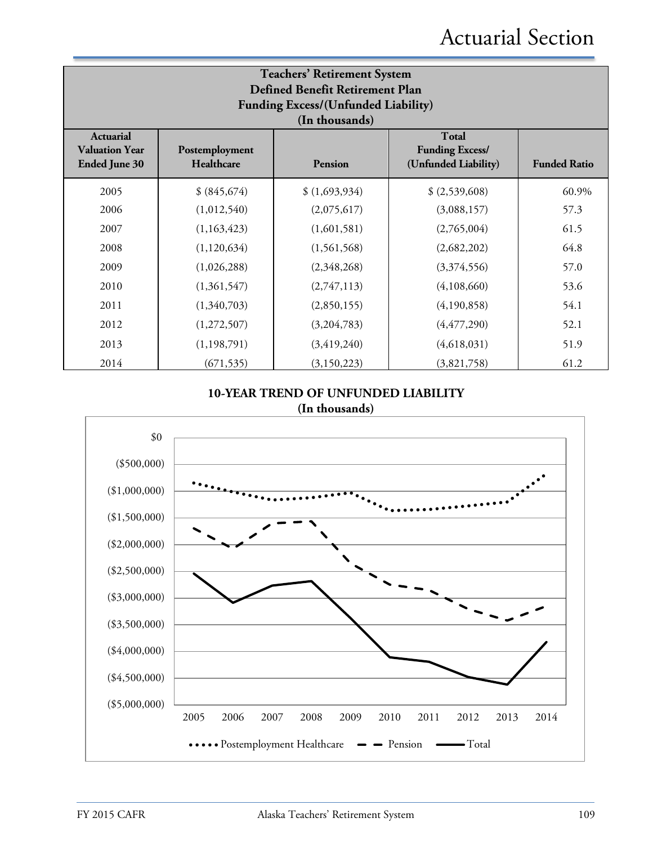| <b>Teachers' Retirement System</b><br>Defined Benefit Retirement Plan<br>Funding Excess/(Unfunded Liability)<br>(In thousands)                                                                        |              |               |                |       |  |  |
|-------------------------------------------------------------------------------------------------------------------------------------------------------------------------------------------------------|--------------|---------------|----------------|-------|--|--|
| <b>Total</b><br><b>Actuarial</b><br><b>Valuation Year</b><br>Postemployment<br><b>Funding Excess/</b><br>Healthcare<br>(Unfunded Liability)<br><b>Funded Ratio</b><br><b>Ended June 30</b><br>Pension |              |               |                |       |  |  |
| 2005                                                                                                                                                                                                  | \$ (845,674) | \$(1,693,934) | \$ (2,539,608) | 60.9% |  |  |
| 2006                                                                                                                                                                                                  | (1,012,540)  | (2,075,617)   | (3,088,157)    | 57.3  |  |  |
| 2007                                                                                                                                                                                                  | (1,163,423)  | (1,601,581)   | (2,765,004)    | 61.5  |  |  |
| 2008                                                                                                                                                                                                  | (1,120,634)  | (1,561,568)   | (2,682,202)    | 64.8  |  |  |
| 2009                                                                                                                                                                                                  | (1,026,288)  | (2,348,268)   | (3,374,556)    | 57.0  |  |  |
| 2010                                                                                                                                                                                                  | (1,361,547)  | (2,747,113)   | (4,108,660)    | 53.6  |  |  |
| 2011                                                                                                                                                                                                  | (1,340,703)  | (2,850,155)   | (4,190,858)    | 54.1  |  |  |
| 2012                                                                                                                                                                                                  | (1,272,507)  | (3,204,783)   | (4, 477, 290)  | 52.1  |  |  |
| 2013                                                                                                                                                                                                  | (1,198,791)  | (3, 419, 240) | (4,618,031)    | 51.9  |  |  |
| 2014                                                                                                                                                                                                  | (671, 535)   | (3, 150, 223) | (3,821,758)    | 61.2  |  |  |

### **10-YEAR TREND OF UNFUNDED LIABILITY (In thousands)**

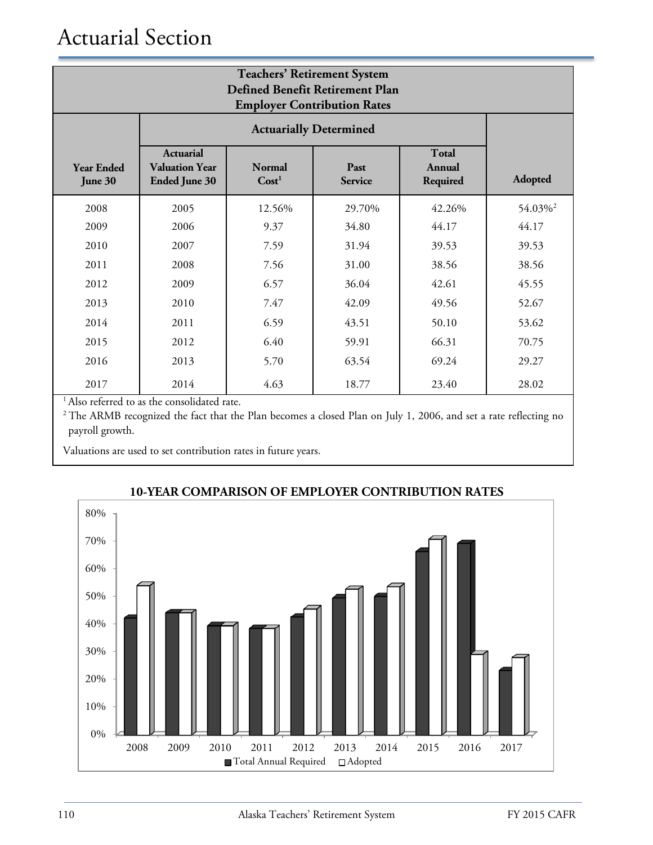| <b>Teachers' Retirement System</b><br>Defined Benefit Retirement Plan<br><b>Employer Contribution Rates</b> |                                                                   |                |        |        |                     |
|-------------------------------------------------------------------------------------------------------------|-------------------------------------------------------------------|----------------|--------|--------|---------------------|
| <b>Actuarially Determined</b>                                                                               |                                                                   |                |        |        |                     |
| <b>Year Ended</b><br>June 30                                                                                | <b>Actuarial</b><br><b>Valuation Year</b><br><b>Ended June 30</b> | <b>Adopted</b> |        |        |                     |
| 2008                                                                                                        | 2005                                                              | 12.56%         | 29.70% | 42.26% | 54.03% <sup>2</sup> |
| 2009                                                                                                        | 2006                                                              | 9.37           | 34.80  | 44.17  | 44.17               |
| 2010                                                                                                        | 2007                                                              | 7.59           | 31.94  | 39.53  | 39.53               |
| 2011                                                                                                        | 2008                                                              | 7.56           | 31.00  | 38.56  | 38.56               |
| 2012                                                                                                        | 2009                                                              | 6.57           | 36.04  | 42.61  | 45.55               |
| 2013                                                                                                        | 2010                                                              | 7.47           | 42.09  | 49.56  | 52.67               |
| 2014                                                                                                        | 2011                                                              | 6.59           | 43.51  | 50.10  | 53.62               |
| 2015                                                                                                        | 2012                                                              | 6.40           | 59.91  | 66.31  | 70.75               |
| 2016                                                                                                        | 2013                                                              | 5.70           | 63.54  | 69.24  | 29.27               |
| 2017                                                                                                        | 2014                                                              | 4.63           | 18.77  | 23.40  | 28.02               |

<sup>1</sup> Also referred to as the consolidated rate.

<sup>2</sup> The ARMB recognized the fact that the Plan becomes a closed Plan on July 1, 2006, and set a rate reflecting no payroll growth.

Valuations are used to set contribution rates in future years.



### **10-YEAR COMPARISON OF EMPLOYER CONTRIBUTION RATES**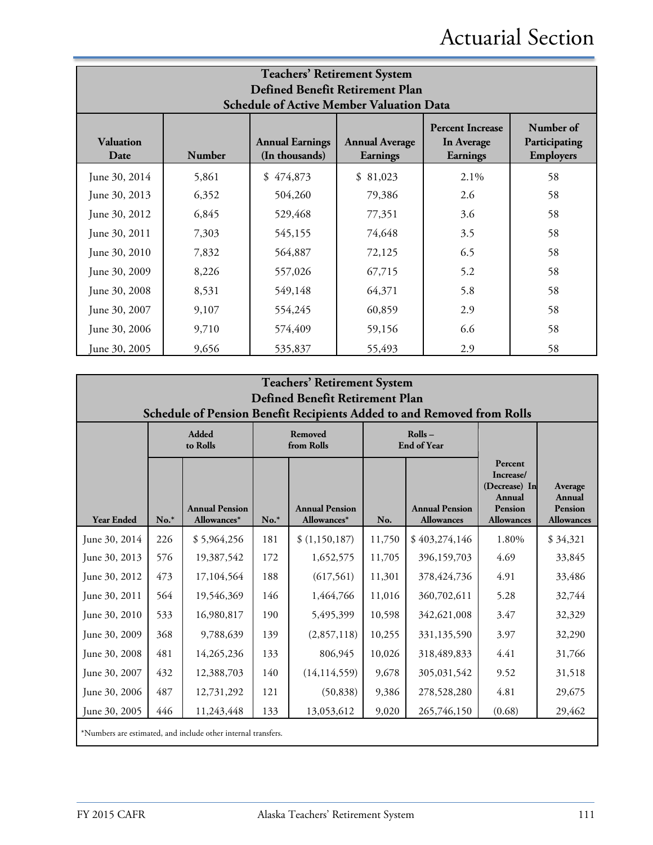| <b>Teachers' Retirement System</b><br>Defined Benefit Retirement Plan<br><b>Schedule of Active Member Valuation Data</b> |                                                                                                                                                                                                |           |          |         |    |  |  |
|--------------------------------------------------------------------------------------------------------------------------|------------------------------------------------------------------------------------------------------------------------------------------------------------------------------------------------|-----------|----------|---------|----|--|--|
| <b>Valuation</b><br>Date                                                                                                 | Number of<br><b>Percent Increase</b><br><b>Annual Earnings</b><br><b>Annual Average</b><br>Participating<br>In Average<br>(In thousands)<br><b>Employers</b><br>Number<br>Earnings<br>Earnings |           |          |         |    |  |  |
| June 30, 2014                                                                                                            | 5,861                                                                                                                                                                                          | \$474,873 | \$81,023 | $2.1\%$ | 58 |  |  |
| June 30, 2013                                                                                                            | 6,352                                                                                                                                                                                          | 504,260   | 79,386   | 2.6     | 58 |  |  |
| June 30, 2012                                                                                                            | 6,845                                                                                                                                                                                          | 529,468   | 77,351   | 3.6     | 58 |  |  |
| June 30, 2011                                                                                                            | 7,303                                                                                                                                                                                          | 545,155   | 74,648   | 3.5     | 58 |  |  |
| June 30, 2010                                                                                                            | 7,832                                                                                                                                                                                          | 564,887   | 72,125   | 6.5     | 58 |  |  |
| June 30, 2009                                                                                                            | 8,226                                                                                                                                                                                          | 557,026   | 67,715   | 5.2     | 58 |  |  |
| June 30, 2008                                                                                                            | 8,531                                                                                                                                                                                          | 549,148   | 64,371   | 5.8     | 58 |  |  |
| June 30, 2007                                                                                                            | 9,107                                                                                                                                                                                          | 554,245   | 60,859   | 2.9     | 58 |  |  |
| June 30, 2006                                                                                                            | 9,710                                                                                                                                                                                          | 574,409   | 59,156   | 6.6     | 58 |  |  |
| June 30, 2005                                                                                                            | 9,656                                                                                                                                                                                          | 535,837   | 55,493   | 2.9     | 58 |  |  |

|                   | <b>Teachers' Retirement System</b><br>Defined Benefit Retirement Plan<br>Schedule of Pension Benefit Recipients Added to and Removed from Rolls |                                                               |                       |                                      |                              |                                            |                                                                                               |                                                          |  |
|-------------------|-------------------------------------------------------------------------------------------------------------------------------------------------|---------------------------------------------------------------|-----------------------|--------------------------------------|------------------------------|--------------------------------------------|-----------------------------------------------------------------------------------------------|----------------------------------------------------------|--|
|                   |                                                                                                                                                 | <b>Added</b><br>to Rolls                                      | Removed<br>from Rolls |                                      | Rolls-<br><b>End of Year</b> |                                            |                                                                                               |                                                          |  |
| <b>Year Ended</b> | $No.*$                                                                                                                                          | <b>Annual Pension</b><br>Allowances*                          | $No.*$                | <b>Annual Pension</b><br>Allowances* | No.                          | <b>Annual Pension</b><br><b>Allowances</b> | Percent<br>Increase/<br>(Decrease) In<br><b>Annual</b><br><b>Pension</b><br><b>Allowances</b> | Average<br><b>Annual</b><br>Pension<br><b>Allowances</b> |  |
| June 30, 2014     | 226                                                                                                                                             | \$5,964,256                                                   | 181                   | \$(1,150,187)                        | 11,750                       | \$403,274,146                              | 1.80%                                                                                         | \$34,321                                                 |  |
| June 30, 2013     | 576                                                                                                                                             | 19,387,542                                                    | 172                   | 1,652,575                            | 11,705                       | 396,159,703                                | 4.69                                                                                          | 33,845                                                   |  |
| June 30, 2012     | 473                                                                                                                                             | 17,104,564                                                    | 188                   | (617, 561)                           | 11,301                       | 378, 424, 736                              | 4.91                                                                                          | 33,486                                                   |  |
| June 30, 2011     | 564                                                                                                                                             | 19,546,369                                                    | 146                   | 1,464,766                            | 11,016                       | 360,702,611                                | 5.28                                                                                          | 32,744                                                   |  |
| June 30, 2010     | 533                                                                                                                                             | 16,980,817                                                    | 190                   | 5,495,399                            | 10,598                       | 342,621,008                                | 3.47                                                                                          | 32,329                                                   |  |
| June 30, 2009     | 368                                                                                                                                             | 9,788,639                                                     | 139                   | (2,857,118)                          | 10,255                       | 331,135,590                                | 3.97                                                                                          | 32,290                                                   |  |
| June 30, 2008     | 481                                                                                                                                             | 14,265,236                                                    | 133                   | 806,945                              | 10,026                       | 318,489,833                                | 4.41                                                                                          | 31,766                                                   |  |
| June 30, 2007     | 432                                                                                                                                             | 12,388,703                                                    | 140                   | (14, 114, 559)                       | 9,678                        | 305,031,542                                | 9.52                                                                                          | 31,518                                                   |  |
| June 30, 2006     | 487                                                                                                                                             | 12,731,292                                                    | 121                   | (50, 838)                            | 9,386                        | 278,528,280                                | 4.81                                                                                          | 29,675                                                   |  |
| June 30, 2005     | 446                                                                                                                                             | 11,243,448                                                    | 133                   | 13,053,612                           | 9,020                        | 265,746,150                                | (0.68)                                                                                        | 29,462                                                   |  |
|                   |                                                                                                                                                 | *Numbers are estimated, and include other internal transfers. |                       |                                      |                              |                                            |                                                                                               |                                                          |  |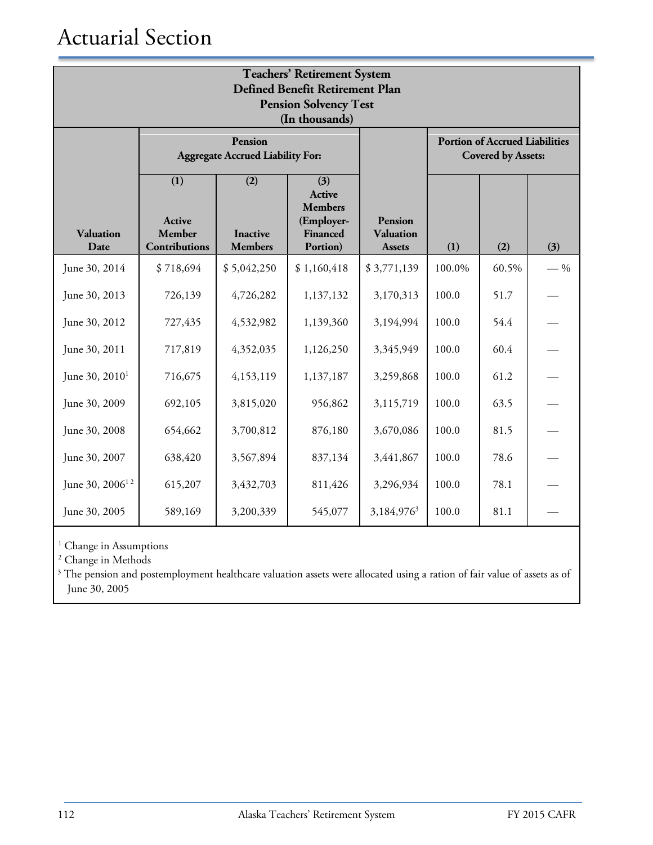| <b>Teachers' Retirement System</b><br><b>Defined Benefit Retirement Plan</b><br><b>Pension Solvency Test</b><br>(In thousands) |                                                 |                                                    |                                                                       |                                                     |                                                                    |       |       |  |
|--------------------------------------------------------------------------------------------------------------------------------|-------------------------------------------------|----------------------------------------------------|-----------------------------------------------------------------------|-----------------------------------------------------|--------------------------------------------------------------------|-------|-------|--|
|                                                                                                                                |                                                 | Pension<br><b>Aggregate Accrued Liability For:</b> |                                                                       |                                                     | <b>Portion of Accrued Liabilities</b><br><b>Covered by Assets:</b> |       |       |  |
| <b>Valuation</b><br>Date                                                                                                       | (1)<br><b>Active</b><br>Member<br>Contributions | (2)<br><b>Inactive</b><br><b>Members</b>           | (3)<br>Active<br><b>Members</b><br>(Employer-<br>Financed<br>Portion) | <b>Pension</b><br><b>Valuation</b><br><b>Assets</b> | (1)                                                                | (2)   | (3)   |  |
| June 30, 2014                                                                                                                  | \$718,694                                       | \$5,042,250                                        | \$1,160,418                                                           | \$3,771,139                                         | 100.0%                                                             | 60.5% | $-$ % |  |
| June 30, 2013                                                                                                                  | 726,139                                         | 4,726,282                                          | 1,137,132                                                             | 3,170,313                                           | 100.0                                                              | 51.7  |       |  |
| June 30, 2012                                                                                                                  | 727,435                                         | 4,532,982                                          | 1,139,360                                                             | 3,194,994                                           | 100.0                                                              | 54.4  |       |  |
| June 30, 2011                                                                                                                  | 717,819                                         | 4,352,035                                          | 1,126,250                                                             | 3,345,949                                           | 100.0                                                              | 60.4  |       |  |
| June 30, 2010 <sup>1</sup>                                                                                                     | 716,675                                         | 4,153,119                                          | 1,137,187                                                             | 3,259,868                                           | 100.0                                                              | 61.2  |       |  |
| June 30, 2009                                                                                                                  | 692,105                                         | 3,815,020                                          | 956,862                                                               | 3,115,719                                           | 100.0                                                              | 63.5  |       |  |
| June 30, 2008                                                                                                                  | 654,662                                         | 3,700,812                                          | 876,180                                                               | 3,670,086                                           | 100.0                                                              | 81.5  |       |  |
| June 30, 2007                                                                                                                  | 638,420                                         | 3,567,894                                          | 837,134                                                               | 3,441,867                                           | 100.0                                                              | 78.6  |       |  |
| June 30, 2006 <sup>12</sup>                                                                                                    | 615,207                                         | 3,432,703                                          | 811,426                                                               | 3,296,934                                           | 100.0                                                              | 78.1  |       |  |
| June 30, 2005                                                                                                                  | 589,169                                         | 3,200,339                                          | 545,077                                                               | 3,184,976 <sup>3</sup>                              | 100.0                                                              | 81.1  |       |  |

<sup>1</sup> Change in Assumptions

<sup>2</sup> Change in Methods

<sup>3</sup> The pension and postemployment healthcare valuation assets were allocated using a ration of fair value of assets as of June 30, 2005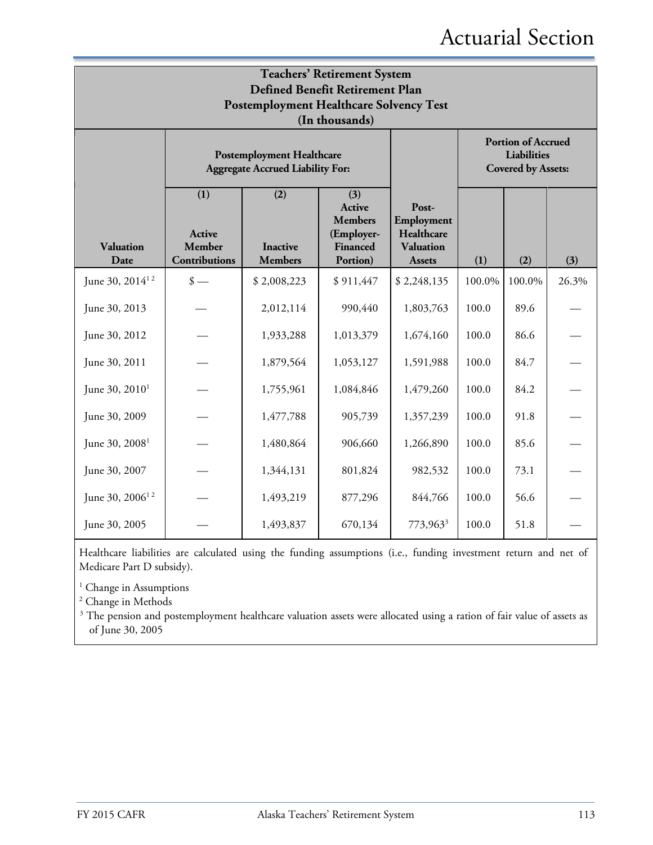|                             | <b>Teachers' Retirement System</b><br>Defined Benefit Retirement Plan<br><b>Postemployment Healthcare Solvency Test</b><br>(In thousands) |                                                                             |                                                                       |                                                                        |        |        |       |  |  |
|-----------------------------|-------------------------------------------------------------------------------------------------------------------------------------------|-----------------------------------------------------------------------------|-----------------------------------------------------------------------|------------------------------------------------------------------------|--------|--------|-------|--|--|
|                             |                                                                                                                                           | <b>Postemployment Healthcare</b><br><b>Aggregate Accrued Liability For:</b> |                                                                       | <b>Portion of Accrued</b><br>Liabilities<br><b>Covered by Assets:</b>  |        |        |       |  |  |
| <b>Valuation</b><br>Date    | (1)<br>Active<br>Member<br>Contributions                                                                                                  | (2)<br><b>Inactive</b><br><b>Members</b>                                    | (3)<br>Active<br><b>Members</b><br>(Employer-<br>Financed<br>Portion) | Post-<br>Employment<br>Healthcare<br><b>Valuation</b><br><b>Assets</b> | (1)    | (2)    | (3)   |  |  |
| June 30, $2014^{12}$        | $\frac{\text{I}}{\text{I}}$                                                                                                               | \$2,008,223                                                                 | \$911,447                                                             | \$2,248,135                                                            | 100.0% | 100.0% | 26.3% |  |  |
| June 30, 2013               |                                                                                                                                           | 2,012,114                                                                   | 990,440                                                               | 1,803,763                                                              | 100.0  | 89.6   |       |  |  |
| June 30, 2012               |                                                                                                                                           | 1,933,288                                                                   | 1,013,379                                                             | 1,674,160                                                              | 100.0  | 86.6   |       |  |  |
| June 30, 2011               |                                                                                                                                           | 1,879,564                                                                   | 1,053,127                                                             | 1,591,988                                                              | 100.0  | 84.7   |       |  |  |
| June 30, $2010^1$           |                                                                                                                                           | 1,755,961                                                                   | 1,084,846                                                             | 1,479,260                                                              | 100.0  | 84.2   |       |  |  |
| June 30, 2009               |                                                                                                                                           | 1,477,788                                                                   | 905,739                                                               | 1,357,239                                                              | 100.0  | 91.8   |       |  |  |
| June 30, 2008 <sup>1</sup>  |                                                                                                                                           | 1,480,864                                                                   | 906,660                                                               | 1,266,890                                                              | 100.0  | 85.6   |       |  |  |
| June 30, 2007               |                                                                                                                                           | 1,344,131                                                                   | 801,824                                                               | 982,532                                                                | 100.0  | 73.1   |       |  |  |
| June 30, 2006 <sup>12</sup> |                                                                                                                                           | 1,493,219                                                                   | 877,296                                                               | 844,766                                                                | 100.0  | 56.6   |       |  |  |
| June 30, 2005               |                                                                                                                                           | 1,493,837                                                                   | 670,134                                                               | 773,963 <sup>3</sup>                                                   | 100.0  | 51.8   |       |  |  |

Healthcare liabilities are calculated using the funding assumptions (i.e., funding investment return and net of Medicare Part D subsidy).

 $^{\rm 1}$  Change in Assumptions

<sup>2</sup> Change in Methods

<sup>3</sup> The pension and postemployment healthcare valuation assets were allocated using a ration of fair value of assets as of June 30, 2005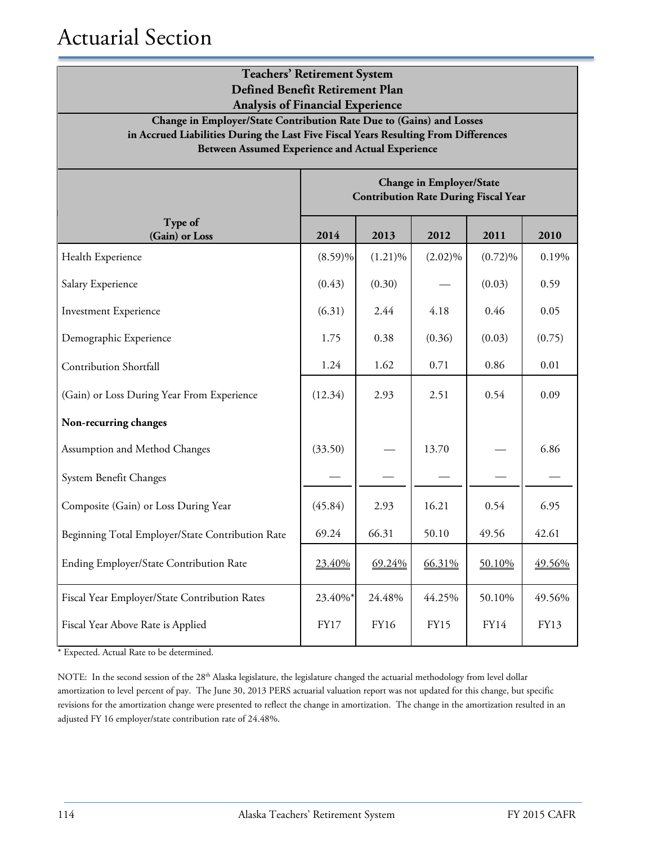| <b>Teachers' Retirement System</b><br>Defined Benefit Retirement Plan<br><b>Analysis of Financial Experience</b>                                                                                                       |            |            |                                 |                                             |        |  |  |
|------------------------------------------------------------------------------------------------------------------------------------------------------------------------------------------------------------------------|------------|------------|---------------------------------|---------------------------------------------|--------|--|--|
| Change in Employer/State Contribution Rate Due to (Gains) and Losses<br>in Accrued Liabilities During the Last Five Fiscal Years Resulting From Differences<br><b>Between Assumed Experience and Actual Experience</b> |            |            |                                 |                                             |        |  |  |
|                                                                                                                                                                                                                        |            |            | <b>Change in Employer/State</b> | <b>Contribution Rate During Fiscal Year</b> |        |  |  |
| Type of<br>(Gain) or Loss                                                                                                                                                                                              | 2014       | 2013       | 2012                            | 2011                                        | 2010   |  |  |
| Health Experience                                                                                                                                                                                                      | $(8.59)\%$ | $(1.21)\%$ | $(2.02)\%$                      | $(0.72)\%$                                  | 0.19%  |  |  |
| Salary Experience                                                                                                                                                                                                      | (0.43)     | (0.30)     |                                 | (0.03)                                      | 0.59   |  |  |
| <b>Investment Experience</b>                                                                                                                                                                                           | (6.31)     | 2.44       | 4.18                            | 0.46                                        | 0.05   |  |  |
| Demographic Experience                                                                                                                                                                                                 | 1.75       | 0.38       | (0.36)                          | (0.03)                                      | (0.75) |  |  |
| <b>Contribution Shortfall</b>                                                                                                                                                                                          | 1.24       | 1.62       | 0.71                            | 0.86                                        | 0.01   |  |  |
| (Gain) or Loss During Year From Experience                                                                                                                                                                             | (12.34)    | 2.93       | 2.51                            | 0.54                                        | 0.09   |  |  |
| Non-recurring changes                                                                                                                                                                                                  |            |            |                                 |                                             |        |  |  |
| Assumption and Method Changes                                                                                                                                                                                          | (33.50)    |            | 13.70                           |                                             | 6.86   |  |  |
| System Benefit Changes                                                                                                                                                                                                 |            |            |                                 |                                             |        |  |  |
| Composite (Gain) or Loss During Year                                                                                                                                                                                   | (45.84)    | 2.93       | 16.21                           | 0.54                                        | 6.95   |  |  |
| Beginning Total Employer/State Contribution Rate                                                                                                                                                                       | 69.24      | 66.31      | 50.10                           | 49.56                                       | 42.61  |  |  |
| Ending Employer/State Contribution Rate                                                                                                                                                                                | 23.40%     | 69.24%     | 66.31%                          | 50.10%                                      | 49.56% |  |  |
| Fiscal Year Employer/State Contribution Rates                                                                                                                                                                          | 23.40%*    | 24.48%     | 44.25%                          | 50.10%                                      | 49.56% |  |  |
| Fiscal Year Above Rate is Applied                                                                                                                                                                                      | FY17       | FY16       | FY15                            | FY14                                        | FY13   |  |  |

\* Expected. Actual Rate to be determined.

NOTE: In the second session of the 28<sup>th</sup> Alaska legislature, the legislature changed the actuarial methodology from level dollar amortization to level percent of pay. The June 30, 2013 PERS actuarial valuation report was not updated for this change, but specific revisions for the amortization change were presented to reflect the change in amortization. The change in the amortization resulted in an adjusted FY 16 employer/state contribution rate of 24.48%.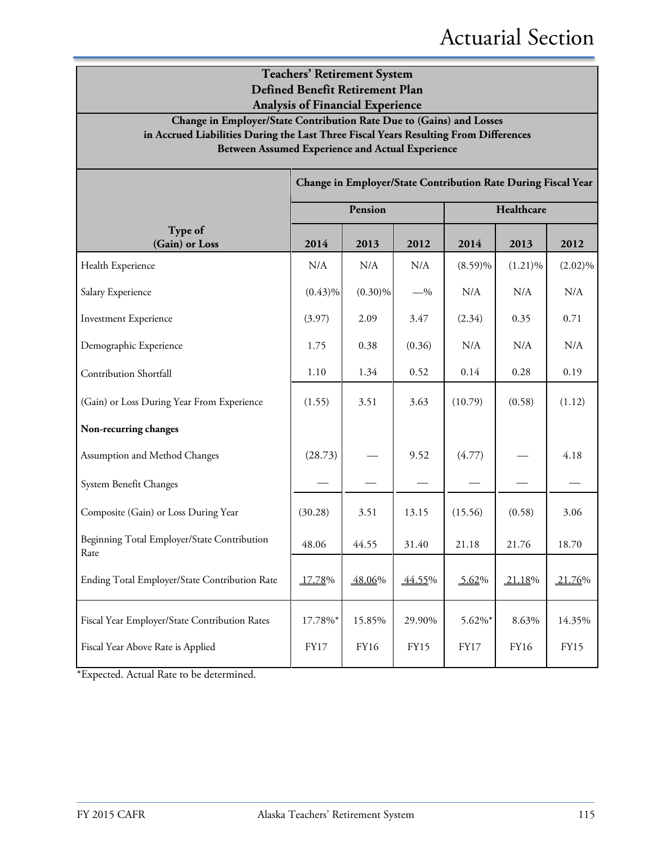### **Teachers' Retirement System Defined Benefit Retirement Plan Analysis of Financial Experience**

**Change in Employer/State Contribution Rate Due to (Gains) and Losses in Accrued Liabilities During the Last Three Fiscal Years Resulting From Differences Between Assumed Experience and Actual Experience**

|                                                     | Change in Employer/State Contribution Rate During Fiscal Year |            |             |             |            |             |  |
|-----------------------------------------------------|---------------------------------------------------------------|------------|-------------|-------------|------------|-------------|--|
|                                                     |                                                               | Pension    |             | Healthcare  |            |             |  |
| Type of<br>(Gain) or Loss                           | 2014                                                          | 2013       | 2012        | 2014        | 2013       | 2012        |  |
| Health Experience                                   | N/A                                                           | N/A        | N/A         | $(8.59)\%$  | $(1.21)\%$ | $(2.02)\%$  |  |
| Salary Experience                                   | $(0.43)\%$                                                    | $(0.30)\%$ | $-$ %       | N/A         | N/A        | N/A         |  |
| <b>Investment Experience</b>                        | (3.97)                                                        | 2.09       | 3.47        | (2.34)      | 0.35       | 0.71        |  |
| Demographic Experience                              | 1.75                                                          | 0.38       | (0.36)      | N/A         | N/A        | N/A         |  |
| Contribution Shortfall                              | 1.10                                                          | 1.34       | 0.52        | 0.14        | 0.28       | 0.19        |  |
| (Gain) or Loss During Year From Experience          | (1.55)                                                        | 3.51       | 3.63        | (10.79)     | (0.58)     | (1.12)      |  |
| Non-recurring changes                               |                                                               |            |             |             |            |             |  |
| Assumption and Method Changes                       | (28.73)                                                       |            | 9.52        | (4.77)      |            | 4.18        |  |
| System Benefit Changes                              |                                                               |            |             |             |            |             |  |
| Composite (Gain) or Loss During Year                | (30.28)                                                       | 3.51       | 13.15       | (15.56)     | (0.58)     | 3.06        |  |
| Beginning Total Employer/State Contribution<br>Rate | 48.06                                                         | 44.55      | 31.40       | 21.18       | 21.76      | 18.70       |  |
| Ending Total Employer/State Contribution Rate       | 17.78%                                                        | 48.06%     | 44.55%      | 5.62%       | 21.18%     | 21.76%      |  |
| Fiscal Year Employer/State Contribution Rates       | 17.78%*                                                       | 15.85%     | 29.90%      | 5.62%*      | 8.63%      | 14.35%      |  |
| Fiscal Year Above Rate is Applied                   | <b>FY17</b>                                                   | FY16       | <b>FY15</b> | <b>FY17</b> | FY16       | <b>FY15</b> |  |

\*Expected. Actual Rate to be determined.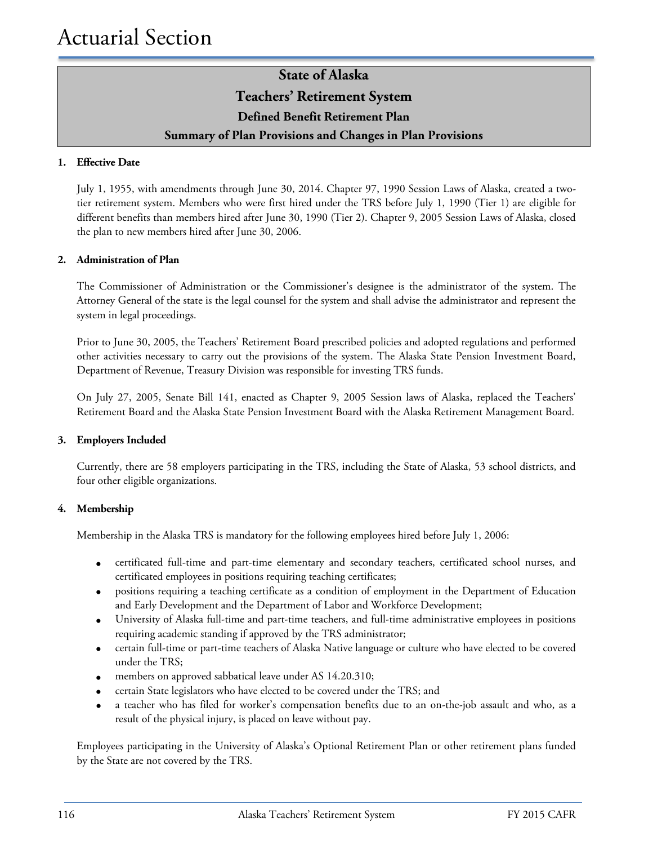### **State of Alaska Teachers' Retirement System Defined Benefit Retirement Plan Summary of Plan Provisions and Changes in Plan Provisions**

#### **1. Effective Date**

July 1, 1955, with amendments through June 30, 2014. Chapter 97, 1990 Session Laws of Alaska, created a twotier retirement system. Members who were first hired under the TRS before July 1, 1990 (Tier 1) are eligible for different benefits than members hired after June 30, 1990 (Tier 2). Chapter 9, 2005 Session Laws of Alaska, closed the plan to new members hired after June 30, 2006.

#### **2. Administration of Plan**

The Commissioner of Administration or the Commissioner's designee is the administrator of the system. The Attorney General of the state is the legal counsel for the system and shall advise the administrator and represent the system in legal proceedings.

Prior to June 30, 2005, the Teachers' Retirement Board prescribed policies and adopted regulations and performed other activities necessary to carry out the provisions of the system. The Alaska State Pension Investment Board, Department of Revenue, Treasury Division was responsible for investing TRS funds.

On July 27, 2005, Senate Bill 141, enacted as Chapter 9, 2005 Session laws of Alaska, replaced the Teachers' Retirement Board and the Alaska State Pension Investment Board with the Alaska Retirement Management Board.

#### **3. Employers Included**

Currently, there are 58 employers participating in the TRS, including the State of Alaska, 53 school districts, and four other eligible organizations.

#### **4. Membership**

Membership in the Alaska TRS is mandatory for the following employees hired before July 1, 2006:

- certificated full-time and part-time elementary and secondary teachers, certificated school nurses, and certificated employees in positions requiring teaching certificates;
- positions requiring a teaching certificate as a condition of employment in the Department of Education and Early Development and the Department of Labor and Workforce Development;
- University of Alaska full-time and part-time teachers, and full-time administrative employees in positions requiring academic standing if approved by the TRS administrator;
- certain full-time or part-time teachers of Alaska Native language or culture who have elected to be covered under the TRS;
- members on approved sabbatical leave under AS 14.20.310;
- certain State legislators who have elected to be covered under the TRS; and
- a teacher who has filed for worker's compensation benefits due to an on-the-job assault and who, as a result of the physical injury, is placed on leave without pay.

Employees participating in the University of Alaska's Optional Retirement Plan or other retirement plans funded by the State are not covered by the TRS.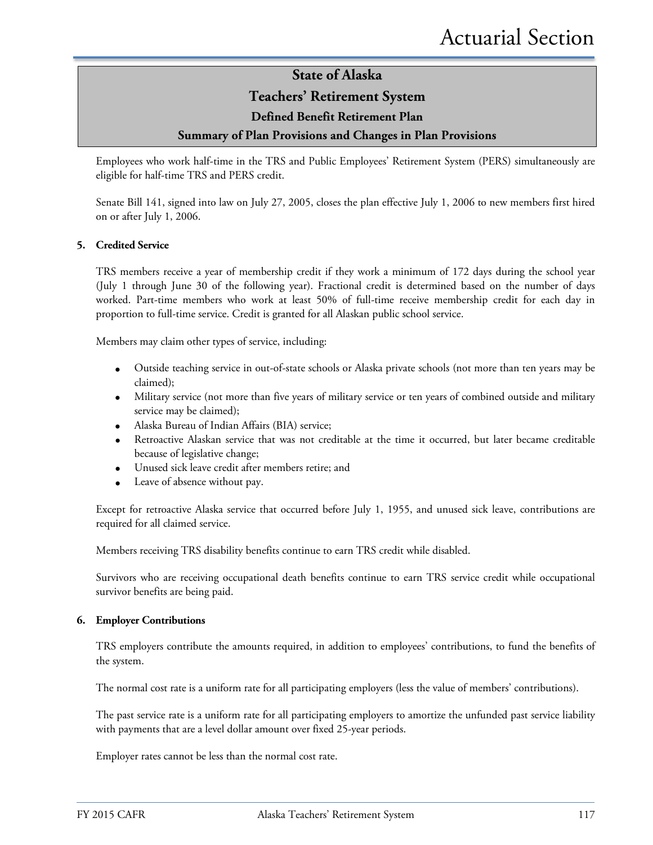### **Teachers' Retirement System**

### **Defined Benefit Retirement Plan**

### **Summary of Plan Provisions and Changes in Plan Provisions**

Employees who work half-time in the TRS and Public Employees' Retirement System (PERS) simultaneously are eligible for half-time TRS and PERS credit.

Senate Bill 141, signed into law on July 27, 2005, closes the plan effective July 1, 2006 to new members first hired on or after July 1, 2006.

#### **5. Credited Service**

TRS members receive a year of membership credit if they work a minimum of 172 days during the school year (July 1 through June 30 of the following year). Fractional credit is determined based on the number of days worked. Part-time members who work at least 50% of full-time receive membership credit for each day in proportion to full-time service. Credit is granted for all Alaskan public school service.

Members may claim other types of service, including:

- Outside teaching service in out-of-state schools or Alaska private schools (not more than ten years may be claimed);
- Military service (not more than five years of military service or ten years of combined outside and military service may be claimed);
- Alaska Bureau of Indian Affairs (BIA) service;
- Retroactive Alaskan service that was not creditable at the time it occurred, but later became creditable because of legislative change;
- Unused sick leave credit after members retire; and
- Leave of absence without pay.

Except for retroactive Alaska service that occurred before July 1, 1955, and unused sick leave, contributions are required for all claimed service.

Members receiving TRS disability benefits continue to earn TRS credit while disabled.

Survivors who are receiving occupational death benefits continue to earn TRS service credit while occupational survivor benefits are being paid.

#### **6. Employer Contributions**

TRS employers contribute the amounts required, in addition to employees' contributions, to fund the benefits of the system.

The normal cost rate is a uniform rate for all participating employers (less the value of members' contributions).

The past service rate is a uniform rate for all participating employers to amortize the unfunded past service liability with payments that are a level dollar amount over fixed 25-year periods.

Employer rates cannot be less than the normal cost rate.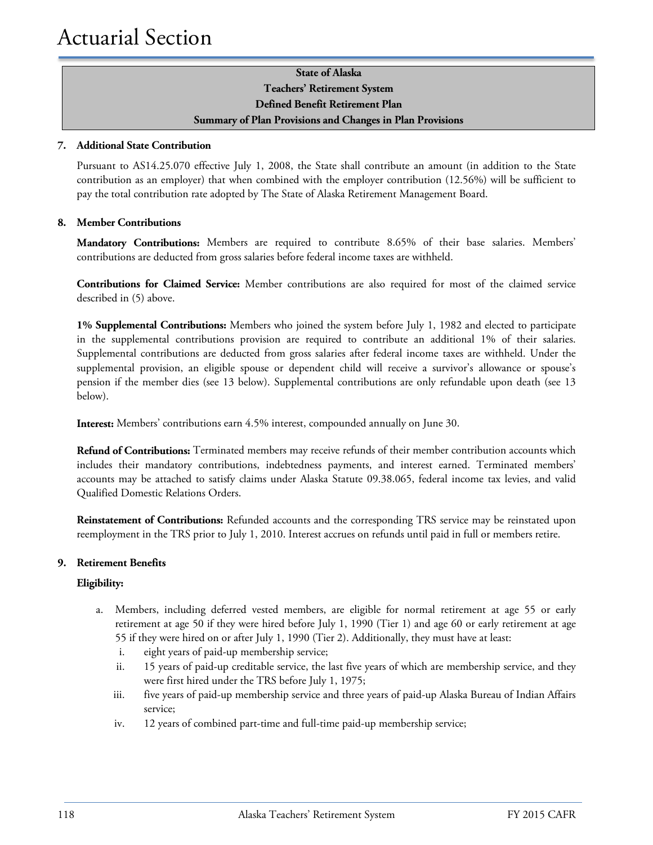### **State of Alaska Teachers' Retirement System Defined Benefit Retirement Plan Summary of Plan Provisions and Changes in Plan Provisions**

#### **7. Additional State Contribution**

Pursuant to AS14.25.070 effective July 1, 2008, the State shall contribute an amount (in addition to the State contribution as an employer) that when combined with the employer contribution (12.56%) will be sufficient to pay the total contribution rate adopted by The State of Alaska Retirement Management Board.

### **8. Member Contributions**

**Mandatory Contributions:** Members are required to contribute 8.65% of their base salaries. Members' contributions are deducted from gross salaries before federal income taxes are withheld.

**Contributions for Claimed Service:** Member contributions are also required for most of the claimed service described in (5) above.

**1% Supplemental Contributions:** Members who joined the system before July 1, 1982 and elected to participate in the supplemental contributions provision are required to contribute an additional 1% of their salaries. Supplemental contributions are deducted from gross salaries after federal income taxes are withheld. Under the supplemental provision, an eligible spouse or dependent child will receive a survivor's allowance or spouse's pension if the member dies (see 13 below). Supplemental contributions are only refundable upon death (see 13 below).

**Interest:** Members' contributions earn 4.5% interest, compounded annually on June 30.

**Refund of Contributions:** Terminated members may receive refunds of their member contribution accounts which includes their mandatory contributions, indebtedness payments, and interest earned. Terminated members' accounts may be attached to satisfy claims under Alaska Statute 09.38.065, federal income tax levies, and valid Qualified Domestic Relations Orders.

**Reinstatement of Contributions:** Refunded accounts and the corresponding TRS service may be reinstated upon reemployment in the TRS prior to July 1, 2010. Interest accrues on refunds until paid in full or members retire.

### **9. Retirement Benefits**

#### **Eligibility:**

- a. Members, including deferred vested members, are eligible for normal retirement at age 55 or early retirement at age 50 if they were hired before July 1, 1990 (Tier 1) and age 60 or early retirement at age 55 if they were hired on or after July 1, 1990 (Tier 2). Additionally, they must have at least:
	- i. eight years of paid-up membership service;
	- ii. 15 years of paid-up creditable service, the last five years of which are membership service, and they were first hired under the TRS before July 1, 1975;
	- iii. five years of paid-up membership service and three years of paid-up Alaska Bureau of Indian Affairs service;
	- iv. 12 years of combined part-time and full-time paid-up membership service;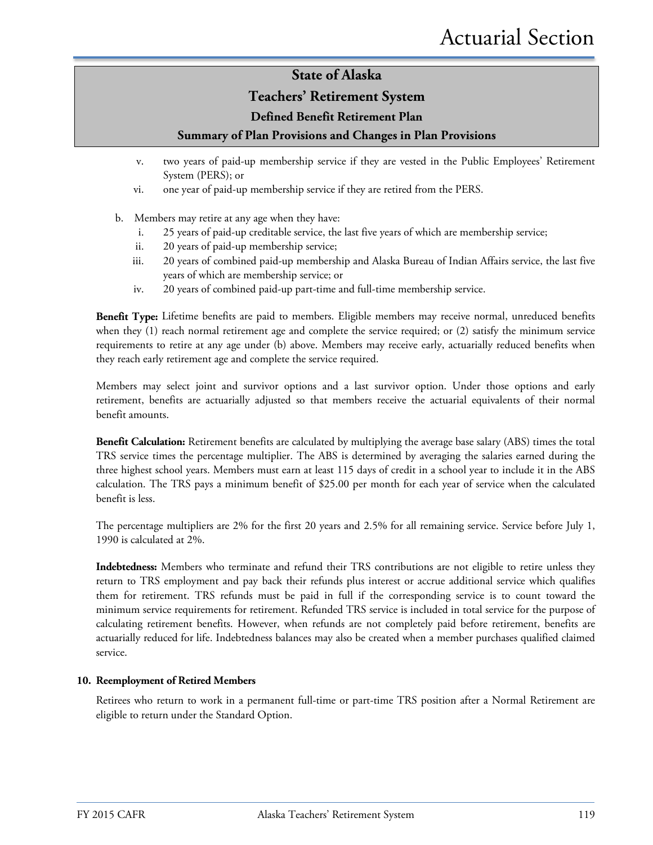### **Teachers' Retirement System**

### **Defined Benefit Retirement Plan**

### **Summary of Plan Provisions and Changes in Plan Provisions**

- v. two years of paid-up membership service if they are vested in the Public Employees' Retirement System (PERS); or
- vi. one year of paid-up membership service if they are retired from the PERS.
- b. Members may retire at any age when they have:
	- i. 25 years of paid-up creditable service, the last five years of which are membership service;
	- ii. 20 years of paid-up membership service;
	- iii. 20 years of combined paid-up membership and Alaska Bureau of Indian Affairs service, the last five years of which are membership service; or
	- iv. 20 years of combined paid-up part-time and full-time membership service.

**Benefit Type:** Lifetime benefits are paid to members. Eligible members may receive normal, unreduced benefits when they (1) reach normal retirement age and complete the service required; or (2) satisfy the minimum service requirements to retire at any age under (b) above. Members may receive early, actuarially reduced benefits when they reach early retirement age and complete the service required.

Members may select joint and survivor options and a last survivor option. Under those options and early retirement, benefits are actuarially adjusted so that members receive the actuarial equivalents of their normal benefit amounts.

**Benefit Calculation:** Retirement benefits are calculated by multiplying the average base salary (ABS) times the total TRS service times the percentage multiplier. The ABS is determined by averaging the salaries earned during the three highest school years. Members must earn at least 115 days of credit in a school year to include it in the ABS calculation. The TRS pays a minimum benefit of \$25.00 per month for each year of service when the calculated benefit is less.

The percentage multipliers are 2% for the first 20 years and 2.5% for all remaining service. Service before July 1, 1990 is calculated at 2%.

**Indebtedness:** Members who terminate and refund their TRS contributions are not eligible to retire unless they return to TRS employment and pay back their refunds plus interest or accrue additional service which qualifies them for retirement. TRS refunds must be paid in full if the corresponding service is to count toward the minimum service requirements for retirement. Refunded TRS service is included in total service for the purpose of calculating retirement benefits. However, when refunds are not completely paid before retirement, benefits are actuarially reduced for life. Indebtedness balances may also be created when a member purchases qualified claimed service.

#### **10. Reemployment of Retired Members**

Retirees who return to work in a permanent full-time or part-time TRS position after a Normal Retirement are eligible to return under the Standard Option.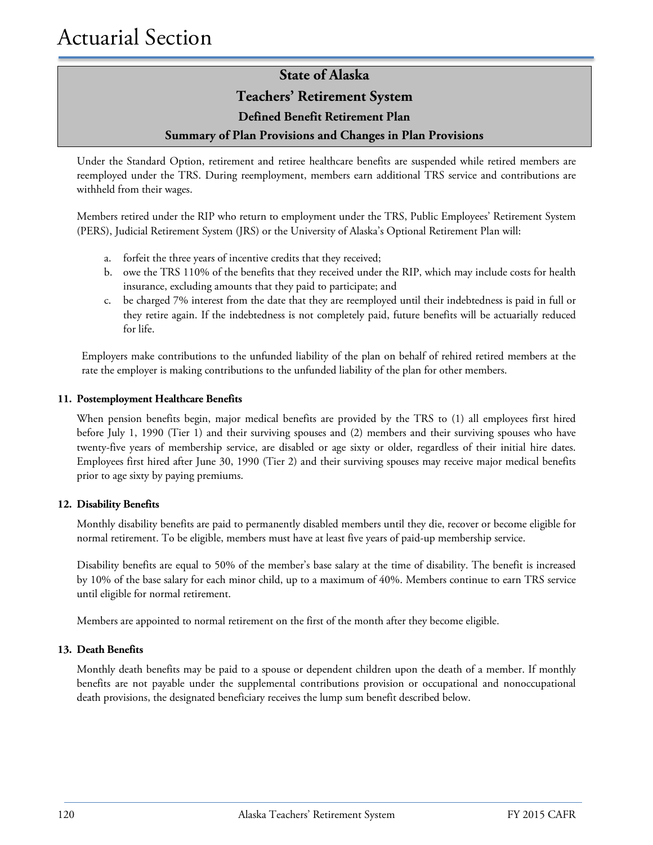### **Teachers' Retirement System**

**Defined Benefit Retirement Plan**

### **Summary of Plan Provisions and Changes in Plan Provisions**

Under the Standard Option, retirement and retiree healthcare benefits are suspended while retired members are reemployed under the TRS. During reemployment, members earn additional TRS service and contributions are withheld from their wages.

Members retired under the RIP who return to employment under the TRS, Public Employees' Retirement System (PERS), Judicial Retirement System (JRS) or the University of Alaska's Optional Retirement Plan will:

- a. forfeit the three years of incentive credits that they received;
- b. owe the TRS 110% of the benefits that they received under the RIP, which may include costs for health insurance, excluding amounts that they paid to participate; and
- c. be charged 7% interest from the date that they are reemployed until their indebtedness is paid in full or they retire again. If the indebtedness is not completely paid, future benefits will be actuarially reduced for life.

Employers make contributions to the unfunded liability of the plan on behalf of rehired retired members at the rate the employer is making contributions to the unfunded liability of the plan for other members.

### **11. Postemployment Healthcare Benefits**

When pension benefits begin, major medical benefits are provided by the TRS to (1) all employees first hired before July 1, 1990 (Tier 1) and their surviving spouses and (2) members and their surviving spouses who have twenty-five years of membership service, are disabled or age sixty or older, regardless of their initial hire dates. Employees first hired after June 30, 1990 (Tier 2) and their surviving spouses may receive major medical benefits prior to age sixty by paying premiums.

### **12. Disability Benefits**

Monthly disability benefits are paid to permanently disabled members until they die, recover or become eligible for normal retirement. To be eligible, members must have at least five years of paid-up membership service.

Disability benefits are equal to 50% of the member's base salary at the time of disability. The benefit is increased by 10% of the base salary for each minor child, up to a maximum of 40%. Members continue to earn TRS service until eligible for normal retirement.

Members are appointed to normal retirement on the first of the month after they become eligible.

#### **13. Death Benefits**

Monthly death benefits may be paid to a spouse or dependent children upon the death of a member. If monthly benefits are not payable under the supplemental contributions provision or occupational and nonoccupational death provisions, the designated beneficiary receives the lump sum benefit described below.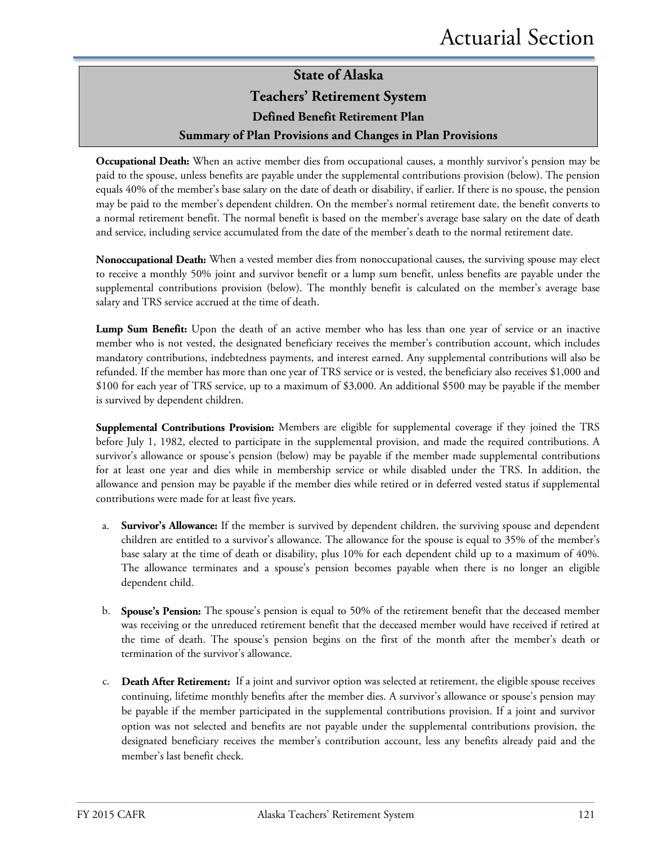### **State of Alaska Teachers' Retirement System Defined Benefit Retirement Plan Summary of Plan Provisions and Changes in Plan Provisions**

**Occupational Death:** When an active member dies from occupational causes, a monthly survivor's pension may be paid to the spouse, unless benefits are payable under the supplemental contributions provision (below). The pension equals 40% of the member's base salary on the date of death or disability, if earlier. If there is no spouse, the pension may be paid to the member's dependent children. On the member's normal retirement date, the benefit converts to a normal retirement benefit. The normal benefit is based on the member's average base salary on the date of death and service, including service accumulated from the date of the member's death to the normal retirement date.

**Nonoccupational Death:** When a vested member dies from nonoccupational causes, the surviving spouse may elect to receive a monthly 50% joint and survivor benefit or a lump sum benefit, unless benefits are payable under the supplemental contributions provision (below). The monthly benefit is calculated on the member's average base salary and TRS service accrued at the time of death.

**Lump Sum Benefit:** Upon the death of an active member who has less than one year of service or an inactive member who is not vested, the designated beneficiary receives the member's contribution account, which includes mandatory contributions, indebtedness payments, and interest earned. Any supplemental contributions will also be refunded. If the member has more than one year of TRS service or is vested, the beneficiary also receives \$1,000 and \$100 for each year of TRS service, up to a maximum of \$3,000. An additional \$500 may be payable if the member is survived by dependent children.

**Supplemental Contributions Provision:** Members are eligible for supplemental coverage if they joined the TRS before July 1, 1982, elected to participate in the supplemental provision, and made the required contributions. A survivor's allowance or spouse's pension (below) may be payable if the member made supplemental contributions for at least one year and dies while in membership service or while disabled under the TRS. In addition, the allowance and pension may be payable if the member dies while retired or in deferred vested status if supplemental contributions were made for at least five years.

- a. **Survivor's Allowance:** If the member is survived by dependent children, the surviving spouse and dependent children are entitled to a survivor's allowance. The allowance for the spouse is equal to 35% of the member's base salary at the time of death or disability, plus 10% for each dependent child up to a maximum of 40%. The allowance terminates and a spouse's pension becomes payable when there is no longer an eligible dependent child.
- b. **Spouse's Pension:** The spouse's pension is equal to 50% of the retirement benefit that the deceased member was receiving or the unreduced retirement benefit that the deceased member would have received if retired at the time of death. The spouse's pension begins on the first of the month after the member's death or termination of the survivor's allowance.
- c. **Death After Retirement:** If a joint and survivor option was selected at retirement, the eligible spouse receives continuing, lifetime monthly benefits after the member dies. A survivor's allowance or spouse's pension may be payable if the member participated in the supplemental contributions provision. If a joint and survivor option was not selected and benefits are not payable under the supplemental contributions provision, the designated beneficiary receives the member's contribution account, less any benefits already paid and the member's last benefit check.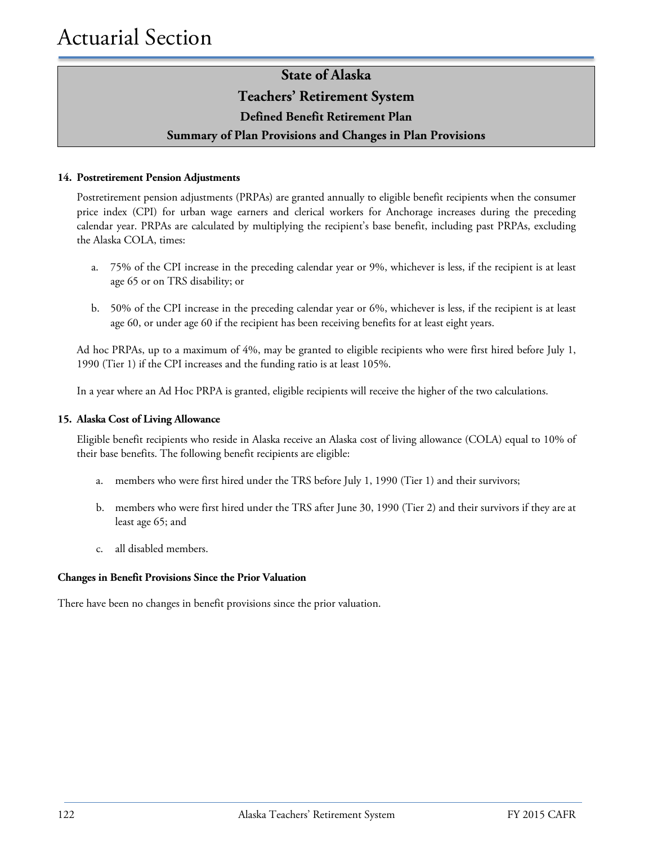### **Teachers' Retirement System**

### **Defined Benefit Retirement Plan**

### **Summary of Plan Provisions and Changes in Plan Provisions**

#### **14. Postretirement Pension Adjustments**

Postretirement pension adjustments (PRPAs) are granted annually to eligible benefit recipients when the consumer price index (CPI) for urban wage earners and clerical workers for Anchorage increases during the preceding calendar year. PRPAs are calculated by multiplying the recipient's base benefit, including past PRPAs, excluding the Alaska COLA, times:

- a. 75% of the CPI increase in the preceding calendar year or 9%, whichever is less, if the recipient is at least age 65 or on TRS disability; or
- b. 50% of the CPI increase in the preceding calendar year or 6%, whichever is less, if the recipient is at least age 60, or under age 60 if the recipient has been receiving benefits for at least eight years.

Ad hoc PRPAs, up to a maximum of 4%, may be granted to eligible recipients who were first hired before July 1, 1990 (Tier 1) if the CPI increases and the funding ratio is at least 105%.

In a year where an Ad Hoc PRPA is granted, eligible recipients will receive the higher of the two calculations.

#### **15. Alaska Cost of Living Allowance**

Eligible benefit recipients who reside in Alaska receive an Alaska cost of living allowance (COLA) equal to 10% of their base benefits. The following benefit recipients are eligible:

- a. members who were first hired under the TRS before July 1, 1990 (Tier 1) and their survivors;
- b. members who were first hired under the TRS after June 30, 1990 (Tier 2) and their survivors if they are at least age 65; and
- c. all disabled members.

#### **Changes in Benefit Provisions Since the Prior Valuation**

There have been no changes in benefit provisions since the prior valuation.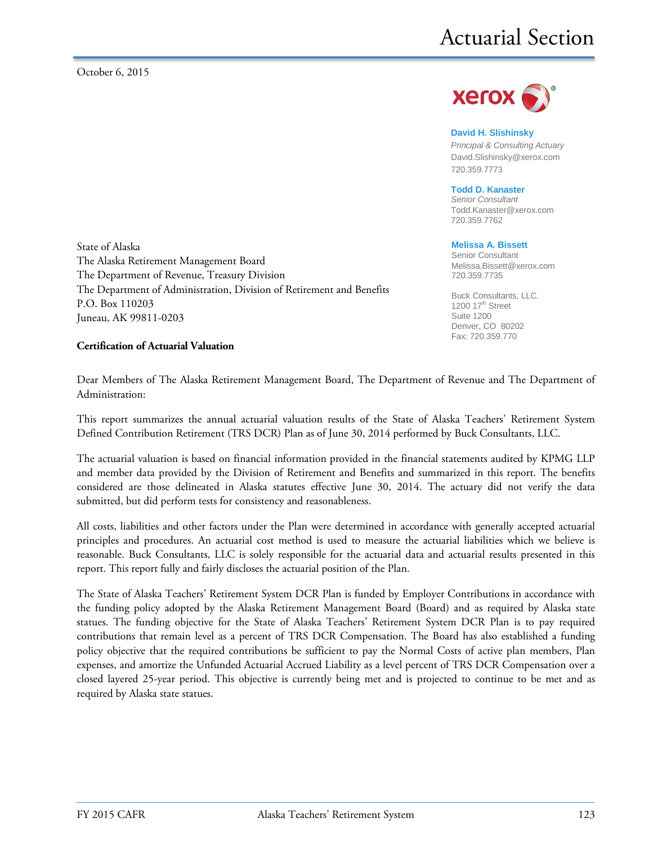

#### **David H. Slishinsky**

*Principal & Consulting Actuary* [David.Slishinsky@xerox.com](mailto:David.Slishinsky@xerox.com) 720.359.7773

#### **Todd D. Kanaster**

*Senior Consultant* [Todd.Kanaster@xerox.com](mailto:Todd.Kanaster@xerox.com) 720.359.7762

#### **Melissa A. Bissett**

Senior Consultant Melissa.Bissett@xerox.com 720.359.7735

Buck Consultants, LLC.  $1200$  17<sup>th</sup> Street Suite 1200 Denver, CO 80202 Fax: 720.359.770

State of Alaska The Alaska Retirement Management Board The Department of Revenue, Treasury Division The Department of Administration, Division of Retirement and Benefits P.O. Box 110203 Juneau, AK 99811-0203

#### **Certification of Actuarial Valuation**

Dear Members of The Alaska Retirement Management Board, The Department of Revenue and The Department of Administration:

This report summarizes the annual actuarial valuation results of the State of Alaska Teachers' Retirement System Defined Contribution Retirement (TRS DCR) Plan as of June 30, 2014 performed by Buck Consultants, LLC.

The actuarial valuation is based on financial information provided in the financial statements audited by KPMG LLP and member data provided by the Division of Retirement and Benefits and summarized in this report. The benefits considered are those delineated in Alaska statutes effective June 30, 2014. The actuary did not verify the data submitted, but did perform tests for consistency and reasonableness.

All costs, liabilities and other factors under the Plan were determined in accordance with generally accepted actuarial principles and procedures. An actuarial cost method is used to measure the actuarial liabilities which we believe is reasonable. Buck Consultants, LLC is solely responsible for the actuarial data and actuarial results presented in this report. This report fully and fairly discloses the actuarial position of the Plan.

The State of Alaska Teachers' Retirement System DCR Plan is funded by Employer Contributions in accordance with the funding policy adopted by the Alaska Retirement Management Board (Board) and as required by Alaska state statues. The funding objective for the State of Alaska Teachers' Retirement System DCR Plan is to pay required contributions that remain level as a percent of TRS DCR Compensation. The Board has also established a funding policy objective that the required contributions be sufficient to pay the Normal Costs of active plan members, Plan expenses, and amortize the Unfunded Actuarial Accrued Liability as a level percent of TRS DCR Compensation over a closed layered 25-year period. This objective is currently being met and is projected to continue to be met and as required by Alaska state statues.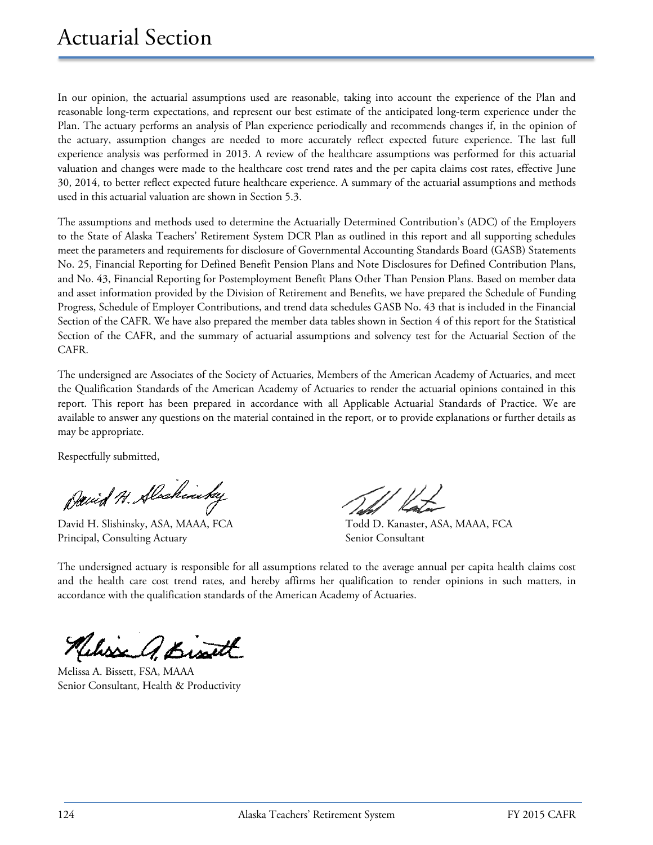In our opinion, the actuarial assumptions used are reasonable, taking into account the experience of the Plan and reasonable long-term expectations, and represent our best estimate of the anticipated long-term experience under the Plan. The actuary performs an analysis of Plan experience periodically and recommends changes if, in the opinion of the actuary, assumption changes are needed to more accurately reflect expected future experience. The last full experience analysis was performed in 2013. A review of the healthcare assumptions was performed for this actuarial valuation and changes were made to the healthcare cost trend rates and the per capita claims cost rates, effective June 30, 2014, to better reflect expected future healthcare experience. A summary of the actuarial assumptions and methods used in this actuarial valuation are shown in Section 5.3.

The assumptions and methods used to determine the Actuarially Determined Contribution's (ADC) of the Employers to the State of Alaska Teachers' Retirement System DCR Plan as outlined in this report and all supporting schedules meet the parameters and requirements for disclosure of Governmental Accounting Standards Board (GASB) Statements No. 25, Financial Reporting for Defined Benefit Pension Plans and Note Disclosures for Defined Contribution Plans, and No. 43, Financial Reporting for Postemployment Benefit Plans Other Than Pension Plans. Based on member data and asset information provided by the Division of Retirement and Benefits, we have prepared the Schedule of Funding Progress, Schedule of Employer Contributions, and trend data schedules GASB No. 43 that is included in the Financial Section of the CAFR. We have also prepared the member data tables shown in Section 4 of this report for the Statistical Section of the CAFR, and the summary of actuarial assumptions and solvency test for the Actuarial Section of the CAFR.

The undersigned are Associates of the Society of Actuaries, Members of the American Academy of Actuaries, and meet the Qualification Standards of the American Academy of Actuaries to render the actuarial opinions contained in this report. This report has been prepared in accordance with all Applicable Actuarial Standards of Practice. We are available to answer any questions on the material contained in the report, or to provide explanations or further details as may be appropriate.

Respectfully submitted,

David N. Alaskinsky

David H. Slishinsky, ASA, MAAA, FCA Todd D. Kanaster, ASA, MAAA, FCA Principal, Consulting Actuary Senior Consultant

The undersigned actuary is responsible for all assumptions related to the average annual per capita health claims cost and the health care cost trend rates, and hereby affirms her qualification to render opinions in such matters, in accordance with the qualification standards of the American Academy of Actuaries.

Melisse a Bisart

Melissa A. Bissett, FSA, MAAA Senior Consultant, Health & Productivity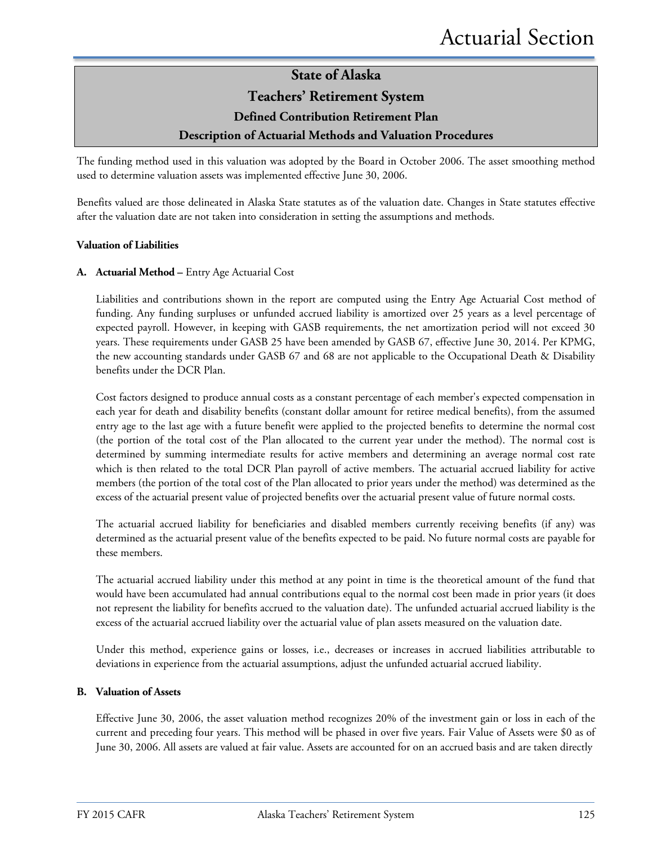### **State of Alaska Teachers' Retirement System Defined Contribution Retirement Plan Description of Actuarial Methods and Valuation Procedures**

The funding method used in this valuation was adopted by the Board in October 2006. The asset smoothing method used to determine valuation assets was implemented effective June 30, 2006.

Benefits valued are those delineated in Alaska State statutes as of the valuation date. Changes in State statutes effective after the valuation date are not taken into consideration in setting the assumptions and methods.

#### **Valuation of Liabilities**

#### **A. Actuarial Method –** Entry Age Actuarial Cost

Liabilities and contributions shown in the report are computed using the Entry Age Actuarial Cost method of funding. Any funding surpluses or unfunded accrued liability is amortized over 25 years as a level percentage of expected payroll. However, in keeping with GASB requirements, the net amortization period will not exceed 30 years. These requirements under GASB 25 have been amended by GASB 67, effective June 30, 2014. Per KPMG, the new accounting standards under GASB 67 and 68 are not applicable to the Occupational Death & Disability benefits under the DCR Plan.

Cost factors designed to produce annual costs as a constant percentage of each member's expected compensation in each year for death and disability benefits (constant dollar amount for retiree medical benefits), from the assumed entry age to the last age with a future benefit were applied to the projected benefits to determine the normal cost (the portion of the total cost of the Plan allocated to the current year under the method). The normal cost is determined by summing intermediate results for active members and determining an average normal cost rate which is then related to the total DCR Plan payroll of active members. The actuarial accrued liability for active members (the portion of the total cost of the Plan allocated to prior years under the method) was determined as the excess of the actuarial present value of projected benefits over the actuarial present value of future normal costs.

The actuarial accrued liability for beneficiaries and disabled members currently receiving benefits (if any) was determined as the actuarial present value of the benefits expected to be paid. No future normal costs are payable for these members.

The actuarial accrued liability under this method at any point in time is the theoretical amount of the fund that would have been accumulated had annual contributions equal to the normal cost been made in prior years (it does not represent the liability for benefits accrued to the valuation date). The unfunded actuarial accrued liability is the excess of the actuarial accrued liability over the actuarial value of plan assets measured on the valuation date.

Under this method, experience gains or losses, i.e., decreases or increases in accrued liabilities attributable to deviations in experience from the actuarial assumptions, adjust the unfunded actuarial accrued liability.

#### **B. Valuation of Assets**

Effective June 30, 2006, the asset valuation method recognizes 20% of the investment gain or loss in each of the current and preceding four years. This method will be phased in over five years. Fair Value of Assets were \$0 as of June 30, 2006. All assets are valued at fair value. Assets are accounted for on an accrued basis and are taken directly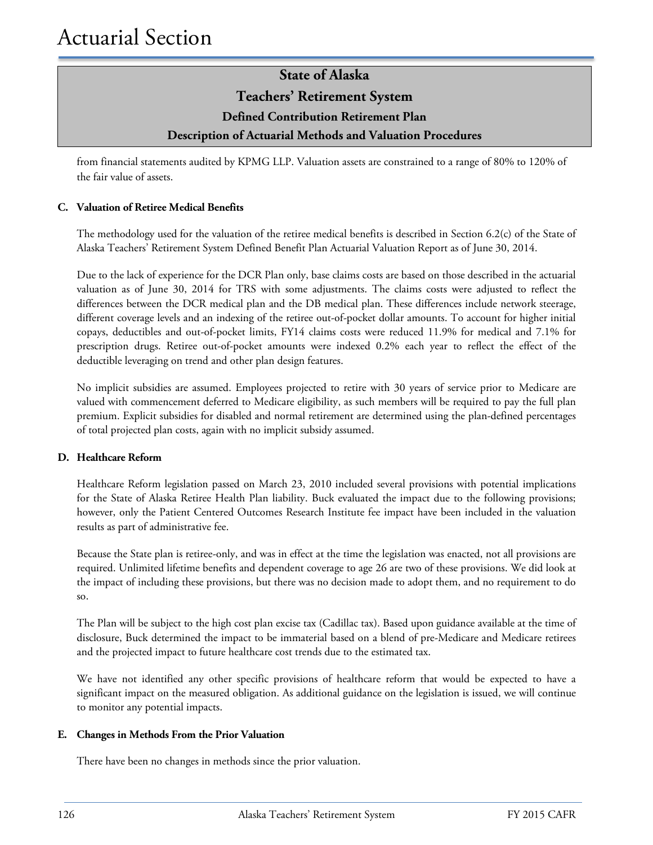### **State of Alaska Teachers' Retirement System Defined Contribution Retirement Plan Description of Actuarial Methods and Valuation Procedures**

from financial statements audited by KPMG LLP. Valuation assets are constrained to a range of 80% to 120% of the fair value of assets.

### **C. Valuation of Retiree Medical Benefits**

The methodology used for the valuation of the retiree medical benefits is described in Section 6.2(c) of the State of Alaska Teachers' Retirement System Defined Benefit Plan Actuarial Valuation Report as of June 30, 2014.

Due to the lack of experience for the DCR Plan only, base claims costs are based on those described in the actuarial valuation as of June 30, 2014 for TRS with some adjustments. The claims costs were adjusted to reflect the differences between the DCR medical plan and the DB medical plan. These differences include network steerage, different coverage levels and an indexing of the retiree out-of-pocket dollar amounts. To account for higher initial copays, deductibles and out-of-pocket limits, FY14 claims costs were reduced 11.9% for medical and 7.1% for prescription drugs. Retiree out-of-pocket amounts were indexed 0.2% each year to reflect the effect of the deductible leveraging on trend and other plan design features.

No implicit subsidies are assumed. Employees projected to retire with 30 years of service prior to Medicare are valued with commencement deferred to Medicare eligibility, as such members will be required to pay the full plan premium. Explicit subsidies for disabled and normal retirement are determined using the plan-defined percentages of total projected plan costs, again with no implicit subsidy assumed.

#### **D. Healthcare Reform**

Healthcare Reform legislation passed on March 23, 2010 included several provisions with potential implications for the State of Alaska Retiree Health Plan liability. Buck evaluated the impact due to the following provisions; however, only the Patient Centered Outcomes Research Institute fee impact have been included in the valuation results as part of administrative fee.

Because the State plan is retiree-only, and was in effect at the time the legislation was enacted, not all provisions are required. Unlimited lifetime benefits and dependent coverage to age 26 are two of these provisions. We did look at the impact of including these provisions, but there was no decision made to adopt them, and no requirement to do so.

The Plan will be subject to the high cost plan excise tax (Cadillac tax). Based upon guidance available at the time of disclosure, Buck determined the impact to be immaterial based on a blend of pre-Medicare and Medicare retirees and the projected impact to future healthcare cost trends due to the estimated tax.

We have not identified any other specific provisions of healthcare reform that would be expected to have a significant impact on the measured obligation. As additional guidance on the legislation is issued, we will continue to monitor any potential impacts.

#### **E. Changes in Methods From the Prior Valuation**

There have been no changes in methods since the prior valuation.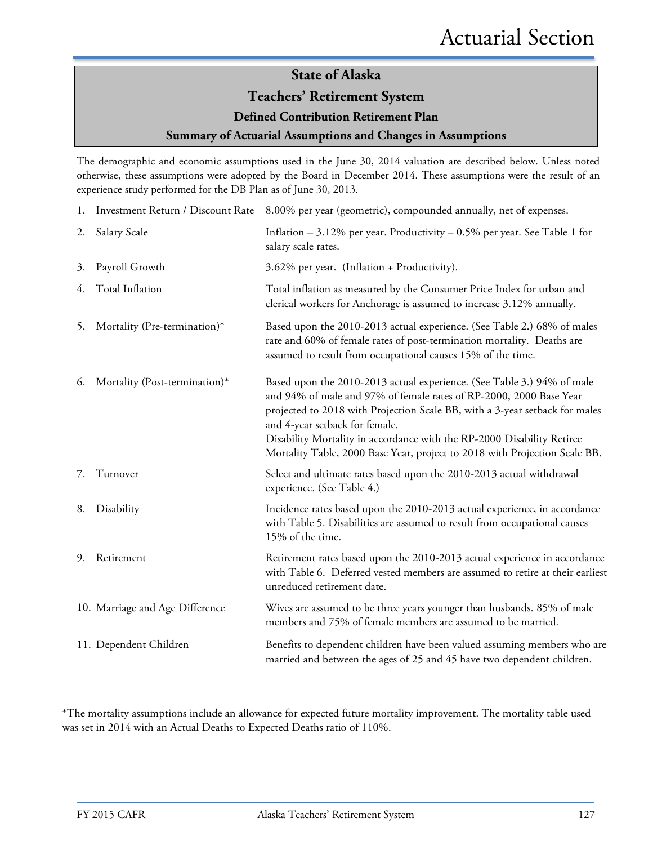### **Teachers' Retirement System**

### **Defined Contribution Retirement Plan**

### **Summary of Actuarial Assumptions and Changes in Assumptions**

The demographic and economic assumptions used in the June 30, 2014 valuation are described below. Unless noted otherwise, these assumptions were adopted by the Board in December 2014. These assumptions were the result of an experience study performed for the DB Plan as of June 30, 2013.

|    | 1. Investment Return / Discount Rate | 8.00% per year (geometric), compounded annually, net of expenses.                                                                                                                                                                                                                                                                                                                                                     |
|----|--------------------------------------|-----------------------------------------------------------------------------------------------------------------------------------------------------------------------------------------------------------------------------------------------------------------------------------------------------------------------------------------------------------------------------------------------------------------------|
| 2. | Salary Scale                         | Inflation $-3.12\%$ per year. Productivity $-0.5\%$ per year. See Table 1 for<br>salary scale rates.                                                                                                                                                                                                                                                                                                                  |
| 3. | Payroll Growth                       | 3.62% per year. (Inflation + Productivity).                                                                                                                                                                                                                                                                                                                                                                           |
| 4. | Total Inflation                      | Total inflation as measured by the Consumer Price Index for urban and<br>clerical workers for Anchorage is assumed to increase 3.12% annually.                                                                                                                                                                                                                                                                        |
| 5. | Mortality (Pre-termination)*         | Based upon the 2010-2013 actual experience. (See Table 2.) 68% of males<br>rate and 60% of female rates of post-termination mortality. Deaths are<br>assumed to result from occupational causes 15% of the time.                                                                                                                                                                                                      |
| 6. | Mortality (Post-termination)*        | Based upon the 2010-2013 actual experience. (See Table 3.) 94% of male<br>and 94% of male and 97% of female rates of RP-2000, 2000 Base Year<br>projected to 2018 with Projection Scale BB, with a 3-year setback for males<br>and 4-year setback for female.<br>Disability Mortality in accordance with the RP-2000 Disability Retiree<br>Mortality Table, 2000 Base Year, project to 2018 with Projection Scale BB. |
|    | 7. Turnover                          | Select and ultimate rates based upon the 2010-2013 actual withdrawal<br>experience. (See Table 4.)                                                                                                                                                                                                                                                                                                                    |
| 8. | Disability                           | Incidence rates based upon the 2010-2013 actual experience, in accordance<br>with Table 5. Disabilities are assumed to result from occupational causes<br>15% of the time.                                                                                                                                                                                                                                            |
| 9. | Retirement                           | Retirement rates based upon the 2010-2013 actual experience in accordance<br>with Table 6. Deferred vested members are assumed to retire at their earliest<br>unreduced retirement date.                                                                                                                                                                                                                              |
|    | 10. Marriage and Age Difference      | Wives are assumed to be three years younger than husbands. 85% of male<br>members and 75% of female members are assumed to be married.                                                                                                                                                                                                                                                                                |
|    | 11. Dependent Children               | Benefits to dependent children have been valued assuming members who are<br>married and between the ages of 25 and 45 have two dependent children.                                                                                                                                                                                                                                                                    |

\*The mortality assumptions include an allowance for expected future mortality improvement. The mortality table used was set in 2014 with an Actual Deaths to Expected Deaths ratio of 110%.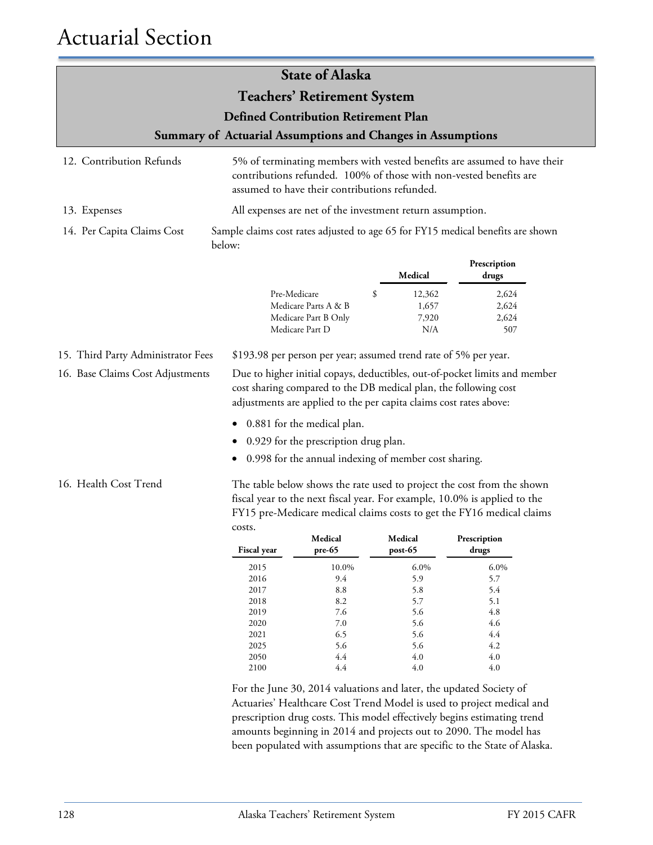| <b>State of Alaska</b>                                                                                                                                                                                                                                                                |                                                              |                                                                                                                                                                                                                      |    |                                                       |                                                                                                                                                |  |  |
|---------------------------------------------------------------------------------------------------------------------------------------------------------------------------------------------------------------------------------------------------------------------------------------|--------------------------------------------------------------|----------------------------------------------------------------------------------------------------------------------------------------------------------------------------------------------------------------------|----|-------------------------------------------------------|------------------------------------------------------------------------------------------------------------------------------------------------|--|--|
|                                                                                                                                                                                                                                                                                       |                                                              | <b>Teachers' Retirement System</b>                                                                                                                                                                                   |    |                                                       |                                                                                                                                                |  |  |
|                                                                                                                                                                                                                                                                                       |                                                              | <b>Defined Contribution Retirement Plan</b>                                                                                                                                                                          |    |                                                       |                                                                                                                                                |  |  |
|                                                                                                                                                                                                                                                                                       |                                                              |                                                                                                                                                                                                                      |    |                                                       |                                                                                                                                                |  |  |
|                                                                                                                                                                                                                                                                                       |                                                              | <b>Summary of Actuarial Assumptions and Changes in Assumptions</b>                                                                                                                                                   |    |                                                       |                                                                                                                                                |  |  |
| 12. Contribution Refunds                                                                                                                                                                                                                                                              |                                                              | assumed to have their contributions refunded.                                                                                                                                                                        |    |                                                       | 5% of terminating members with vested benefits are assumed to have their<br>contributions refunded. 100% of those with non-vested benefits are |  |  |
| 13. Expenses                                                                                                                                                                                                                                                                          |                                                              | All expenses are net of the investment return assumption.                                                                                                                                                            |    |                                                       |                                                                                                                                                |  |  |
| 14. Per Capita Claims Cost                                                                                                                                                                                                                                                            | below:                                                       | Sample claims cost rates adjusted to age 65 for FY15 medical benefits are shown                                                                                                                                      |    |                                                       |                                                                                                                                                |  |  |
|                                                                                                                                                                                                                                                                                       |                                                              |                                                                                                                                                                                                                      |    | Medical                                               | Prescription<br>drugs                                                                                                                          |  |  |
|                                                                                                                                                                                                                                                                                       |                                                              | Pre-Medicare<br>Medicare Parts A & B<br>Medicare Part B Only<br>Medicare Part D                                                                                                                                      | \$ | 12,362<br>1,657<br>7,920<br>N/A                       | 2,624<br>2,624<br>2,624<br>507                                                                                                                 |  |  |
| 15. Third Party Administrator Fees                                                                                                                                                                                                                                                    |                                                              | \$193.98 per person per year; assumed trend rate of 5% per year.                                                                                                                                                     |    |                                                       |                                                                                                                                                |  |  |
| 16. Base Claims Cost Adjustments                                                                                                                                                                                                                                                      |                                                              | Due to higher initial copays, deductibles, out-of-pocket limits and member<br>cost sharing compared to the DB medical plan, the following cost<br>adjustments are applied to the per capita claims cost rates above: |    |                                                       |                                                                                                                                                |  |  |
|                                                                                                                                                                                                                                                                                       |                                                              | 0.881 for the medical plan.                                                                                                                                                                                          |    |                                                       |                                                                                                                                                |  |  |
|                                                                                                                                                                                                                                                                                       |                                                              | 0.929 for the prescription drug plan.                                                                                                                                                                                |    |                                                       |                                                                                                                                                |  |  |
|                                                                                                                                                                                                                                                                                       |                                                              | 0.998 for the annual indexing of member cost sharing.                                                                                                                                                                |    |                                                       |                                                                                                                                                |  |  |
| 16. Health Cost Trend<br>The table below shows the rate used to project the cost from the shown<br>fiscal year to the next fiscal year. For example, 10.0% is applied to the<br>FY15 pre-Medicare medical claims costs to get the FY16 medical claims<br>costs.<br>Medical<br>Medical |                                                              |                                                                                                                                                                                                                      |    | Prescription                                          |                                                                                                                                                |  |  |
|                                                                                                                                                                                                                                                                                       | Fiscal year                                                  | pre-65                                                                                                                                                                                                               |    | $post-65$                                             | drugs                                                                                                                                          |  |  |
|                                                                                                                                                                                                                                                                                       | 2015<br>2016<br>2017<br>2018<br>2019<br>2020<br>2021<br>2025 | $10.0\%$<br>9.4<br>$8.8\,$<br>8.2<br>$7.6\,$<br>$7.0\,$<br>6.5<br>5.6                                                                                                                                                |    | 6.0%<br>5.9<br>5.8<br>5.7<br>5.6<br>5.6<br>5.6<br>5.6 | 6.0%<br>5.7<br>5.4<br>5.1<br>$4.8\,$<br>4.6<br>4.4<br>4.2                                                                                      |  |  |
|                                                                                                                                                                                                                                                                                       | 2050<br>2100                                                 | $4.4\,$<br>$4.4\,$                                                                                                                                                                                                   |    | 4.0<br>4.0                                            | $4.0\,$<br>$4.0\,$                                                                                                                             |  |  |

For the June 30, 2014 valuations and later, the updated Society of Actuaries' Healthcare Cost Trend Model is used to project medical and prescription drug costs. This model effectively begins estimating trend amounts beginning in 2014 and projects out to 2090. The model has been populated with assumptions that are specific to the State of Alaska.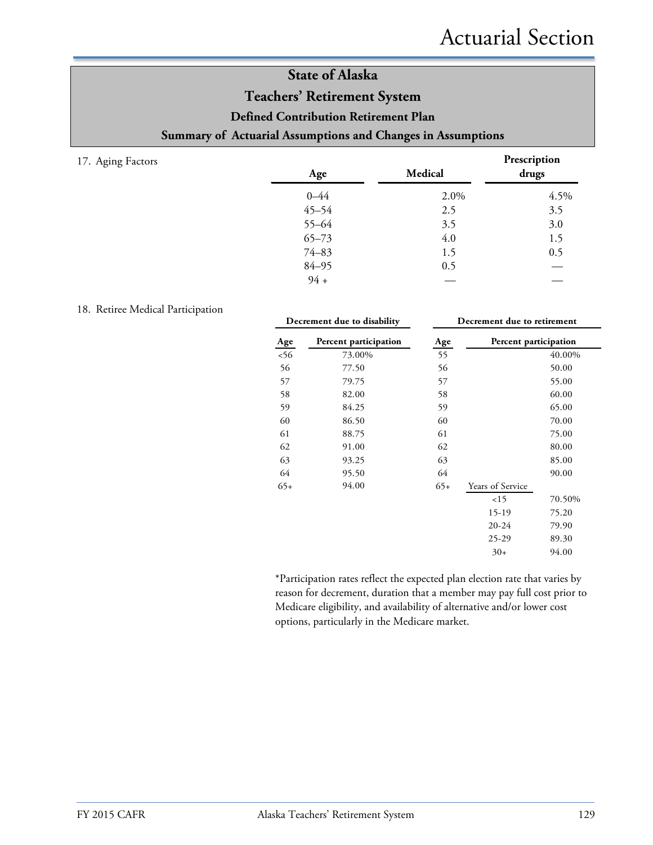### **State of Alaska Teachers' Retirement System Defined Contribution Retirement Plan Summary of Actuarial Assumptions and Changes in Assumptions**

17. Aging Factors

| Age       | Medical | Prescription<br>drugs |
|-----------|---------|-----------------------|
| $0 - 44$  | 2.0%    | 4.5%                  |
| $45 - 54$ | 2.5     | 3.5                   |
| $55 - 64$ | 3.5     | 3.0                   |
| $65 - 73$ | 4.0     | 1.5                   |
| $74 - 83$ | 1.5     | 0.5                   |
| $84 - 95$ | 0.5     |                       |
| $94 +$    |         |                       |

### 18. Retiree Medical Participation

| Decrement due to disability |                       | Decrement due to retirement |                       |        |  |  |
|-----------------------------|-----------------------|-----------------------------|-----------------------|--------|--|--|
| Age                         | Percent participation | Age                         | Percent participation |        |  |  |
| 56                          | 73.00%                | 55                          |                       | 40.00% |  |  |
| 56                          | 77.50                 | 56                          |                       | 50.00  |  |  |
| 57                          | 79.75                 | 57                          |                       | 55.00  |  |  |
| 58                          | 82.00                 | 58                          |                       | 60.00  |  |  |
| 59                          | 84.25                 | 59                          |                       | 65.00  |  |  |
| 60                          | 86.50                 | 60                          |                       | 70.00  |  |  |
| 61                          | 88.75                 | 61                          |                       | 75.00  |  |  |
| 62                          | 91.00                 | 62                          |                       | 80.00  |  |  |
| 63                          | 93.25                 | 63                          |                       | 85.00  |  |  |
| 64                          | 95.50                 | 64                          |                       | 90.00  |  |  |
| $65+$                       | 94.00                 | $65+$                       | Years of Service      |        |  |  |
|                             |                       |                             | 15                    | 70.50% |  |  |
|                             |                       |                             | 15-19                 | 75.20  |  |  |
|                             |                       |                             | $20 - 24$             | 79.90  |  |  |
|                             |                       |                             | $25-29$               | 89.30  |  |  |
|                             |                       |                             | $30+$                 | 94.00  |  |  |

\*Participation rates reflect the expected plan election rate that varies by reason for decrement, duration that a member may pay full cost prior to Medicare eligibility, and availability of alternative and/or lower cost options, particularly in the Medicare market.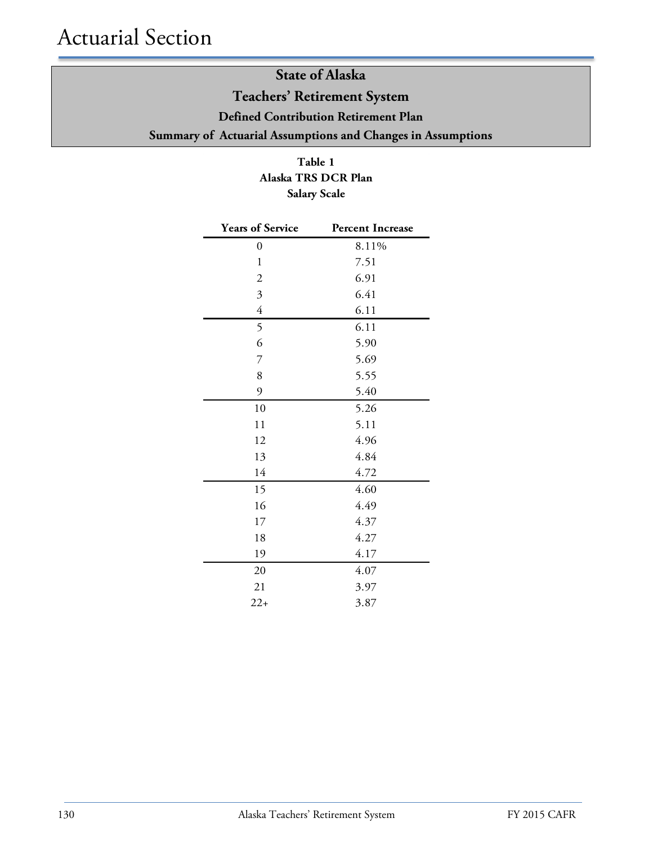### **State of Alaska Teachers' Retirement System Defined Contribution Retirement Plan Summary of Actuarial Assumptions and Changes in Assumptions**

**Table 1 Alaska TRS DCR Plan Salary Scale**

| <b>Years of Service</b>   | <b>Percent Increase</b> |
|---------------------------|-------------------------|
| 0                         | 8.11%                   |
| $\mathbf{1}$              | 7.51                    |
| $\boldsymbol{2}$          | 6.91                    |
| $\overline{\mathfrak{Z}}$ | 6.41                    |
| $\overline{4}$            | 6.11                    |
| 5                         | 6.11                    |
| 6                         | 5.90                    |
| $\overline{7}$            | 5.69                    |
| 8                         | 5.55                    |
| 9                         | 5.40                    |
| 10                        | 5.26                    |
| 11                        | 5.11                    |
| 12                        | 4.96                    |
| 13                        | 4.84                    |
| 14                        | 4.72                    |
| 15                        | 4.60                    |
| 16                        | 4.49                    |
| 17                        | 4.37                    |
| 18                        | 4.27                    |
| 19                        | 4.17                    |
| 20                        | 4.07                    |
| 21                        | 3.97                    |
| $22+$                     | 3.87                    |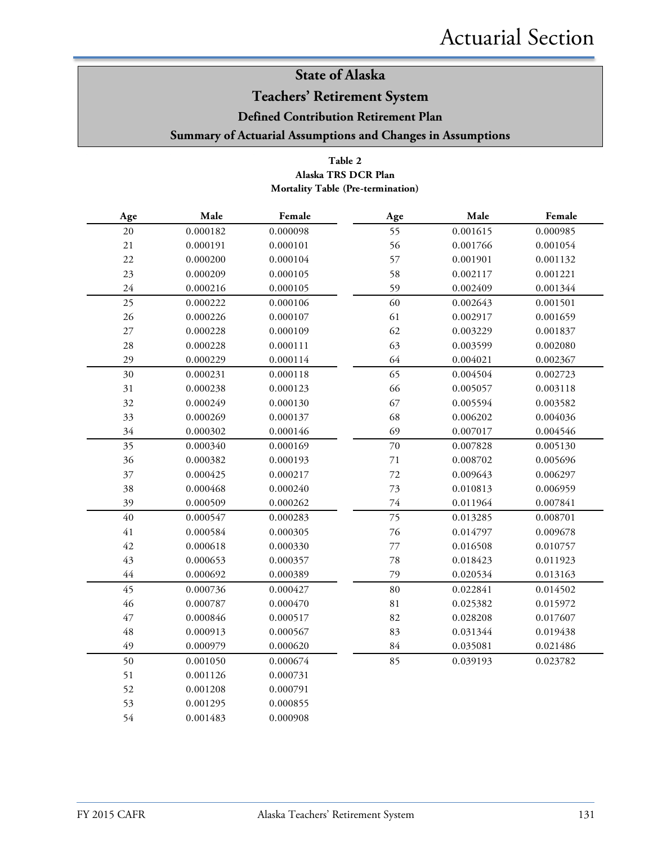### **Teachers' Retirement System**

**Defined Contribution Retirement Plan**

### **Summary of Actuarial Assumptions and Changes in Assumptions**

### **Table 2 Mortality Table (Pre-termination) Alaska TRS DCR Plan**

| Age         | Male     | Female   | Age         | Male     | Female   |
|-------------|----------|----------|-------------|----------|----------|
| $20\,$      | 0.000182 | 0.000098 | 55          | 0.001615 | 0.000985 |
| $21\,$      | 0.000191 | 0.000101 | 56          | 0.001766 | 0.001054 |
| $22\,$      | 0.000200 | 0.000104 | 57          | 0.001901 | 0.001132 |
| 23          | 0.000209 | 0.000105 | 58          | 0.002117 | 0.001221 |
| $24\,$      | 0.000216 | 0.000105 | 59          | 0.002409 | 0.001344 |
| 25          | 0.000222 | 0.000106 | 60          | 0.002643 | 0.001501 |
| 26          | 0.000226 | 0.000107 | 61          | 0.002917 | 0.001659 |
| $27\,$      | 0.000228 | 0.000109 | 62          | 0.003229 | 0.001837 |
| $28\,$      | 0.000228 | 0.000111 | 63          | 0.003599 | 0.002080 |
| 29          | 0.000229 | 0.000114 | 64          | 0.004021 | 0.002367 |
| 30          | 0.000231 | 0.000118 | 65          | 0.004504 | 0.002723 |
| 31          | 0.000238 | 0.000123 | 66          | 0.005057 | 0.003118 |
| 32          | 0.000249 | 0.000130 | 67          | 0.005594 | 0.003582 |
| 33          | 0.000269 | 0.000137 | 68          | 0.006202 | 0.004036 |
| 34          | 0.000302 | 0.000146 | 69          | 0.007017 | 0.004546 |
| 35          | 0.000340 | 0.000169 | 70          | 0.007828 | 0.005130 |
| 36          | 0.000382 | 0.000193 | $71\,$      | 0.008702 | 0.005696 |
| 37          | 0.000425 | 0.000217 | 72          | 0.009643 | 0.006297 |
| 38          | 0.000468 | 0.000240 | 73          | 0.010813 | 0.006959 |
| 39          | 0.000509 | 0.000262 | 74          | 0.011964 | 0.007841 |
| 40          | 0.000547 | 0.000283 | 75          | 0.013285 | 0.008701 |
| $41\,$      | 0.000584 | 0.000305 | 76          | 0.014797 | 0.009678 |
| $42\,$      | 0.000618 | 0.000330 | $77\,$      | 0.016508 | 0.010757 |
| 43          | 0.000653 | 0.000357 | 78          | 0.018423 | 0.011923 |
| 44          | 0.000692 | 0.000389 | 79          | 0.020534 | 0.013163 |
| 45          | 0.000736 | 0.000427 | 80          | 0.022841 | 0.014502 |
| 46          | 0.000787 | 0.000470 | $8\sqrt{1}$ | 0.025382 | 0.015972 |
| $47\,$      | 0.000846 | 0.000517 | 82          | 0.028208 | 0.017607 |
| $\sqrt{48}$ | 0.000913 | 0.000567 | 83          | 0.031344 | 0.019438 |
| 49          | 0.000979 | 0.000620 | 84          | 0.035081 | 0.021486 |
| 50          | 0.001050 | 0.000674 | 85          | 0.039193 | 0.023782 |
| 51          | 0.001126 | 0.000731 |             |          |          |
| 52          | 0.001208 | 0.000791 |             |          |          |
| 53          | 0.001295 | 0.000855 |             |          |          |
| 54          | 0.001483 | 0.000908 |             |          |          |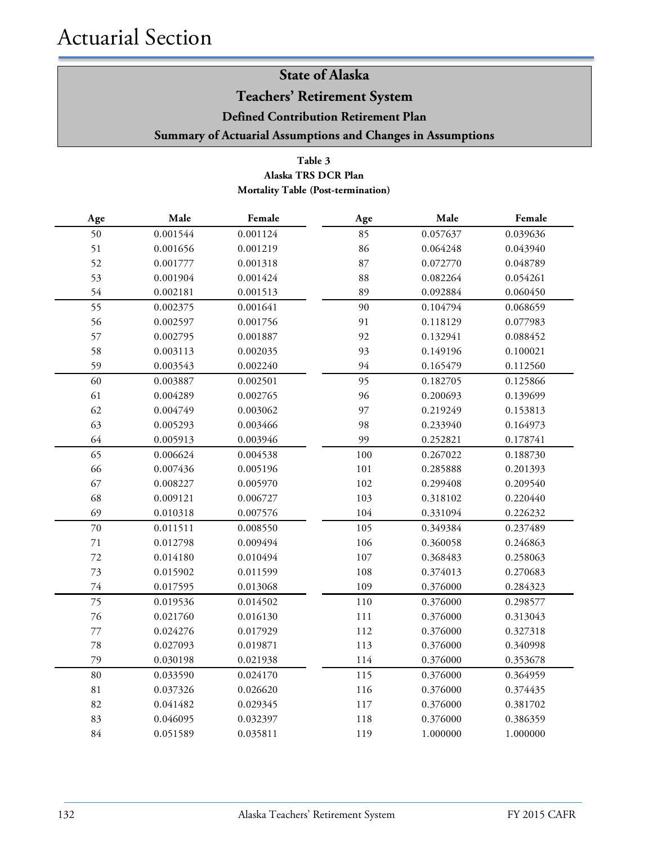**Teachers' Retirement System**

**Defined Contribution Retirement Plan**

**Summary of Actuarial Assumptions and Changes in Assumptions**

### **Table 3 Alaska TRS DCR Plan Mortality Table (Post-termination)**

| Age         | Male     | Female   | $\rm Age$ | Male     | Female   |
|-------------|----------|----------|-----------|----------|----------|
| 50          | 0.001544 | 0.001124 | 85        | 0.057637 | 0.039636 |
| 51          | 0.001656 | 0.001219 | 86        | 0.064248 | 0.043940 |
| 52          | 0.001777 | 0.001318 | 87        | 0.072770 | 0.048789 |
| 53          | 0.001904 | 0.001424 | 88        | 0.082264 | 0.054261 |
| 54          | 0.002181 | 0.001513 | 89        | 0.092884 | 0.060450 |
| 55          | 0.002375 | 0.001641 | 90        | 0.104794 | 0.068659 |
| 56          | 0.002597 | 0.001756 | 91        | 0.118129 | 0.077983 |
| 57          | 0.002795 | 0.001887 | 92        | 0.132941 | 0.088452 |
| 58          | 0.003113 | 0.002035 | 93        | 0.149196 | 0.100021 |
| 59          | 0.003543 | 0.002240 | 94        | 0.165479 | 0.112560 |
| 60          | 0.003887 | 0.002501 | 95        | 0.182705 | 0.125866 |
| 61          | 0.004289 | 0.002765 | 96        | 0.200693 | 0.139699 |
| 62          | 0.004749 | 0.003062 | 97        | 0.219249 | 0.153813 |
| 63          | 0.005293 | 0.003466 | 98        | 0.233940 | 0.164973 |
| 64          | 0.005913 | 0.003946 | 99        | 0.252821 | 0.178741 |
| 65          | 0.006624 | 0.004538 | 100       | 0.267022 | 0.188730 |
| 66          | 0.007436 | 0.005196 | 101       | 0.285888 | 0.201393 |
| 67          | 0.008227 | 0.005970 | 102       | 0.299408 | 0.209540 |
| 68          | 0.009121 | 0.006727 | 103       | 0.318102 | 0.220440 |
| 69          | 0.010318 | 0.007576 | 104       | 0.331094 | 0.226232 |
| 70          | 0.011511 | 0.008550 | 105       | 0.349384 | 0.237489 |
| $71\,$      | 0.012798 | 0.009494 | 106       | 0.360058 | 0.246863 |
| 72          | 0.014180 | 0.010494 | 107       | 0.368483 | 0.258063 |
| 73          | 0.015902 | 0.011599 | 108       | 0.374013 | 0.270683 |
| 74          | 0.017595 | 0.013068 | 109       | 0.376000 | 0.284323 |
| 75          | 0.019536 | 0.014502 | 110       | 0.376000 | 0.298577 |
| 76          | 0.021760 | 0.016130 | 111       | 0.376000 | 0.313043 |
| 77          | 0.024276 | 0.017929 | 112       | 0.376000 | 0.327318 |
| 78          | 0.027093 | 0.019871 | 113       | 0.376000 | 0.340998 |
| 79          | 0.030198 | 0.021938 | 114       | 0.376000 | 0.353678 |
| 80          | 0.033590 | 0.024170 | 115       | 0.376000 | 0.364959 |
| $8\sqrt{1}$ | 0.037326 | 0.026620 | 116       | 0.376000 | 0.374435 |
| 82          | 0.041482 | 0.029345 | 117       | 0.376000 | 0.381702 |
| 83          | 0.046095 | 0.032397 | 118       | 0.376000 | 0.386359 |
| 84          | 0.051589 | 0.035811 | 119       | 1.000000 | 1.000000 |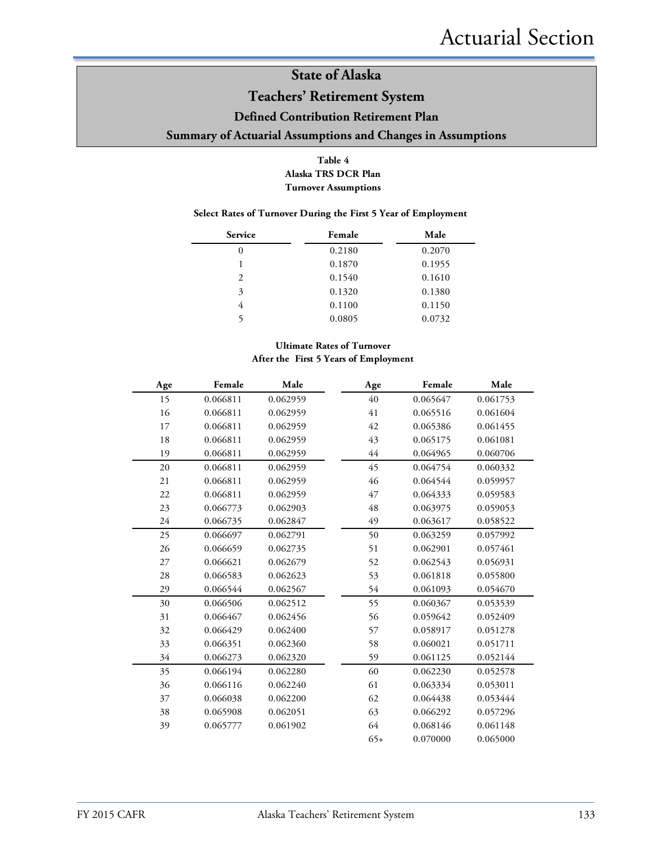### **Teachers' Retirement System**

#### **Defined Contribution Retirement Plan**

### **Summary of Actuarial Assumptions and Changes in Assumptions**

#### **Table 4 Alaska TRS DCR Plan Turnover Assumptions**

#### **Select Rates of Turnover During the First 5 Year of Employment**

| Service | Female | Male   |
|---------|--------|--------|
| 0       | 0.2180 | 0.2070 |
|         | 0.1870 | 0.1955 |
| 2       | 0.1540 | 0.1610 |
| 3       | 0.1320 | 0.1380 |
| 4       | 0.1100 | 0.1150 |
|         | 0.0805 | 0.0732 |

### **Ultimate Rates of Turnover After the First 5 Years of Employment**

| Age    | Female   | Male     | Age   | Female   | Male     |
|--------|----------|----------|-------|----------|----------|
| 15     | 0.066811 | 0.062959 | 40    | 0.065647 | 0.061753 |
| 16     | 0.066811 | 0.062959 | 41    | 0.065516 | 0.061604 |
| 17     | 0.066811 | 0.062959 | 42    | 0.065386 | 0.061455 |
| 18     | 0.066811 | 0.062959 | 43    | 0.065175 | 0.061081 |
| 19     | 0.066811 | 0.062959 | 44    | 0.064965 | 0.060706 |
| 20     | 0.066811 | 0.062959 | 45    | 0.064754 | 0.060332 |
| 21     | 0.066811 | 0.062959 | 46    | 0.064544 | 0.059957 |
| 22     | 0.066811 | 0.062959 | 47    | 0.064333 | 0.059583 |
| 23     | 0.066773 | 0.062903 | 48    | 0.063975 | 0.059053 |
| 24     | 0.066735 | 0.062847 | 49    | 0.063617 | 0.058522 |
| 25     | 0.066697 | 0.062791 | 50    | 0.063259 | 0.057992 |
| 26     | 0.066659 | 0.062735 | 51    | 0.062901 | 0.057461 |
| $27\,$ | 0.066621 | 0.062679 | 52    | 0.062543 | 0.056931 |
| 28     | 0.066583 | 0.062623 | 53    | 0.061818 | 0.055800 |
| 29     | 0.066544 | 0.062567 | 54    | 0.061093 | 0.054670 |
| 30     | 0.066506 | 0.062512 | 55    | 0.060367 | 0.053539 |
| 31     | 0.066467 | 0.062456 | 56    | 0.059642 | 0.052409 |
| 32     | 0.066429 | 0.062400 | 57    | 0.058917 | 0.051278 |
| 33     | 0.066351 | 0.062360 | 58    | 0.060021 | 0.051711 |
| 34     | 0.066273 | 0.062320 | 59    | 0.061125 | 0.052144 |
| 35     | 0.066194 | 0.062280 | 60    | 0.062230 | 0.052578 |
| 36     | 0.066116 | 0.062240 | 61    | 0.063334 | 0.053011 |
| 37     | 0.066038 | 0.062200 | 62    | 0.064438 | 0.053444 |
| 38     | 0.065908 | 0.062051 | 63    | 0.066292 | 0.057296 |
| 39     | 0.065777 | 0.061902 | 64    | 0.068146 | 0.061148 |
|        |          |          | $65+$ | 0.070000 | 0.065000 |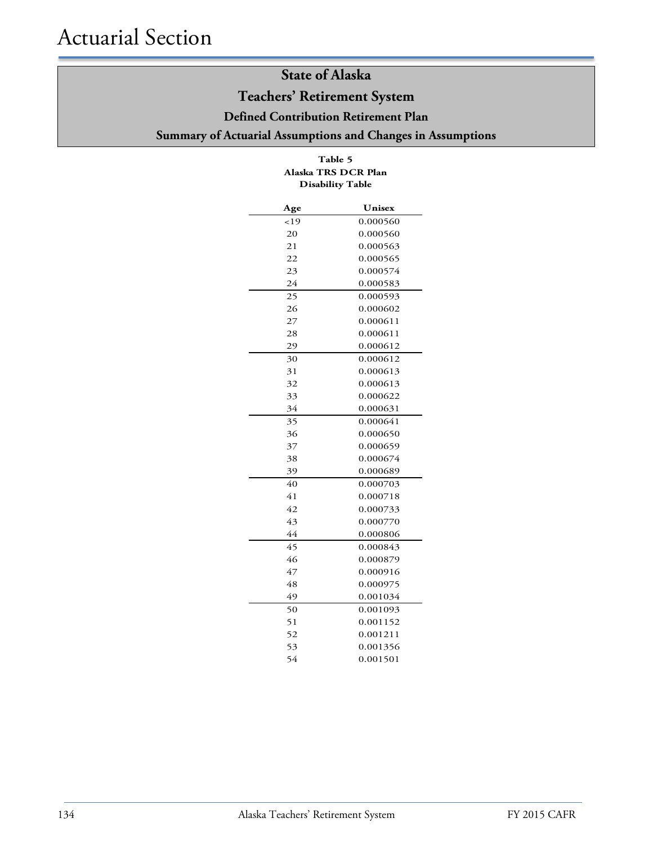### **Teachers' Retirement System**

**Defined Contribution Retirement Plan**

### **Summary of Actuarial Assumptions and Changes in Assumptions**

### **Table 5 Disability Table Alaska TRS DCR Plan**

| Age             | Unisex   |
|-----------------|----------|
| 19              | 0.000560 |
| 20              | 0.000560 |
| 21              | 0.000563 |
| $\overline{22}$ | 0.000565 |
| 23              | 0.000574 |
| 24              | 0.000583 |
| 25              | 0.000593 |
| 26              | 0.000602 |
| 27              | 0.000611 |
| 28              | 0.000611 |
| 29              | 0.000612 |
| 30              | 0.000612 |
| 31              | 0.000613 |
| 32              | 0.000613 |
| 33              | 0.000622 |
| 34              | 0.000631 |
| 35              | 0.000641 |
| 36              | 0.000650 |
| 37              | 0.000659 |
| 38              | 0.000674 |
| 39              | 0.000689 |
| 40              | 0.000703 |
| 41              | 0.000718 |
| 42              | 0.000733 |
| 43              | 0.000770 |
| 44              | 0.000806 |
| 45              | 0.000843 |
| 46              | 0.000879 |
| 47              | 0.000916 |
| 48              | 0.000975 |
| 49              | 0.001034 |
| 50              | 0.001093 |
| 51              | 0.001152 |
| 52              | 0.001211 |
| 53              | 0.001356 |
| 54              | 0.001501 |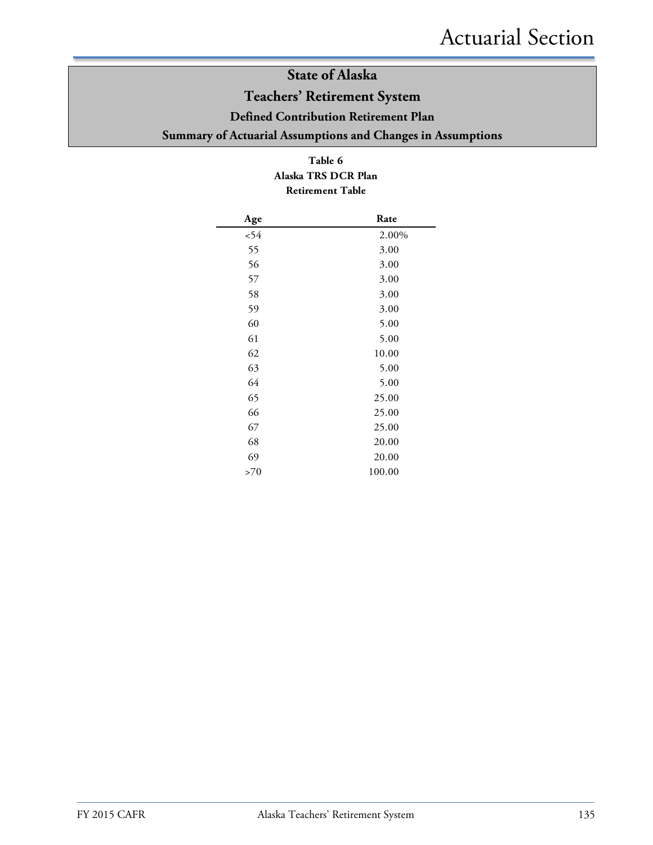### **Teachers' Retirement System**

**Defined Contribution Retirement Plan**

**Summary of Actuarial Assumptions and Changes in Assumptions**

### **Table 6 Alaska TRS DCR Plan Retirement Table**

| Age  | Rate   |
|------|--------|
| < 54 | 2.00%  |
| 55   | 3.00   |
| 56   | 3.00   |
| 57   | 3.00   |
| 58   | 3.00   |
| 59   | 3.00   |
| 60   | 5.00   |
| 61   | 5.00   |
| 62   | 10.00  |
| 63   | 5.00   |
| 64   | 5.00   |
| 65   | 25.00  |
| 66   | 25.00  |
| 67   | 25.00  |
| 68   | 20.00  |
| 69   | 20.00  |
| >70  | 100.00 |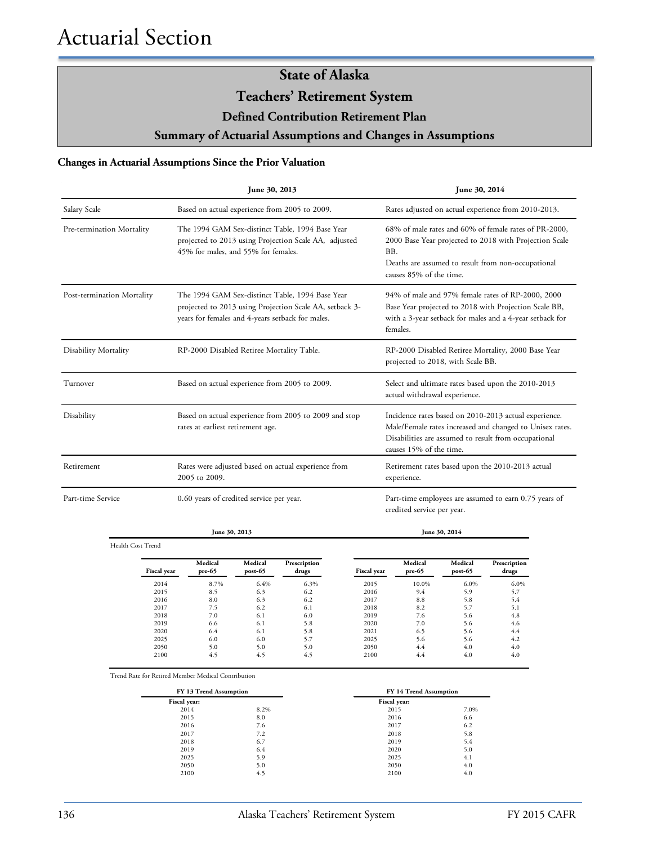**Teachers' Retirement System**

**Defined Contribution Retirement Plan**

**Summary of Actuarial Assumptions and Changes in Assumptions**

#### **Changes in Actuarial Assumptions Since the Prior Valuation**

|                            | June 30, 2013                                                                                                                                                  | June 30, 2014                                                                                                                                                                                           |  |  |
|----------------------------|----------------------------------------------------------------------------------------------------------------------------------------------------------------|---------------------------------------------------------------------------------------------------------------------------------------------------------------------------------------------------------|--|--|
| Salary Scale               | Based on actual experience from 2005 to 2009.                                                                                                                  | Rates adjusted on actual experience from 2010-2013.                                                                                                                                                     |  |  |
| Pre-termination Mortality  | The 1994 GAM Sex-distinct Table, 1994 Base Year<br>projected to 2013 using Projection Scale AA, adjusted<br>45% for males, and 55% for females.                | 68% of male rates and 60% of female rates of PR-2000,<br>2000 Base Year projected to 2018 with Projection Scale<br>BB.<br>Deaths are assumed to result from non-occupational<br>causes 85% of the time. |  |  |
| Post-termination Mortality | The 1994 GAM Sex-distinct Table, 1994 Base Year<br>projected to 2013 using Projection Scale AA, setback 3-<br>years for females and 4-years setback for males. | 94% of male and 97% female rates of RP-2000, 2000<br>Base Year projected to 2018 with Projection Scale BB,<br>with a 3-year setback for males and a 4-year setback for<br>females.                      |  |  |
| Disability Mortality       | RP-2000 Disabled Retiree Mortality Table.                                                                                                                      | RP-2000 Disabled Retiree Mortality, 2000 Base Year<br>projected to 2018, with Scale BB.                                                                                                                 |  |  |
| Turnover                   | Based on actual experience from 2005 to 2009.                                                                                                                  | Select and ultimate rates based upon the 2010-2013<br>actual withdrawal experience.                                                                                                                     |  |  |
| Disability                 | Based on actual experience from 2005 to 2009 and stop<br>rates at earliest retirement age.                                                                     | Incidence rates based on 2010-2013 actual experience.<br>Male/Female rates increased and changed to Unisex rates.<br>Disabilities are assumed to result from occupational<br>causes 15% of the time.    |  |  |
| Retirement                 | Rates were adjusted based on actual experience from<br>2005 to 2009.                                                                                           | Retirement rates based upon the 2010-2013 actual<br>experience.                                                                                                                                         |  |  |
| Part-time Service          | 0.60 years of credited service per year.                                                                                                                       | Part-time employees are assumed to earn 0.75 years of<br>credited service per year.                                                                                                                     |  |  |
|                            | June 30, 2013                                                                                                                                                  | June 30, 2014                                                                                                                                                                                           |  |  |

Health Cost Trend

| Fiscal year | Medical<br>$pre-65$ | Medical<br>$post-65$ | Prescription<br>drugs | <b>Fiscal year</b> | Medical<br>pre-65 | Medical<br>$post-65$ | Prescription<br>drugs |
|-------------|---------------------|----------------------|-----------------------|--------------------|-------------------|----------------------|-----------------------|
| 2014        | 8.7%                | 6.4%                 | 6.3%                  | 2015               | 10.0%             | 6.0%                 | 6.0%                  |
| 2015        | 8.5                 | 6.3                  | 6.2                   | 2016               | 9.4               | 5.9                  | 5.7                   |
| 2016        | 8.0                 | 6.3                  | 6.2                   | 2017               | 8.8               | 5.8                  | 5.4                   |
| 2017        | 7.5                 | 6.2                  | 6.1                   | 2018               | 8.2               | 5.7                  | 5.1                   |
| 2018        | 7.0                 | 6.1                  | 6.0                   | 2019               | 7.6               | 5.6                  | 4.8                   |
| 2019        | 6.6                 | 6.1                  | 5.8                   | 2020               | 7.0               | 5.6                  | 4.6                   |
| 2020        | 6.4                 | 6.1                  | 5.8                   | 2021               | 6.5               | 5.6                  | 4.4                   |
| 2025        | 6.0                 | 6.0                  | 5.7                   | 2025               | 5.6               | 5.6                  | 4.2                   |
| 2050        | 5.0                 | 5.0                  | 5.0                   | 2050               | 4.4               | 4.0                  | 4.0                   |
| 2100        | 4.5                 | 4.5                  | 4.5                   | 2100               | 4.4               | 4.0                  | 4.0                   |

Trend Rate for Retired Member Medical Contribution

| FY 13 Trend Assumption |      | FY 14 Trend Assumption |      |
|------------------------|------|------------------------|------|
| Fiscal year:           |      | Fiscal year:           |      |
| 2014                   | 8.2% | 2015                   | 7.0% |
| 2015                   | 8.0  | 2016                   | 6.6  |
| 2016                   | 7.6  | 2017                   | 6.2  |
| 2017                   | 7.2  | 2018                   | 5.8  |
| 2018                   | 6.7  | 2019                   | 5.4  |
| 2019                   | 6.4  | 2020                   | 5.0  |
| 2025                   | 5.9  | 2025                   | 4.1  |
| 2050                   | 5.0  | 2050                   | 4.0  |
| 2100                   | 4.5  | 2100                   | 4.0  |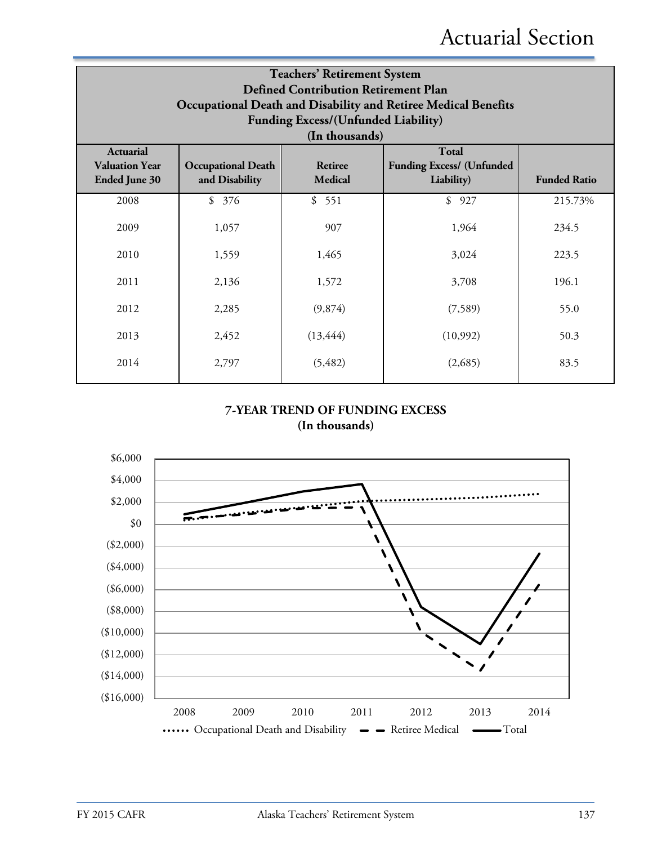| <b>Teachers' Retirement System</b><br><b>Defined Contribution Retirement Plan</b><br>Occupational Death and Disability and Retiree Medical Benefits<br><b>Funding Excess/(Unfunded Liability)</b><br>(In thousands) |                                             |                    |                                                                |                     |  |  |
|---------------------------------------------------------------------------------------------------------------------------------------------------------------------------------------------------------------------|---------------------------------------------|--------------------|----------------------------------------------------------------|---------------------|--|--|
| <b>Actuarial</b><br><b>Valuation Year</b><br><b>Ended June 30</b>                                                                                                                                                   | <b>Occupational Death</b><br>and Disability | Retiree<br>Medical | <b>Total</b><br><b>Funding Excess/ (Unfunded</b><br>Liability) | <b>Funded Ratio</b> |  |  |
| 2008                                                                                                                                                                                                                | \$<br>376                                   | \$551              | \$927                                                          | 215.73%             |  |  |
| 2009                                                                                                                                                                                                                | 1,057                                       | 907                | 1,964                                                          | 234.5               |  |  |
| 2010                                                                                                                                                                                                                | 1,559                                       | 1,465              | 3,024                                                          | 223.5               |  |  |
| 2011                                                                                                                                                                                                                | 2,136                                       | 1,572              | 3,708                                                          | 196.1               |  |  |
| 2012                                                                                                                                                                                                                | 2,285                                       | (9,874)            | (7,589)                                                        | 55.0                |  |  |
| 2013                                                                                                                                                                                                                | 2,452                                       | (13, 444)          | (10,992)                                                       | 50.3                |  |  |
| 2014                                                                                                                                                                                                                | 2,797                                       | (5, 482)           | (2,685)                                                        | 83.5                |  |  |

### **7-YEAR TREND OF FUNDING EXCESS (In thousands)**

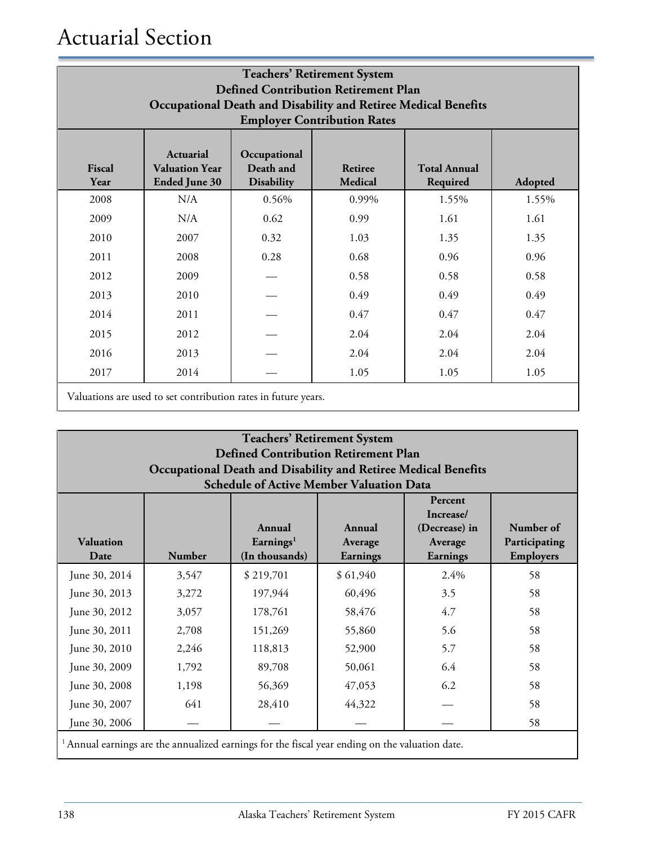| <b>Teachers' Retirement System</b><br><b>Defined Contribution Retirement Plan</b><br>Occupational Death and Disability and Retiree Medical Benefits<br><b>Employer Contribution Rates</b>                               |      |       |       |       |       |  |  |
|-------------------------------------------------------------------------------------------------------------------------------------------------------------------------------------------------------------------------|------|-------|-------|-------|-------|--|--|
| <b>Actuarial</b><br>Occupational<br>Death and<br>Fiscal<br><b>Total Annual</b><br><b>Valuation Year</b><br><b>Retiree</b><br><b>Medical</b><br><b>Disability</b><br>Required<br>Year<br><b>Ended June 30</b><br>Adopted |      |       |       |       |       |  |  |
| 2008                                                                                                                                                                                                                    | N/A  | 0.56% | 0.99% | 1.55% | 1.55% |  |  |
| 2009                                                                                                                                                                                                                    | N/A  | 0.62  | 0.99  | 1.61  | 1.61  |  |  |
| 2010                                                                                                                                                                                                                    | 2007 | 0.32  | 1.03  | 1.35  | 1.35  |  |  |
| 2011                                                                                                                                                                                                                    | 2008 | 0.28  | 0.68  | 0.96  | 0.96  |  |  |
| 2012                                                                                                                                                                                                                    | 2009 |       | 0.58  | 0.58  | 0.58  |  |  |
| 2013                                                                                                                                                                                                                    | 2010 |       | 0.49  | 0.49  | 0.49  |  |  |
| 2014                                                                                                                                                                                                                    | 2011 |       | 0.47  | 0.47  | 0.47  |  |  |
| 2015                                                                                                                                                                                                                    | 2012 |       | 2.04  | 2.04  | 2.04  |  |  |
| 2016                                                                                                                                                                                                                    | 2013 |       | 2.04  | 2.04  | 2.04  |  |  |
| 2017                                                                                                                                                                                                                    | 2014 |       | 1.05  | 1.05  | 1.05  |  |  |

Valuations are used to set contribution rates in future years.

| <b>Teachers' Retirement System</b><br><b>Defined Contribution Retirement Plan</b><br>Occupational Death and Disability and Retiree Medical Benefits<br><b>Schedule of Active Member Valuation Data</b>                                     |       |                                                                                                            |          |      |    |  |
|--------------------------------------------------------------------------------------------------------------------------------------------------------------------------------------------------------------------------------------------|-------|------------------------------------------------------------------------------------------------------------|----------|------|----|--|
| Percent<br>Increase/<br>Number of<br>Annual<br>(Decrease) in<br>Annual<br><b>Valuation</b><br>Earnings <sup>1</sup><br>Participating<br>Average<br>Average<br><b>Number</b><br>(In thousands)<br>Employers<br>Date<br>Earnings<br>Earnings |       |                                                                                                            |          |      |    |  |
| June 30, 2014                                                                                                                                                                                                                              | 3,547 | \$219,701                                                                                                  | \$61,940 | 2.4% | 58 |  |
| June 30, 2013                                                                                                                                                                                                                              | 3,272 | 197,944                                                                                                    | 60,496   | 3.5  | 58 |  |
| June 30, 2012                                                                                                                                                                                                                              | 3,057 | 178,761                                                                                                    | 58,476   | 4.7  | 58 |  |
| June 30, 2011                                                                                                                                                                                                                              | 2,708 | 151,269                                                                                                    | 55,860   | 5.6  | 58 |  |
| June 30, 2010                                                                                                                                                                                                                              | 2,246 | 118,813                                                                                                    | 52,900   | 5.7  | 58 |  |
| June 30, 2009                                                                                                                                                                                                                              | 1,792 | 89,708                                                                                                     | 50,061   | 6.4  | 58 |  |
| June 30, 2008                                                                                                                                                                                                                              | 1,198 | 56,369                                                                                                     | 47,053   | 6.2  | 58 |  |
| June 30, 2007                                                                                                                                                                                                                              | 641   | 28,410                                                                                                     | 44,322   |      | 58 |  |
| June 30, 2006                                                                                                                                                                                                                              |       |                                                                                                            |          |      | 58 |  |
|                                                                                                                                                                                                                                            |       | <sup>1</sup> Annual earnings are the annualized earnings for the fiscal year ending on the valuation date. |          |      |    |  |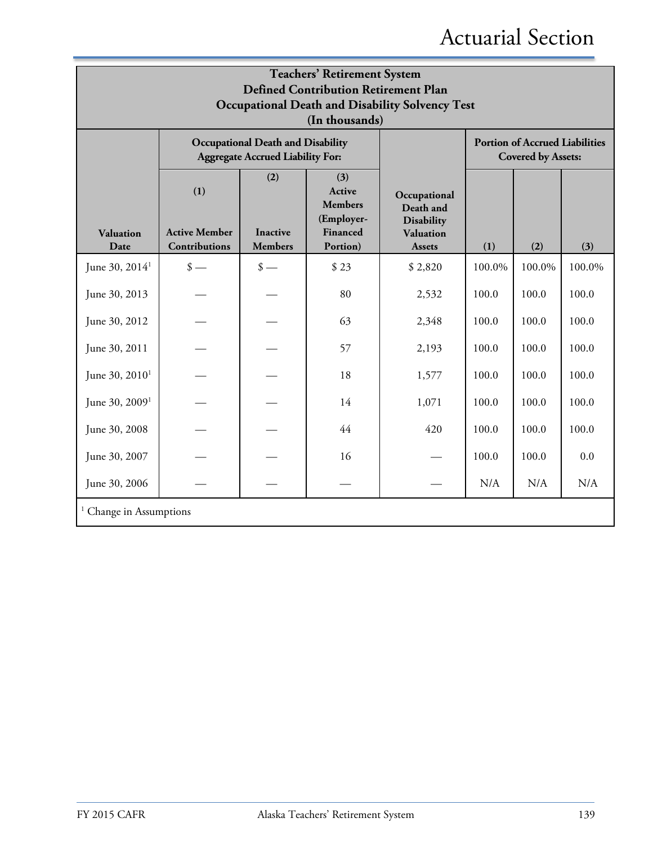| <b>Teachers' Retirement System</b><br><b>Defined Contribution Retirement Plan</b><br><b>Occupational Death and Disability Solvency Test</b><br>(In thousands) |                                                                                     |                                          |                                                                              |                                                                                     |        |                                                                    |        |  |
|---------------------------------------------------------------------------------------------------------------------------------------------------------------|-------------------------------------------------------------------------------------|------------------------------------------|------------------------------------------------------------------------------|-------------------------------------------------------------------------------------|--------|--------------------------------------------------------------------|--------|--|
|                                                                                                                                                               | <b>Occupational Death and Disability</b><br><b>Aggregate Accrued Liability For:</b> |                                          |                                                                              |                                                                                     |        | <b>Portion of Accrued Liabilities</b><br><b>Covered by Assets:</b> |        |  |
| Valuation<br>Date                                                                                                                                             | (1)<br><b>Active Member</b><br>Contributions                                        | (2)<br><b>Inactive</b><br><b>Members</b> | (3)<br><b>Active</b><br><b>Members</b><br>(Employer-<br>Financed<br>Portion) | Occupational<br>Death and<br><b>Disability</b><br><b>Valuation</b><br><b>Assets</b> | (1)    | (2)                                                                | (3)    |  |
| June 30, 2014 <sup>1</sup>                                                                                                                                    | $\frac{\text{I}}{\text{I}}$                                                         | $\frac{\text{I}}{\text{I}}$              | \$23                                                                         | \$2,820                                                                             | 100.0% | 100.0%                                                             | 100.0% |  |
| June 30, 2013                                                                                                                                                 |                                                                                     |                                          | 80                                                                           | 2,532                                                                               | 100.0  | 100.0                                                              | 100.0  |  |
| June 30, 2012                                                                                                                                                 |                                                                                     |                                          | 63                                                                           | 2,348                                                                               | 100.0  | 100.0                                                              | 100.0  |  |
| June 30, 2011                                                                                                                                                 |                                                                                     |                                          | 57                                                                           | 2,193                                                                               | 100.0  | 100.0                                                              | 100.0  |  |
| June 30, 2010 <sup>1</sup>                                                                                                                                    |                                                                                     |                                          | 18                                                                           | 1,577                                                                               | 100.0  | 100.0                                                              | 100.0  |  |
| June 30, $20091$                                                                                                                                              |                                                                                     |                                          | 14                                                                           | 1,071                                                                               | 100.0  | 100.0                                                              | 100.0  |  |
| June 30, 2008                                                                                                                                                 |                                                                                     |                                          | 44                                                                           | 420                                                                                 | 100.0  | 100.0                                                              | 100.0  |  |
| June 30, 2007                                                                                                                                                 |                                                                                     |                                          | 16                                                                           |                                                                                     | 100.0  | 100.0                                                              | 0.0    |  |
| June 30, 2006                                                                                                                                                 |                                                                                     |                                          |                                                                              |                                                                                     | N/A    | N/A                                                                | N/A    |  |
| <sup>1</sup> Change in Assumptions                                                                                                                            |                                                                                     |                                          |                                                                              |                                                                                     |        |                                                                    |        |  |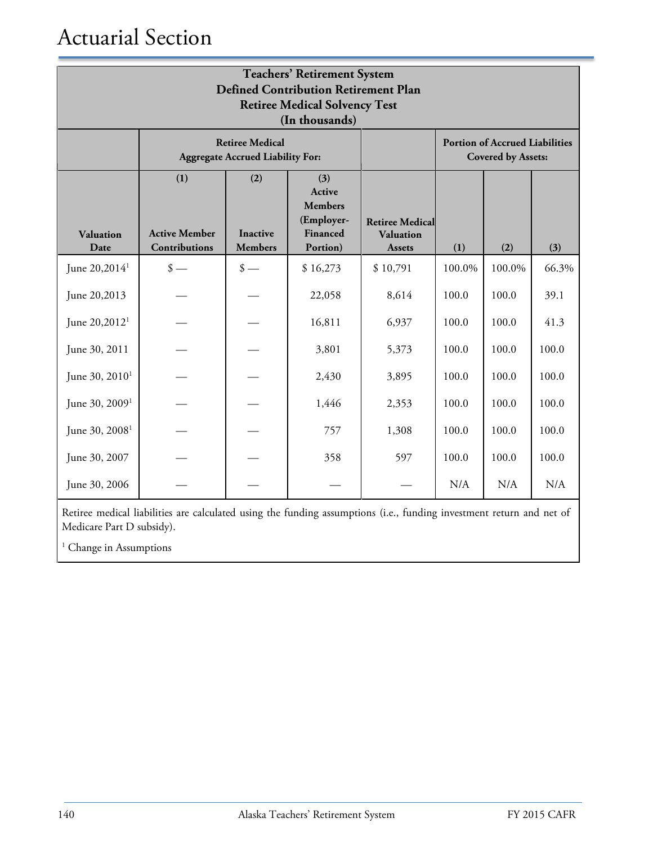| <b>Teachers' Retirement System</b><br><b>Defined Contribution Retirement Plan</b><br><b>Retiree Medical Solvency Test</b><br>(In thousands) |                                                                   |                                          |                                                                       |                                                             |        |                                                                    |       |  |
|---------------------------------------------------------------------------------------------------------------------------------------------|-------------------------------------------------------------------|------------------------------------------|-----------------------------------------------------------------------|-------------------------------------------------------------|--------|--------------------------------------------------------------------|-------|--|
|                                                                                                                                             | <b>Retiree Medical</b><br><b>Aggregate Accrued Liability For:</b> |                                          |                                                                       |                                                             |        | <b>Portion of Accrued Liabilities</b><br><b>Covered by Assets:</b> |       |  |
| Valuation<br>Date                                                                                                                           | (1)<br><b>Active Member</b><br>Contributions                      | (2)<br><b>Inactive</b><br><b>Members</b> | (3)<br>Active<br><b>Members</b><br>(Employer-<br>Financed<br>Portion) | <b>Retiree Medical</b><br><b>Valuation</b><br><b>Assets</b> | (1)    | (2)                                                                | (3)   |  |
| June 20,2014 <sup>1</sup>                                                                                                                   | $\frac{\text{I}}{\text{I}}$                                       | $\frac{\text{I}}{\text{I}}$              | \$16,273                                                              | \$10,791                                                    | 100.0% | 100.0%                                                             | 66.3% |  |
| June 20,2013                                                                                                                                |                                                                   |                                          | 22,058                                                                | 8,614                                                       | 100.0  | 100.0                                                              | 39.1  |  |
| June 20,2012 <sup>1</sup>                                                                                                                   |                                                                   |                                          | 16,811                                                                | 6,937                                                       | 100.0  | 100.0                                                              | 41.3  |  |
| June 30, 2011                                                                                                                               |                                                                   |                                          | 3,801                                                                 | 5,373                                                       | 100.0  | 100.0                                                              | 100.0 |  |
| June 30, 2010 <sup>1</sup>                                                                                                                  |                                                                   |                                          | 2,430                                                                 | 3,895                                                       | 100.0  | 100.0                                                              | 100.0 |  |
| June 30, 2009 <sup>1</sup>                                                                                                                  |                                                                   |                                          | 1,446                                                                 | 2,353                                                       | 100.0  | 100.0                                                              | 100.0 |  |
| June 30, 2008 <sup>1</sup>                                                                                                                  |                                                                   |                                          | 757                                                                   | 1,308                                                       | 100.0  | 100.0                                                              | 100.0 |  |
| June 30, 2007                                                                                                                               |                                                                   |                                          | 358                                                                   | 597                                                         | 100.0  | 100.0                                                              | 100.0 |  |
| June 30, 2006                                                                                                                               |                                                                   |                                          |                                                                       |                                                             | N/A    | N/A                                                                | N/A   |  |

Retiree medical liabilities are calculated using the funding assumptions (i.e., funding investment return and net of Medicare Part D subsidy).

<sup>1</sup> Change in Assumptions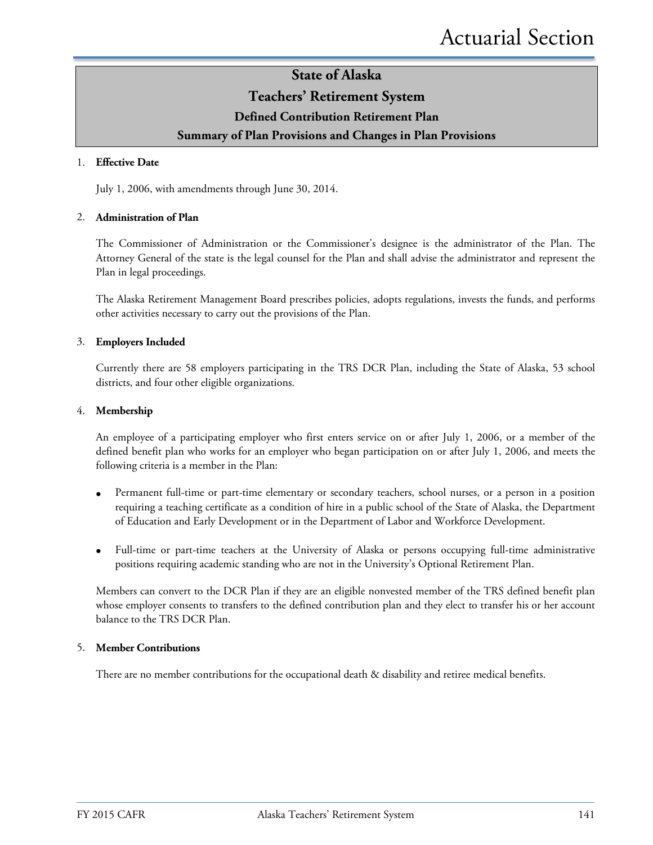### **Teachers' Retirement System**

### **Defined Contribution Retirement Plan**

### **Summary of Plan Provisions and Changes in Plan Provisions**

#### 1. **Effective Date**

July 1, 2006, with amendments through June 30, 2014.

#### 2. **Administration of Plan**

The Commissioner of Administration or the Commissioner's designee is the administrator of the Plan. The Attorney General of the state is the legal counsel for the Plan and shall advise the administrator and represent the Plan in legal proceedings.

The Alaska Retirement Management Board prescribes policies, adopts regulations, invests the funds, and performs other activities necessary to carry out the provisions of the Plan.

#### 3. **Employers Included**

Currently there are 58 employers participating in the TRS DCR Plan, including the State of Alaska, 53 school districts, and four other eligible organizations.

#### 4. **Membership**

An employee of a participating employer who first enters service on or after July 1, 2006, or a member of the defined benefit plan who works for an employer who began participation on or after July 1, 2006, and meets the following criteria is a member in the Plan:

- Permanent full-time or part-time elementary or secondary teachers, school nurses, or a person in a position requiring a teaching certificate as a condition of hire in a public school of the State of Alaska, the Department of Education and Early Development or in the Department of Labor and Workforce Development.
- Full-time or part-time teachers at the University of Alaska or persons occupying full-time administrative positions requiring academic standing who are not in the University's Optional Retirement Plan.

Members can convert to the DCR Plan if they are an eligible nonvested member of the TRS defined benefit plan whose employer consents to transfers to the defined contribution plan and they elect to transfer his or her account balance to the TRS DCR Plan.

#### 5. **Member Contributions**

There are no member contributions for the occupational death & disability and retiree medical benefits.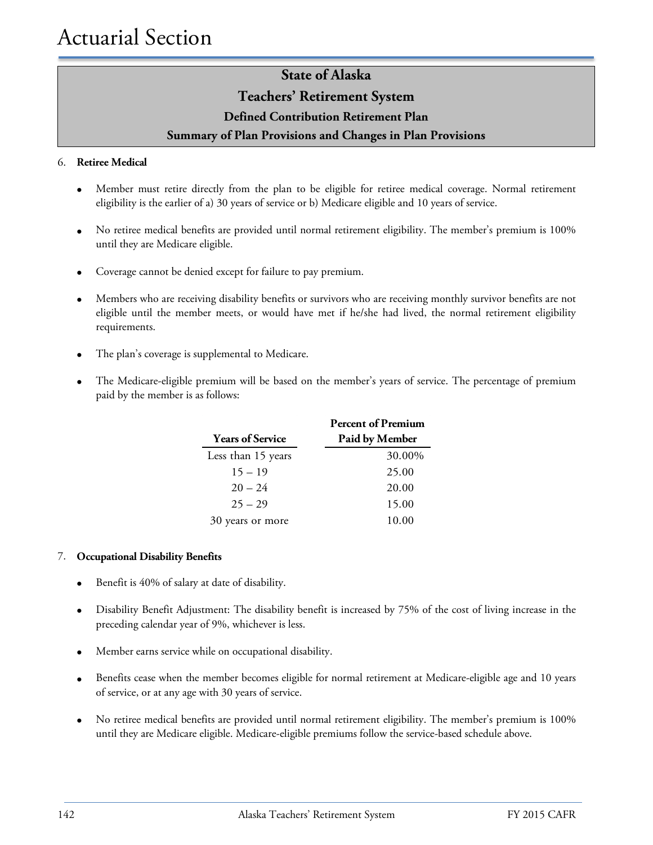### **Teachers' Retirement System**

**Defined Contribution Retirement Plan**

### **Summary of Plan Provisions and Changes in Plan Provisions**

### 6. **Retiree Medical**

- Member must retire directly from the plan to be eligible for retiree medical coverage. Normal retirement eligibility is the earlier of a) 30 years of service or b) Medicare eligible and 10 years of service.
- No retiree medical benefits are provided until normal retirement eligibility. The member's premium is 100% until they are Medicare eligible.
- Coverage cannot be denied except for failure to pay premium.
- Members who are receiving disability benefits or survivors who are receiving monthly survivor benefits are not eligible until the member meets, or would have met if he/she had lived, the normal retirement eligibility requirements.
- The plan's coverage is supplemental to Medicare.
- The Medicare-eligible premium will be based on the member's years of service. The percentage of premium paid by the member is as follows:

|                         | <b>Percent of Premium</b> |
|-------------------------|---------------------------|
| <b>Years of Service</b> | Paid by Member            |
| Less than 15 years      | 30.00%                    |
| $15 - 19$               | 25.00                     |
| $20 - 24$               | 20.00                     |
| $25 - 29$               | 15.00                     |
| 30 years or more        | 10.00                     |

#### 7. **Occupational Disability Benefits**

- Benefit is 40% of salary at date of disability.
- Disability Benefit Adjustment: The disability benefit is increased by 75% of the cost of living increase in the preceding calendar year of 9%, whichever is less.
- Member earns service while on occupational disability.
- Benefits cease when the member becomes eligible for normal retirement at Medicare-eligible age and 10 years of service, or at any age with 30 years of service.
- No retiree medical benefits are provided until normal retirement eligibility. The member's premium is 100% until they are Medicare eligible. Medicare-eligible premiums follow the service-based schedule above.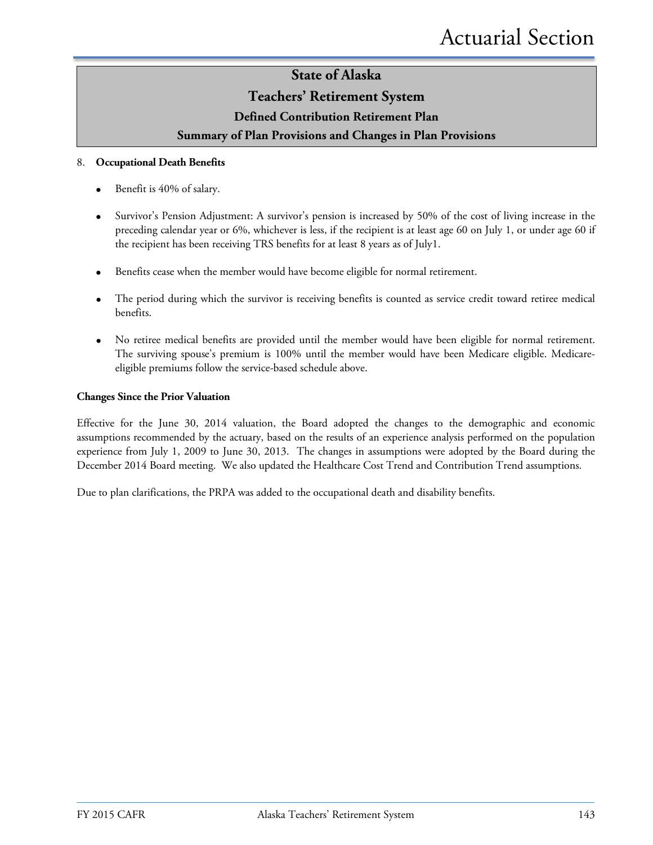### **Teachers' Retirement System**

### **Defined Contribution Retirement Plan**

### **Summary of Plan Provisions and Changes in Plan Provisions**

### 8. **Occupational Death Benefits**

- Benefit is 40% of salary.
- Survivor's Pension Adjustment: A survivor's pension is increased by 50% of the cost of living increase in the preceding calendar year or 6%, whichever is less, if the recipient is at least age 60 on July 1, or under age 60 if the recipient has been receiving TRS benefits for at least 8 years as of July1.
- Benefits cease when the member would have become eligible for normal retirement.
- The period during which the survivor is receiving benefits is counted as service credit toward retiree medical benefits.
- No retiree medical benefits are provided until the member would have been eligible for normal retirement. The surviving spouse's premium is 100% until the member would have been Medicare eligible. Medicareeligible premiums follow the service-based schedule above.

### **Changes Since the Prior Valuation**

Effective for the June 30, 2014 valuation, the Board adopted the changes to the demographic and economic assumptions recommended by the actuary, based on the results of an experience analysis performed on the population experience from July 1, 2009 to June 30, 2013. The changes in assumptions were adopted by the Board during the December 2014 Board meeting. We also updated the Healthcare Cost Trend and Contribution Trend assumptions.

Due to plan clarifications, the PRPA was added to the occupational death and disability benefits.